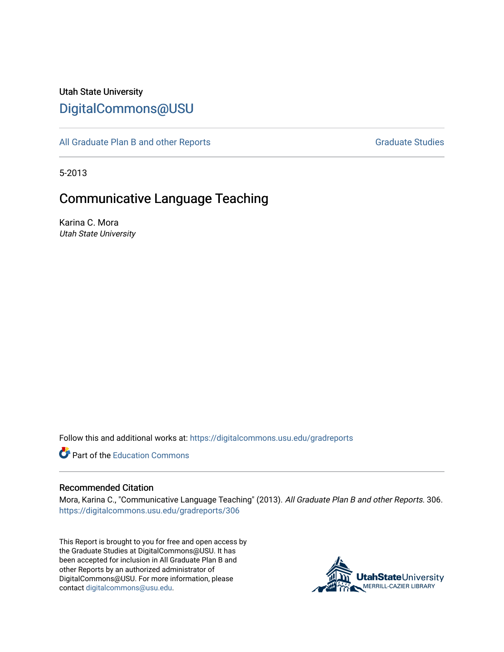# Utah State University [DigitalCommons@USU](https://digitalcommons.usu.edu/)

[All Graduate Plan B and other Reports](https://digitalcommons.usu.edu/gradreports) **Graduate Studies** Graduate Studies

5-2013

# Communicative Language Teaching

Karina C. Mora Utah State University

Follow this and additional works at: [https://digitalcommons.usu.edu/gradreports](https://digitalcommons.usu.edu/gradreports?utm_source=digitalcommons.usu.edu%2Fgradreports%2F306&utm_medium=PDF&utm_campaign=PDFCoverPages)

**C** Part of the [Education Commons](http://network.bepress.com/hgg/discipline/784?utm_source=digitalcommons.usu.edu%2Fgradreports%2F306&utm_medium=PDF&utm_campaign=PDFCoverPages)

#### Recommended Citation

Mora, Karina C., "Communicative Language Teaching" (2013). All Graduate Plan B and other Reports. 306. [https://digitalcommons.usu.edu/gradreports/306](https://digitalcommons.usu.edu/gradreports/306?utm_source=digitalcommons.usu.edu%2Fgradreports%2F306&utm_medium=PDF&utm_campaign=PDFCoverPages)

This Report is brought to you for free and open access by the Graduate Studies at DigitalCommons@USU. It has been accepted for inclusion in All Graduate Plan B and other Reports by an authorized administrator of DigitalCommons@USU. For more information, please contact [digitalcommons@usu.edu](mailto:digitalcommons@usu.edu).

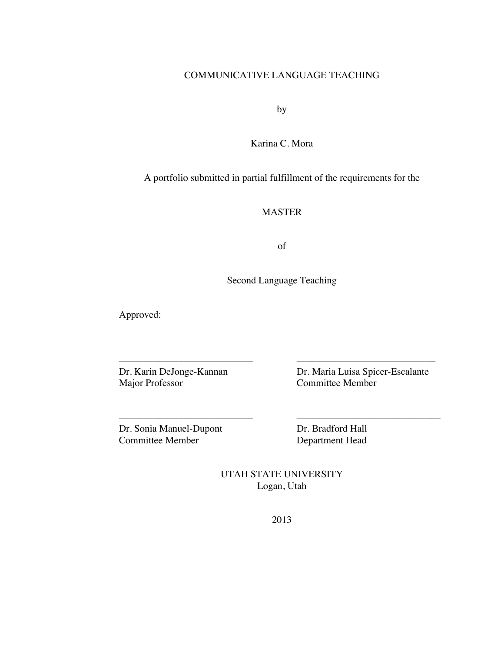## COMMUNICATIVE LANGUAGE TEACHING

by

Karina C. Mora

A portfolio submitted in partial fulfillment of the requirements for the

## MASTER

of

Second Language Teaching

––––––––––––––––––––––––––– ––––––––––––––––––––––––––––

––––––––––––––––––––––––––– –––––––––––––––––––––––––––––

Approved:

Dr. Karin DeJonge-Kannan Dr. Maria Luisa Spicer-Escalante<br>
Major Professor Committee Member Committee Member

Dr. Sonia Manuel-Dupont Dr. Bradford Hall<br>
Committee Member Department Head

Department Head

UTAH STATE UNIVERSITY Logan, Utah

2013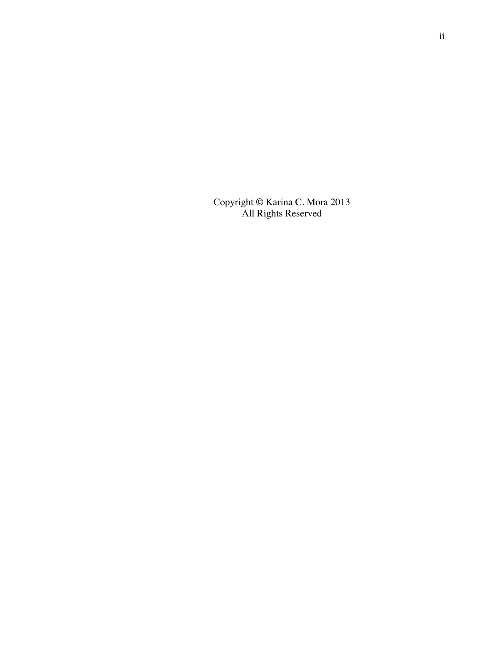Copyright **©** Karina C. Mora 2013 All Rights Reserved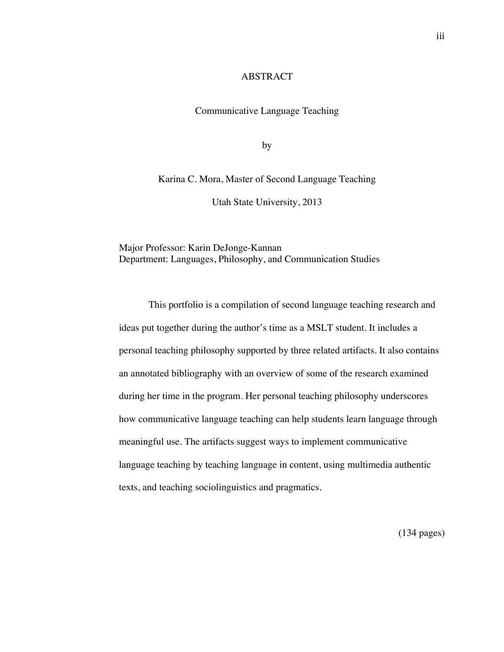#### ABSTRACT

Communicative Language Teaching

by

Karina C. Mora, Master of Second Language Teaching

Utah State University, 2013

Major Professor: Karin DeJonge-Kannan Department: Languages, Philosophy, and Communication Studies

This portfolio is a compilation of second language teaching research and ideas put together during the author's time as a MSLT student. It includes a personal teaching philosophy supported by three related artifacts. It also contains an annotated bibliography with an overview of some of the research examined during her time in the program. Her personal teaching philosophy underscores how communicative language teaching can help students learn language through meaningful use. The artifacts suggest ways to implement communicative language teaching by teaching language in content, using multimedia authentic texts, and teaching sociolinguistics and pragmatics.

(134 pages)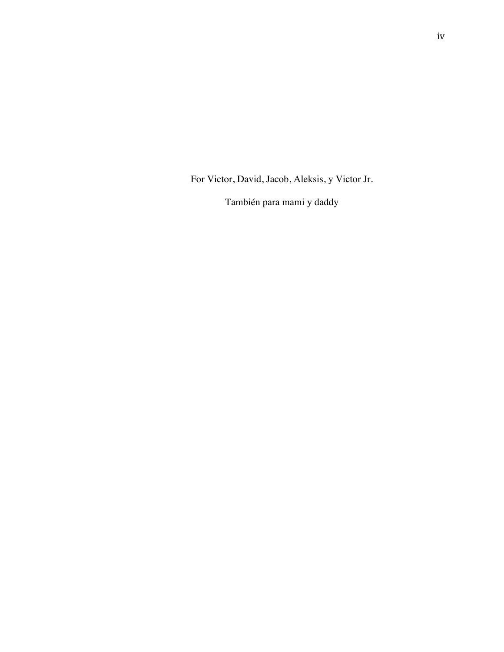For Victor, David, Jacob, Aleksis, y Victor Jr.

También para mami y daddy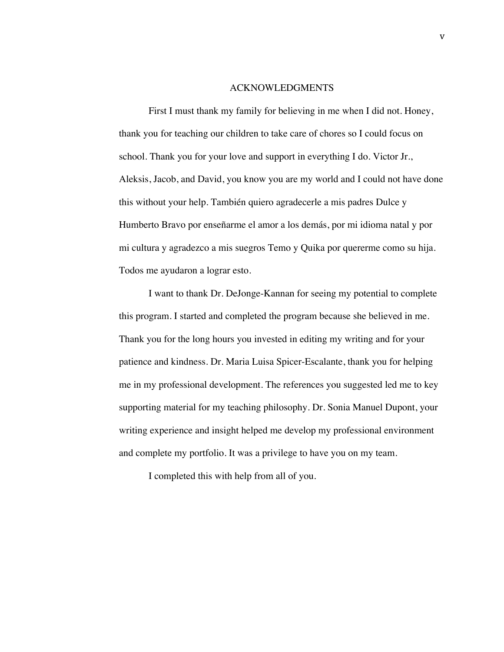#### ACKNOWLEDGMENTS

First I must thank my family for believing in me when I did not. Honey, thank you for teaching our children to take care of chores so I could focus on school. Thank you for your love and support in everything I do. Victor Jr., Aleksis, Jacob, and David, you know you are my world and I could not have done this without your help. También quiero agradecerle a mis padres Dulce y Humberto Bravo por enseñarme el amor a los demás, por mi idioma natal y por mi cultura y agradezco a mis suegros Temo y Quika por quererme como su hija. Todos me ayudaron a lograr esto.

I want to thank Dr. DeJonge-Kannan for seeing my potential to complete this program. I started and completed the program because she believed in me. Thank you for the long hours you invested in editing my writing and for your patience and kindness. Dr. Maria Luisa Spicer-Escalante, thank you for helping me in my professional development. The references you suggested led me to key supporting material for my teaching philosophy. Dr. Sonia Manuel Dupont, your writing experience and insight helped me develop my professional environment and complete my portfolio. It was a privilege to have you on my team.

I completed this with help from all of you.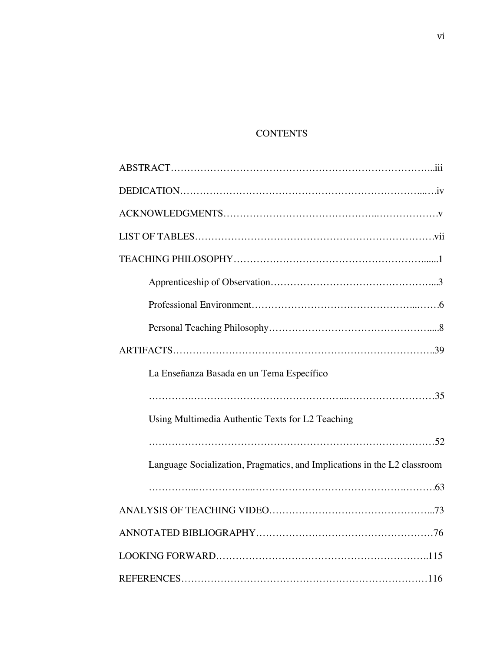## **CONTENTS**

| La Enseñanza Basada en un Tema Específico                                |  |  |  |
|--------------------------------------------------------------------------|--|--|--|
|                                                                          |  |  |  |
| Using Multimedia Authentic Texts for L2 Teaching                         |  |  |  |
|                                                                          |  |  |  |
| Language Socialization, Pragmatics, and Implications in the L2 classroom |  |  |  |
|                                                                          |  |  |  |
|                                                                          |  |  |  |
|                                                                          |  |  |  |
|                                                                          |  |  |  |
|                                                                          |  |  |  |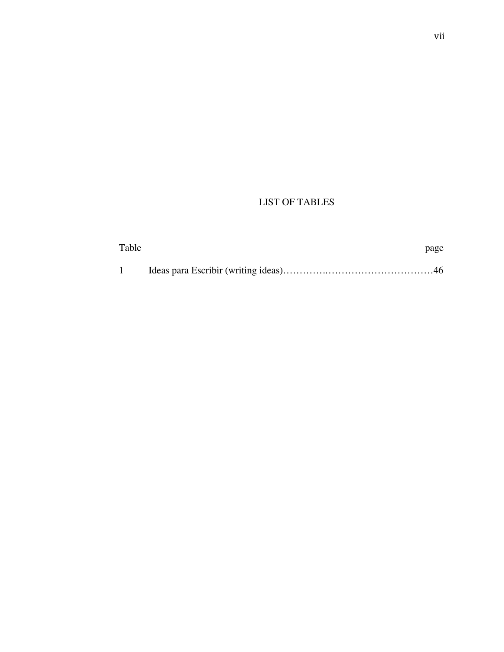## LIST OF TABLES

| Table | page |
|-------|------|
|       |      |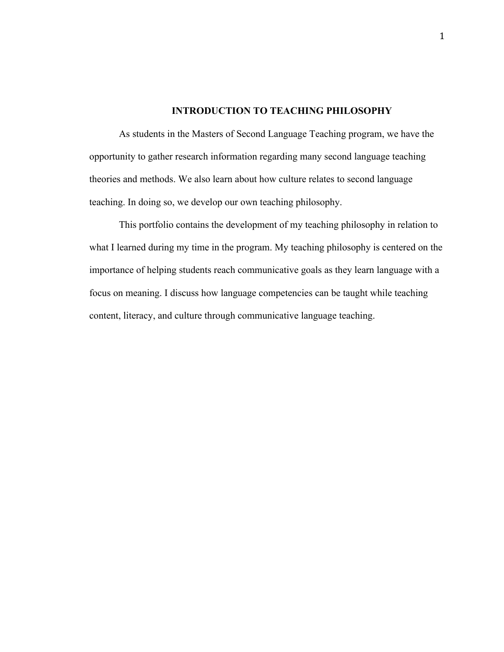## **INTRODUCTION TO TEACHING PHILOSOPHY**

As students in the Masters of Second Language Teaching program, we have the opportunity to gather research information regarding many second language teaching theories and methods. We also learn about how culture relates to second language teaching. In doing so, we develop our own teaching philosophy.

This portfolio contains the development of my teaching philosophy in relation to what I learned during my time in the program. My teaching philosophy is centered on the importance of helping students reach communicative goals as they learn language with a focus on meaning. I discuss how language competencies can be taught while teaching content, literacy, and culture through communicative language teaching.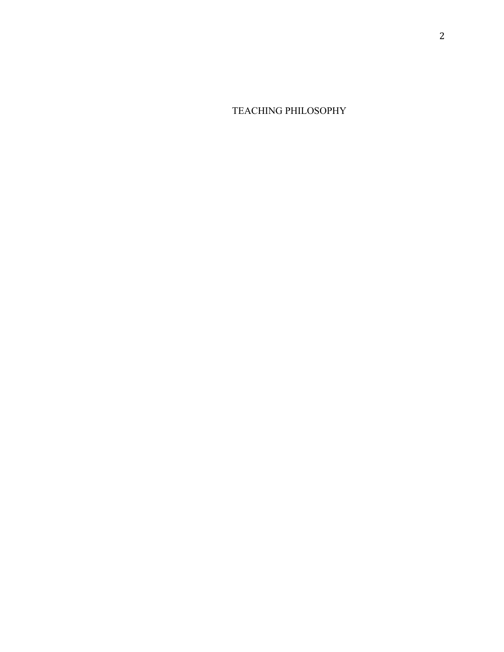TEACHING PHILOSOPHY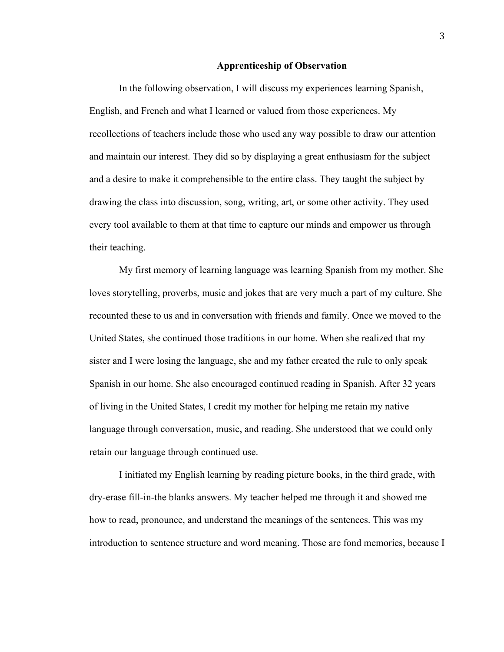#### **Apprenticeship of Observation**

In the following observation, I will discuss my experiences learning Spanish, English, and French and what I learned or valued from those experiences. My recollections of teachers include those who used any way possible to draw our attention and maintain our interest. They did so by displaying a great enthusiasm for the subject and a desire to make it comprehensible to the entire class. They taught the subject by drawing the class into discussion, song, writing, art, or some other activity. They used every tool available to them at that time to capture our minds and empower us through their teaching.

My first memory of learning language was learning Spanish from my mother. She loves storytelling, proverbs, music and jokes that are very much a part of my culture. She recounted these to us and in conversation with friends and family. Once we moved to the United States, she continued those traditions in our home. When she realized that my sister and I were losing the language, she and my father created the rule to only speak Spanish in our home. She also encouraged continued reading in Spanish. After 32 years of living in the United States, I credit my mother for helping me retain my native language through conversation, music, and reading. She understood that we could only retain our language through continued use.

I initiated my English learning by reading picture books, in the third grade, with dry-erase fill-in-the blanks answers. My teacher helped me through it and showed me how to read, pronounce, and understand the meanings of the sentences. This was my introduction to sentence structure and word meaning. Those are fond memories, because I

3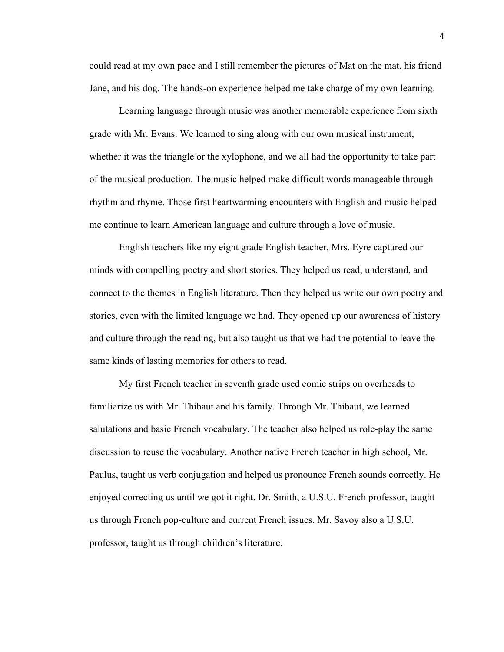could read at my own pace and I still remember the pictures of Mat on the mat, his friend Jane, and his dog. The hands-on experience helped me take charge of my own learning.

Learning language through music was another memorable experience from sixth grade with Mr. Evans. We learned to sing along with our own musical instrument, whether it was the triangle or the xylophone, and we all had the opportunity to take part of the musical production. The music helped make difficult words manageable through rhythm and rhyme. Those first heartwarming encounters with English and music helped me continue to learn American language and culture through a love of music.

English teachers like my eight grade English teacher, Mrs. Eyre captured our minds with compelling poetry and short stories. They helped us read, understand, and connect to the themes in English literature. Then they helped us write our own poetry and stories, even with the limited language we had. They opened up our awareness of history and culture through the reading, but also taught us that we had the potential to leave the same kinds of lasting memories for others to read.

My first French teacher in seventh grade used comic strips on overheads to familiarize us with Mr. Thibaut and his family. Through Mr. Thibaut, we learned salutations and basic French vocabulary. The teacher also helped us role-play the same discussion to reuse the vocabulary. Another native French teacher in high school, Mr. Paulus, taught us verb conjugation and helped us pronounce French sounds correctly. He enjoyed correcting us until we got it right. Dr. Smith, a U.S.U. French professor, taught us through French pop-culture and current French issues. Mr. Savoy also a U.S.U. professor, taught us through children's literature.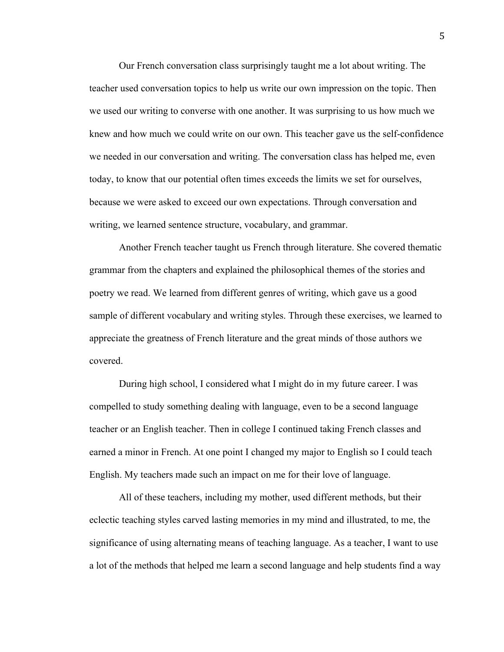Our French conversation class surprisingly taught me a lot about writing. The teacher used conversation topics to help us write our own impression on the topic. Then we used our writing to converse with one another. It was surprising to us how much we knew and how much we could write on our own. This teacher gave us the self-confidence we needed in our conversation and writing. The conversation class has helped me, even today, to know that our potential often times exceeds the limits we set for ourselves, because we were asked to exceed our own expectations. Through conversation and writing, we learned sentence structure, vocabulary, and grammar.

Another French teacher taught us French through literature. She covered thematic grammar from the chapters and explained the philosophical themes of the stories and poetry we read. We learned from different genres of writing, which gave us a good sample of different vocabulary and writing styles. Through these exercises, we learned to appreciate the greatness of French literature and the great minds of those authors we covered.

During high school, I considered what I might do in my future career. I was compelled to study something dealing with language, even to be a second language teacher or an English teacher. Then in college I continued taking French classes and earned a minor in French. At one point I changed my major to English so I could teach English. My teachers made such an impact on me for their love of language.

All of these teachers, including my mother, used different methods, but their eclectic teaching styles carved lasting memories in my mind and illustrated, to me, the significance of using alternating means of teaching language. As a teacher, I want to use a lot of the methods that helped me learn a second language and help students find a way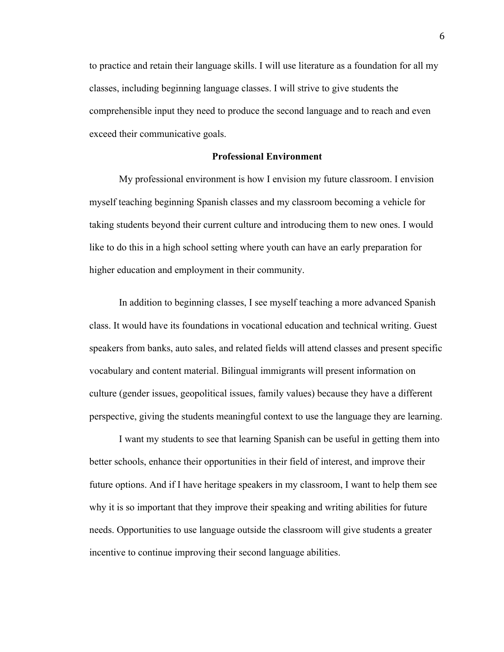to practice and retain their language skills. I will use literature as a foundation for all my classes, including beginning language classes. I will strive to give students the comprehensible input they need to produce the second language and to reach and even exceed their communicative goals.

#### **Professional Environment**

My professional environment is how I envision my future classroom. I envision myself teaching beginning Spanish classes and my classroom becoming a vehicle for taking students beyond their current culture and introducing them to new ones. I would like to do this in a high school setting where youth can have an early preparation for higher education and employment in their community.

In addition to beginning classes, I see myself teaching a more advanced Spanish class. It would have its foundations in vocational education and technical writing. Guest speakers from banks, auto sales, and related fields will attend classes and present specific vocabulary and content material. Bilingual immigrants will present information on culture (gender issues, geopolitical issues, family values) because they have a different perspective, giving the students meaningful context to use the language they are learning.

I want my students to see that learning Spanish can be useful in getting them into better schools, enhance their opportunities in their field of interest, and improve their future options. And if I have heritage speakers in my classroom, I want to help them see why it is so important that they improve their speaking and writing abilities for future needs. Opportunities to use language outside the classroom will give students a greater incentive to continue improving their second language abilities.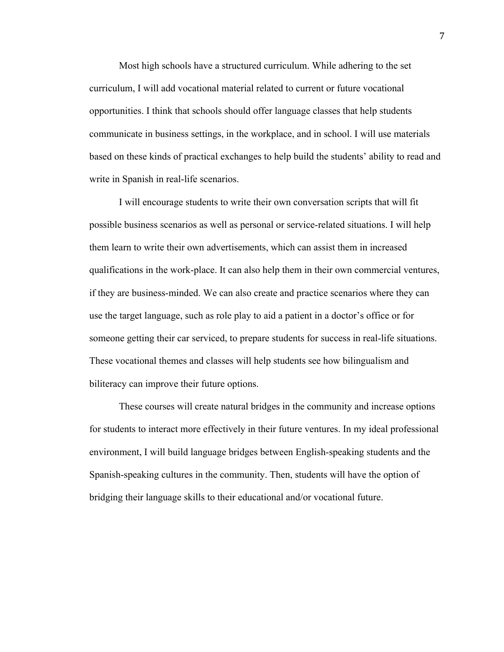Most high schools have a structured curriculum. While adhering to the set curriculum, I will add vocational material related to current or future vocational opportunities. I think that schools should offer language classes that help students communicate in business settings, in the workplace, and in school. I will use materials based on these kinds of practical exchanges to help build the students' ability to read and write in Spanish in real-life scenarios.

I will encourage students to write their own conversation scripts that will fit possible business scenarios as well as personal or service-related situations. I will help them learn to write their own advertisements, which can assist them in increased qualifications in the work-place. It can also help them in their own commercial ventures, if they are business-minded. We can also create and practice scenarios where they can use the target language, such as role play to aid a patient in a doctor's office or for someone getting their car serviced, to prepare students for success in real-life situations. These vocational themes and classes will help students see how bilingualism and biliteracy can improve their future options.

These courses will create natural bridges in the community and increase options for students to interact more effectively in their future ventures. In my ideal professional environment, I will build language bridges between English-speaking students and the Spanish-speaking cultures in the community. Then, students will have the option of bridging their language skills to their educational and/or vocational future.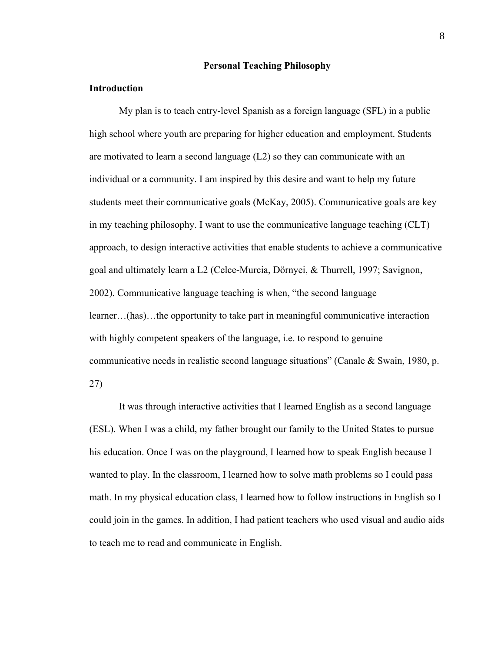## **Personal Teaching Philosophy**

#### **Introduction**

My plan is to teach entry-level Spanish as a foreign language (SFL) in a public high school where youth are preparing for higher education and employment. Students are motivated to learn a second language  $(L2)$  so they can communicate with an individual or a community. I am inspired by this desire and want to help my future students meet their communicative goals (McKay, 2005). Communicative goals are key in my teaching philosophy. I want to use the communicative language teaching (CLT) approach, to design interactive activities that enable students to achieve a communicative goal and ultimately learn a L2 (Celce-Murcia, Dörnyei, & Thurrell, 1997; Savignon, 2002). Communicative language teaching is when, "the second language learner…(has)…the opportunity to take part in meaningful communicative interaction with highly competent speakers of the language, *i.e.* to respond to genuine communicative needs in realistic second language situations" (Canale & Swain, 1980, p. 27)

It was through interactive activities that I learned English as a second language (ESL). When I was a child, my father brought our family to the United States to pursue his education. Once I was on the playground, I learned how to speak English because I wanted to play. In the classroom, I learned how to solve math problems so I could pass math. In my physical education class, I learned how to follow instructions in English so I could join in the games. In addition, I had patient teachers who used visual and audio aids to teach me to read and communicate in English.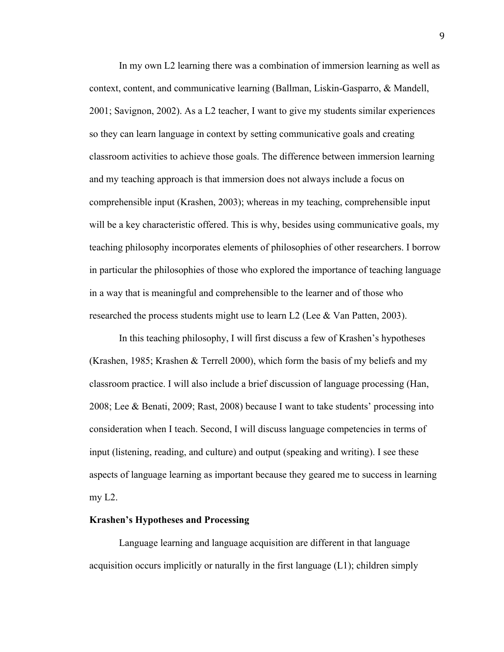In my own L2 learning there was a combination of immersion learning as well as context, content, and communicative learning (Ballman, Liskin-Gasparro, & Mandell, 2001; Savignon, 2002). As a L2 teacher, I want to give my students similar experiences so they can learn language in context by setting communicative goals and creating classroom activities to achieve those goals. The difference between immersion learning and my teaching approach is that immersion does not always include a focus on comprehensible input (Krashen, 2003); whereas in my teaching, comprehensible input will be a key characteristic offered. This is why, besides using communicative goals, my teaching philosophy incorporates elements of philosophies of other researchers. I borrow in particular the philosophies of those who explored the importance of teaching language in a way that is meaningful and comprehensible to the learner and of those who researched the process students might use to learn L2 (Lee  $&$  Van Patten, 2003).

In this teaching philosophy, I will first discuss a few of Krashen's hypotheses (Krashen, 1985; Krashen & Terrell 2000), which form the basis of my beliefs and my classroom practice. I will also include a brief discussion of language processing (Han, 2008; Lee & Benati, 2009; Rast, 2008) because I want to take students' processing into consideration when I teach. Second, I will discuss language competencies in terms of input (listening, reading, and culture) and output (speaking and writing). I see these aspects of language learning as important because they geared me to success in learning my L2.

#### **Krashen's Hypotheses and Processing**

Language learning and language acquisition are different in that language acquisition occurs implicitly or naturally in the first language (L1); children simply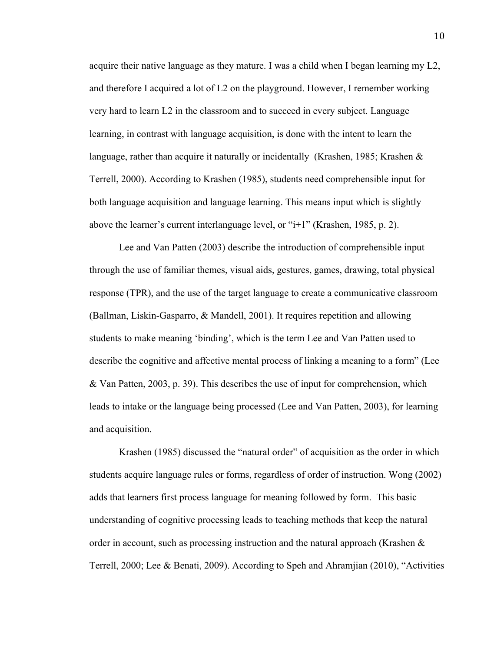acquire their native language as they mature. I was a child when I began learning my L2, and therefore I acquired a lot of L2 on the playground. However, I remember working very hard to learn L2 in the classroom and to succeed in every subject. Language learning, in contrast with language acquisition, is done with the intent to learn the language, rather than acquire it naturally or incidentally (Krashen, 1985; Krashen & Terrell, 2000). According to Krashen (1985), students need comprehensible input for both language acquisition and language learning. This means input which is slightly above the learner's current interlanguage level, or "i+1" (Krashen, 1985, p. 2).

Lee and Van Patten (2003) describe the introduction of comprehensible input through the use of familiar themes, visual aids, gestures, games, drawing, total physical response (TPR), and the use of the target language to create a communicative classroom (Ballman, Liskin-Gasparro, & Mandell, 2001). It requires repetition and allowing students to make meaning 'binding', which is the term Lee and Van Patten used to describe the cognitive and affective mental process of linking a meaning to a form" (Lee & Van Patten, 2003, p. 39). This describes the use of input for comprehension, which leads to intake or the language being processed (Lee and Van Patten, 2003), for learning and acquisition.

Krashen (1985) discussed the "natural order" of acquisition as the order in which students acquire language rules or forms, regardless of order of instruction. Wong (2002) adds that learners first process language for meaning followed by form. This basic understanding of cognitive processing leads to teaching methods that keep the natural order in account, such as processing instruction and the natural approach (Krashen & Terrell, 2000; Lee & Benati, 2009). According to Speh and Ahramjian (2010), "Activities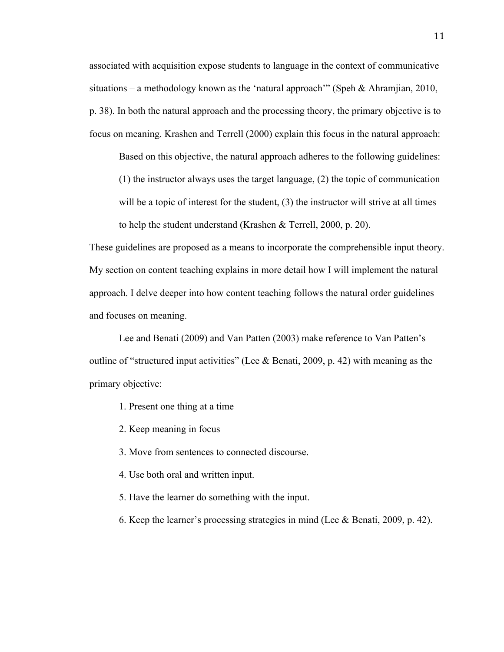associated with acquisition expose students to language in the context of communicative situations – a methodology known as the 'natural approach'" (Speh & Ahramjian, 2010, p. 38). In both the natural approach and the processing theory, the primary objective is to focus on meaning. Krashen and Terrell (2000) explain this focus in the natural approach:

Based on this objective, the natural approach adheres to the following guidelines:

(1) the instructor always uses the target language, (2) the topic of communication will be a topic of interest for the student, (3) the instructor will strive at all times to help the student understand (Krashen & Terrell, 2000, p. 20).

These guidelines are proposed as a means to incorporate the comprehensible input theory. My section on content teaching explains in more detail how I will implement the natural approach. I delve deeper into how content teaching follows the natural order guidelines and focuses on meaning.

Lee and Benati (2009) and Van Patten (2003) make reference to Van Patten's outline of "structured input activities" (Lee & Benati, 2009, p. 42) with meaning as the primary objective:

- 1. Present one thing at a time
- 2. Keep meaning in focus
- 3. Move from sentences to connected discourse.
- 4. Use both oral and written input.
- 5. Have the learner do something with the input.
- 6. Keep the learner's processing strategies in mind (Lee & Benati, 2009, p. 42).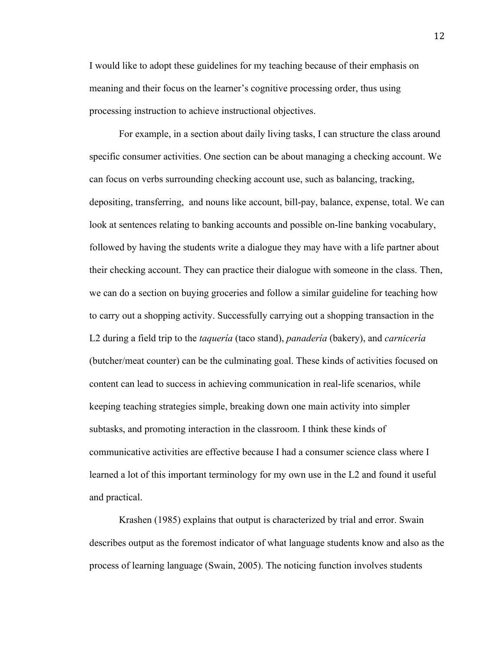I would like to adopt these guidelines for my teaching because of their emphasis on meaning and their focus on the learner's cognitive processing order, thus using processing instruction to achieve instructional objectives.

For example, in a section about daily living tasks, I can structure the class around specific consumer activities. One section can be about managing a checking account. We can focus on verbs surrounding checking account use, such as balancing, tracking, depositing, transferring, and nouns like account, bill-pay, balance, expense, total. We can look at sentences relating to banking accounts and possible on-line banking vocabulary, followed by having the students write a dialogue they may have with a life partner about their checking account. They can practice their dialogue with someone in the class. Then, we can do a section on buying groceries and follow a similar guideline for teaching how to carry out a shopping activity. Successfully carrying out a shopping transaction in the L2 during a field trip to the *taquería* (taco stand), *panadería* (bakery), and *carnicería* (butcher/meat counter) can be the culminating goal. These kinds of activities focused on content can lead to success in achieving communication in real-life scenarios, while keeping teaching strategies simple, breaking down one main activity into simpler subtasks, and promoting interaction in the classroom. I think these kinds of communicative activities are effective because I had a consumer science class where I learned a lot of this important terminology for my own use in the L2 and found it useful and practical.

Krashen (1985) explains that output is characterized by trial and error. Swain describes output as the foremost indicator of what language students know and also as the process of learning language (Swain, 2005). The noticing function involves students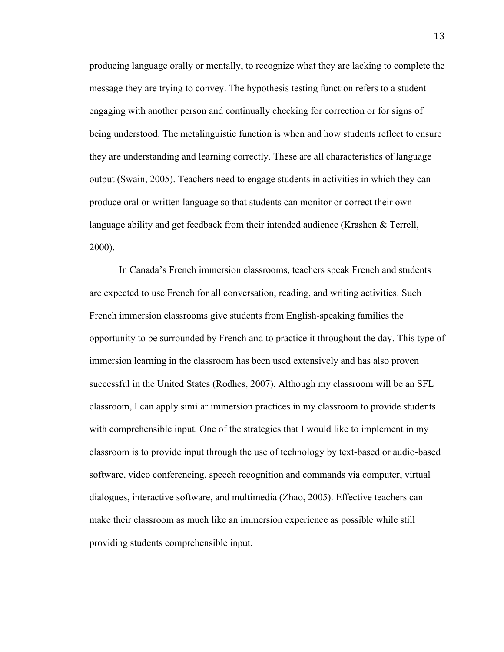producing language orally or mentally, to recognize what they are lacking to complete the message they are trying to convey. The hypothesis testing function refers to a student engaging with another person and continually checking for correction or for signs of being understood. The metalinguistic function is when and how students reflect to ensure they are understanding and learning correctly. These are all characteristics of language output (Swain, 2005). Teachers need to engage students in activities in which they can produce oral or written language so that students can monitor or correct their own language ability and get feedback from their intended audience (Krashen & Terrell, 2000).

In Canada's French immersion classrooms, teachers speak French and students are expected to use French for all conversation, reading, and writing activities. Such French immersion classrooms give students from English-speaking families the opportunity to be surrounded by French and to practice it throughout the day. This type of immersion learning in the classroom has been used extensively and has also proven successful in the United States (Rodhes, 2007). Although my classroom will be an SFL classroom, I can apply similar immersion practices in my classroom to provide students with comprehensible input. One of the strategies that I would like to implement in my classroom is to provide input through the use of technology by text-based or audio-based software, video conferencing, speech recognition and commands via computer, virtual dialogues, interactive software, and multimedia (Zhao, 2005). Effective teachers can make their classroom as much like an immersion experience as possible while still providing students comprehensible input.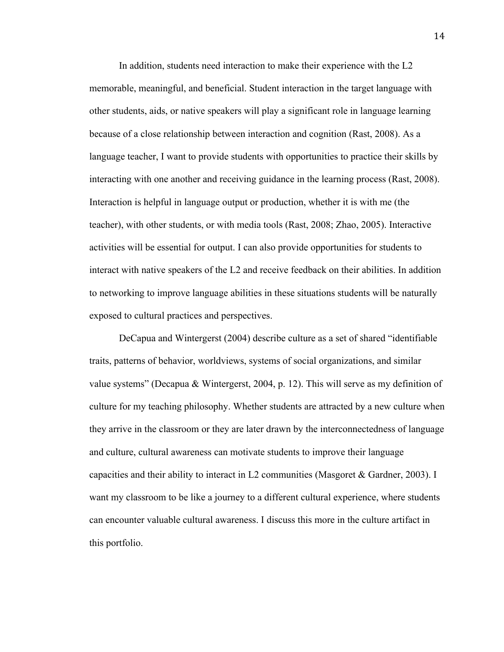In addition, students need interaction to make their experience with the L2 memorable, meaningful, and beneficial. Student interaction in the target language with other students, aids, or native speakers will play a significant role in language learning because of a close relationship between interaction and cognition (Rast, 2008). As a language teacher, I want to provide students with opportunities to practice their skills by interacting with one another and receiving guidance in the learning process (Rast, 2008). Interaction is helpful in language output or production, whether it is with me (the teacher), with other students, or with media tools (Rast, 2008; Zhao, 2005). Interactive activities will be essential for output. I can also provide opportunities for students to interact with native speakers of the L2 and receive feedback on their abilities. In addition to networking to improve language abilities in these situations students will be naturally exposed to cultural practices and perspectives.

DeCapua and Wintergerst (2004) describe culture as a set of shared "identifiable traits, patterns of behavior, worldviews, systems of social organizations, and similar value systems" (Decapua & Wintergerst, 2004, p. 12). This will serve as my definition of culture for my teaching philosophy. Whether students are attracted by a new culture when they arrive in the classroom or they are later drawn by the interconnectedness of language and culture, cultural awareness can motivate students to improve their language capacities and their ability to interact in L2 communities (Masgoret & Gardner, 2003). I want my classroom to be like a journey to a different cultural experience, where students can encounter valuable cultural awareness. I discuss this more in the culture artifact in this portfolio.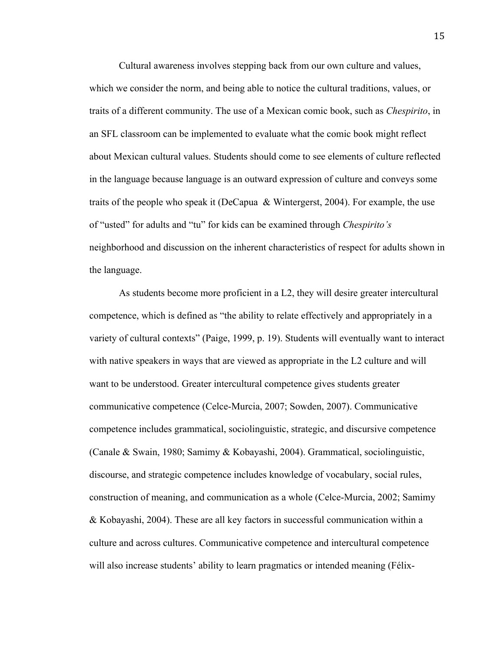Cultural awareness involves stepping back from our own culture and values, which we consider the norm, and being able to notice the cultural traditions, values, or traits of a different community. The use of a Mexican comic book, such as *Chespirito*, in an SFL classroom can be implemented to evaluate what the comic book might reflect about Mexican cultural values. Students should come to see elements of culture reflected in the language because language is an outward expression of culture and conveys some traits of the people who speak it (DeCapua & Wintergerst, 2004). For example, the use of "usted" for adults and "tu" for kids can be examined through *Chespirito's* neighborhood and discussion on the inherent characteristics of respect for adults shown in the language.

As students become more proficient in a L2, they will desire greater intercultural competence, which is defined as "the ability to relate effectively and appropriately in a variety of cultural contexts" (Paige, 1999, p. 19). Students will eventually want to interact with native speakers in ways that are viewed as appropriate in the L2 culture and will want to be understood. Greater intercultural competence gives students greater communicative competence (Celce-Murcia, 2007; Sowden, 2007). Communicative competence includes grammatical, sociolinguistic, strategic, and discursive competence (Canale & Swain, 1980; Samimy & Kobayashi, 2004). Grammatical, sociolinguistic, discourse, and strategic competence includes knowledge of vocabulary, social rules, construction of meaning, and communication as a whole (Celce-Murcia, 2002; Samimy & Kobayashi, 2004). These are all key factors in successful communication within a culture and across cultures. Communicative competence and intercultural competence will also increase students' ability to learn pragmatics or intended meaning (Félix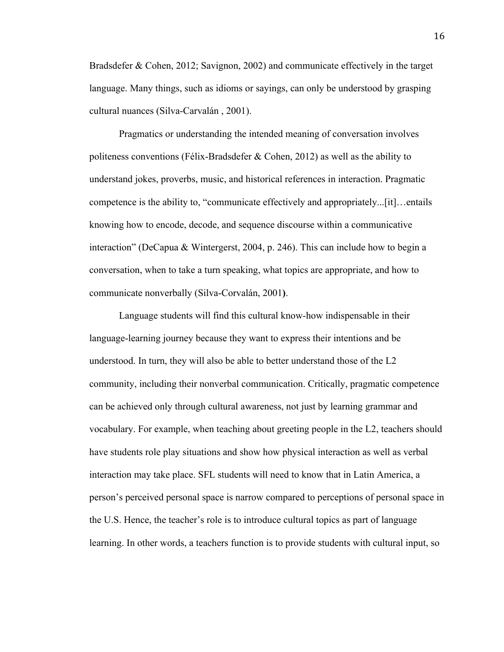Bradsdefer & Cohen, 2012; Savignon, 2002) and communicate effectively in the target language. Many things, such as idioms or sayings, can only be understood by grasping cultural nuances (Silva-Carvalán , 2001).

Pragmatics or understanding the intended meaning of conversation involves politeness conventions (Félix-Bradsdefer  $\&$  Cohen, 2012) as well as the ability to understand jokes, proverbs, music, and historical references in interaction. Pragmatic competence is the ability to, "communicate effectively and appropriately...[it]…entails knowing how to encode, decode, and sequence discourse within a communicative interaction" (DeCapua & Wintergerst, 2004, p. 246). This can include how to begin a conversation, when to take a turn speaking, what topics are appropriate, and how to communicate nonverbally (Silva-Corvalán, 2001**)**.

Language students will find this cultural know-how indispensable in their language-learning journey because they want to express their intentions and be understood. In turn, they will also be able to better understand those of the L2 community, including their nonverbal communication. Critically, pragmatic competence can be achieved only through cultural awareness, not just by learning grammar and vocabulary. For example, when teaching about greeting people in the L2, teachers should have students role play situations and show how physical interaction as well as verbal interaction may take place. SFL students will need to know that in Latin America, a person's perceived personal space is narrow compared to perceptions of personal space in the U.S. Hence, the teacher's role is to introduce cultural topics as part of language learning. In other words, a teachers function is to provide students with cultural input, so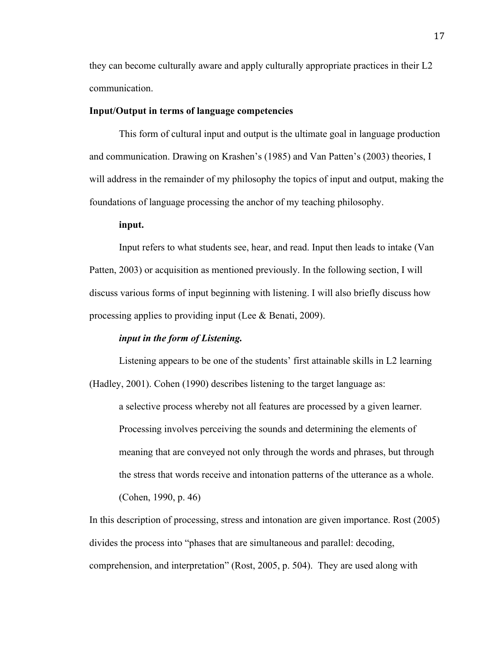they can become culturally aware and apply culturally appropriate practices in their L2 communication.

### **Input/Output in terms of language competencies**

This form of cultural input and output is the ultimate goal in language production and communication. Drawing on Krashen's (1985) and Van Patten's (2003) theories, I will address in the remainder of my philosophy the topics of input and output, making the foundations of language processing the anchor of my teaching philosophy.

## **input.**

Input refers to what students see, hear, and read. Input then leads to intake (Van Patten, 2003) or acquisition as mentioned previously. In the following section, I will discuss various forms of input beginning with listening. I will also briefly discuss how processing applies to providing input (Lee & Benati, 2009).

#### *input in the form of Listening.*

Listening appears to be one of the students' first attainable skills in L2 learning (Hadley, 2001). Cohen (1990) describes listening to the target language as:

a selective process whereby not all features are processed by a given learner. Processing involves perceiving the sounds and determining the elements of meaning that are conveyed not only through the words and phrases, but through the stress that words receive and intonation patterns of the utterance as a whole. (Cohen, 1990, p. 46)

In this description of processing, stress and intonation are given importance. Rost (2005) divides the process into "phases that are simultaneous and parallel: decoding, comprehension, and interpretation" (Rost, 2005, p. 504). They are used along with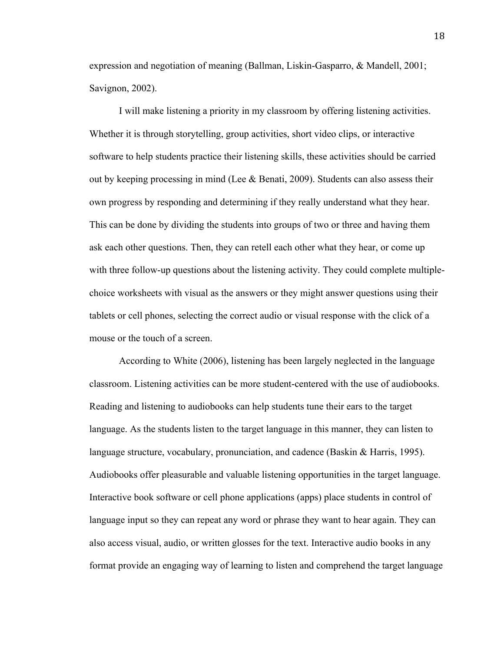expression and negotiation of meaning (Ballman, Liskin-Gasparro, & Mandell, 2001; Savignon, 2002).

I will make listening a priority in my classroom by offering listening activities. Whether it is through storytelling, group activities, short video clips, or interactive software to help students practice their listening skills, these activities should be carried out by keeping processing in mind (Lee & Benati, 2009). Students can also assess their own progress by responding and determining if they really understand what they hear. This can be done by dividing the students into groups of two or three and having them ask each other questions. Then, they can retell each other what they hear, or come up with three follow-up questions about the listening activity. They could complete multiplechoice worksheets with visual as the answers or they might answer questions using their tablets or cell phones, selecting the correct audio or visual response with the click of a mouse or the touch of a screen.

According to White (2006), listening has been largely neglected in the language classroom. Listening activities can be more student-centered with the use of audiobooks. Reading and listening to audiobooks can help students tune their ears to the target language. As the students listen to the target language in this manner, they can listen to language structure, vocabulary, pronunciation, and cadence (Baskin & Harris, 1995). Audiobooks offer pleasurable and valuable listening opportunities in the target language. Interactive book software or cell phone applications (apps) place students in control of language input so they can repeat any word or phrase they want to hear again. They can also access visual, audio, or written glosses for the text. Interactive audio books in any format provide an engaging way of learning to listen and comprehend the target language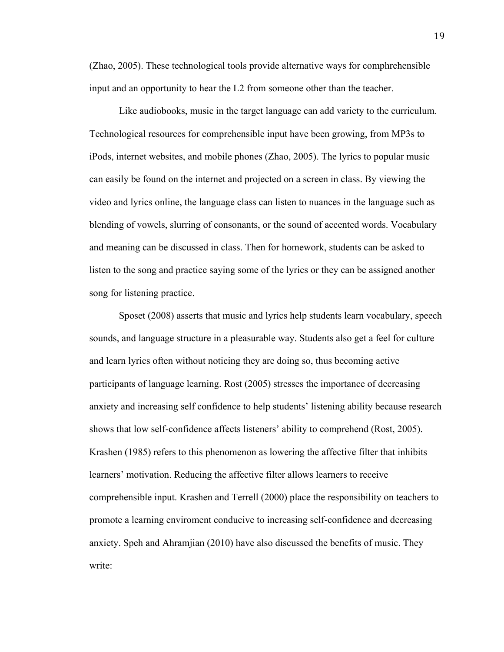(Zhao, 2005). These technological tools provide alternative ways for comphrehensible input and an opportunity to hear the L2 from someone other than the teacher.

Like audiobooks, music in the target language can add variety to the curriculum. Technological resources for comprehensible input have been growing, from MP3s to iPods, internet websites, and mobile phones (Zhao, 2005). The lyrics to popular music can easily be found on the internet and projected on a screen in class. By viewing the video and lyrics online, the language class can listen to nuances in the language such as blending of vowels, slurring of consonants, or the sound of accented words. Vocabulary and meaning can be discussed in class. Then for homework, students can be asked to listen to the song and practice saying some of the lyrics or they can be assigned another song for listening practice.

Sposet (2008) asserts that music and lyrics help students learn vocabulary, speech sounds, and language structure in a pleasurable way. Students also get a feel for culture and learn lyrics often without noticing they are doing so, thus becoming active participants of language learning. Rost (2005) stresses the importance of decreasing anxiety and increasing self confidence to help students' listening ability because research shows that low self-confidence affects listeners' ability to comprehend (Rost, 2005). Krashen (1985) refers to this phenomenon as lowering the affective filter that inhibits learners' motivation. Reducing the affective filter allows learners to receive comprehensible input. Krashen and Terrell (2000) place the responsibility on teachers to promote a learning enviroment conducive to increasing self-confidence and decreasing anxiety. Speh and Ahramjian (2010) have also discussed the benefits of music. They write: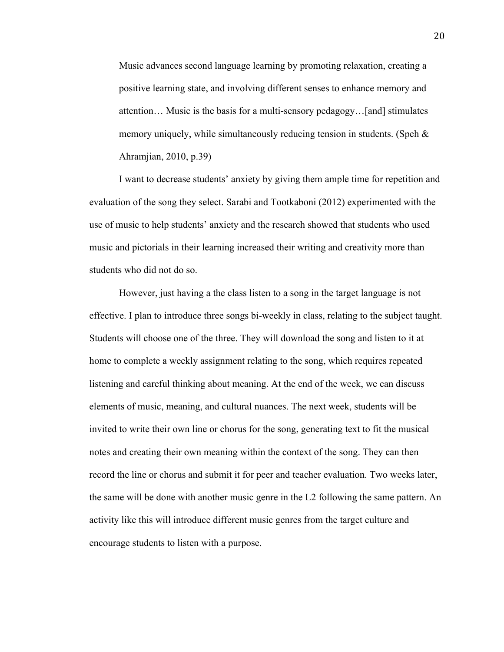Music advances second language learning by promoting relaxation, creating a positive learning state, and involving different senses to enhance memory and attention… Music is the basis for a multi-sensory pedagogy…[and] stimulates memory uniquely, while simultaneously reducing tension in students. (Speh & Ahramjian, 2010, p.39)

I want to decrease students' anxiety by giving them ample time for repetition and evaluation of the song they select. Sarabi and Tootkaboni (2012) experimented with the use of music to help students' anxiety and the research showed that students who used music and pictorials in their learning increased their writing and creativity more than students who did not do so.

However, just having a the class listen to a song in the target language is not effective. I plan to introduce three songs bi-weekly in class, relating to the subject taught. Students will choose one of the three. They will download the song and listen to it at home to complete a weekly assignment relating to the song, which requires repeated listening and careful thinking about meaning. At the end of the week, we can discuss elements of music, meaning, and cultural nuances. The next week, students will be invited to write their own line or chorus for the song, generating text to fit the musical notes and creating their own meaning within the context of the song. They can then record the line or chorus and submit it for peer and teacher evaluation. Two weeks later, the same will be done with another music genre in the L2 following the same pattern. An activity like this will introduce different music genres from the target culture and encourage students to listen with a purpose.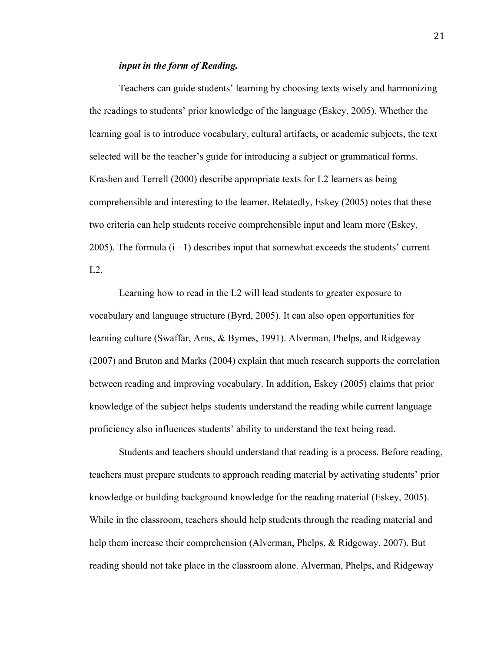## *input in the form of Reading.*

Teachers can guide students' learning by choosing texts wisely and harmonizing the readings to students' prior knowledge of the language (Eskey, 2005). Whether the learning goal is to introduce vocabulary, cultural artifacts, or academic subjects, the text selected will be the teacher's guide for introducing a subject or grammatical forms. Krashen and Terrell (2000) describe appropriate texts for L2 learners as being comprehensible and interesting to the learner. Relatedly, Eskey (2005) notes that these two criteria can help students receive comprehensible input and learn more (Eskey, 2005). The formula (i +1) describes input that somewhat exceeds the students' current L2.

Learning how to read in the L2 will lead students to greater exposure to vocabulary and language structure (Byrd, 2005). It can also open opportunities for learning culture (Swaffar, Arns, & Byrnes, 1991). Alverman, Phelps, and Ridgeway (2007) and Bruton and Marks (2004) explain that much research supports the correlation between reading and improving vocabulary. In addition, Eskey (2005) claims that prior knowledge of the subject helps students understand the reading while current language proficiency also influences students' ability to understand the text being read.

Students and teachers should understand that reading is a process. Before reading, teachers must prepare students to approach reading material by activating students' prior knowledge or building background knowledge for the reading material (Eskey, 2005). While in the classroom, teachers should help students through the reading material and help them increase their comprehension (Alverman, Phelps, & Ridgeway, 2007). But reading should not take place in the classroom alone. Alverman, Phelps, and Ridgeway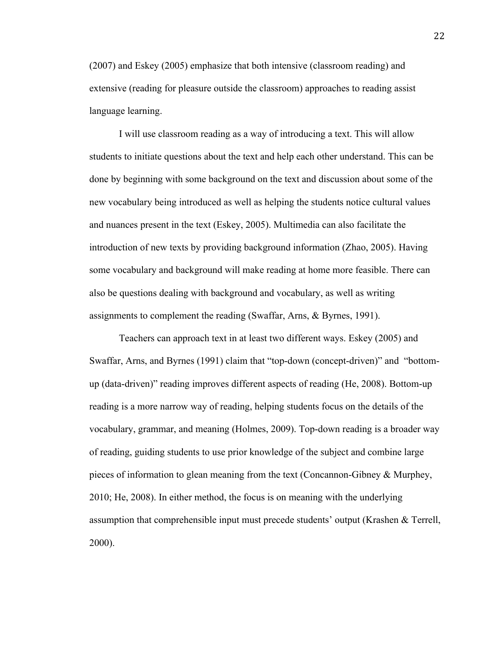(2007) and Eskey (2005) emphasize that both intensive (classroom reading) and extensive (reading for pleasure outside the classroom) approaches to reading assist language learning.

I will use classroom reading as a way of introducing a text. This will allow students to initiate questions about the text and help each other understand. This can be done by beginning with some background on the text and discussion about some of the new vocabulary being introduced as well as helping the students notice cultural values and nuances present in the text (Eskey, 2005). Multimedia can also facilitate the introduction of new texts by providing background information (Zhao, 2005). Having some vocabulary and background will make reading at home more feasible. There can also be questions dealing with background and vocabulary, as well as writing assignments to complement the reading (Swaffar, Arns, & Byrnes, 1991).

Teachers can approach text in at least two different ways. Eskey (2005) and Swaffar, Arns, and Byrnes (1991) claim that "top-down (concept-driven)" and "bottomup (data-driven)" reading improves different aspects of reading (He, 2008). Bottom-up reading is a more narrow way of reading, helping students focus on the details of the vocabulary, grammar, and meaning (Holmes, 2009). Top-down reading is a broader way of reading, guiding students to use prior knowledge of the subject and combine large pieces of information to glean meaning from the text (Concannon-Gibney & Murphey, 2010; He, 2008). In either method, the focus is on meaning with the underlying assumption that comprehensible input must precede students' output (Krashen & Terrell, 2000).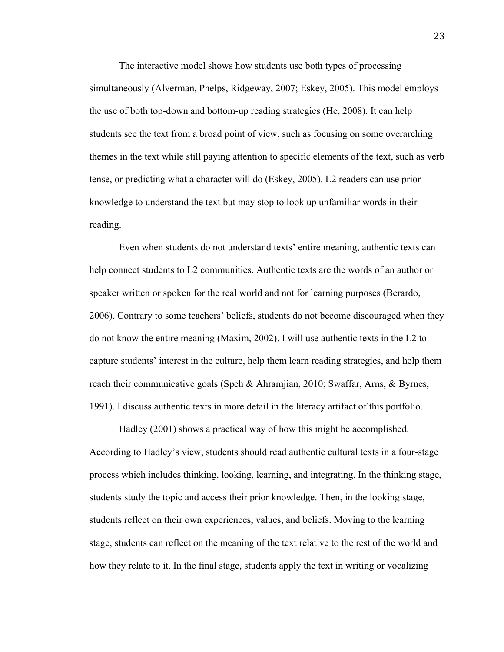The interactive model shows how students use both types of processing simultaneously (Alverman, Phelps, Ridgeway, 2007; Eskey, 2005). This model employs the use of both top-down and bottom-up reading strategies (He, 2008). It can help students see the text from a broad point of view, such as focusing on some overarching themes in the text while still paying attention to specific elements of the text, such as verb tense, or predicting what a character will do (Eskey, 2005). L2 readers can use prior knowledge to understand the text but may stop to look up unfamiliar words in their reading.

Even when students do not understand texts' entire meaning, authentic texts can help connect students to L2 communities. Authentic texts are the words of an author or speaker written or spoken for the real world and not for learning purposes (Berardo, 2006). Contrary to some teachers' beliefs, students do not become discouraged when they do not know the entire meaning (Maxim, 2002). I will use authentic texts in the L2 to capture students' interest in the culture, help them learn reading strategies, and help them reach their communicative goals (Speh & Ahramjian, 2010; Swaffar, Arns, & Byrnes, 1991). I discuss authentic texts in more detail in the literacy artifact of this portfolio.

Hadley (2001) shows a practical way of how this might be accomplished. According to Hadley's view, students should read authentic cultural texts in a four-stage process which includes thinking, looking, learning, and integrating. In the thinking stage, students study the topic and access their prior knowledge. Then, in the looking stage, students reflect on their own experiences, values, and beliefs. Moving to the learning stage, students can reflect on the meaning of the text relative to the rest of the world and how they relate to it. In the final stage, students apply the text in writing or vocalizing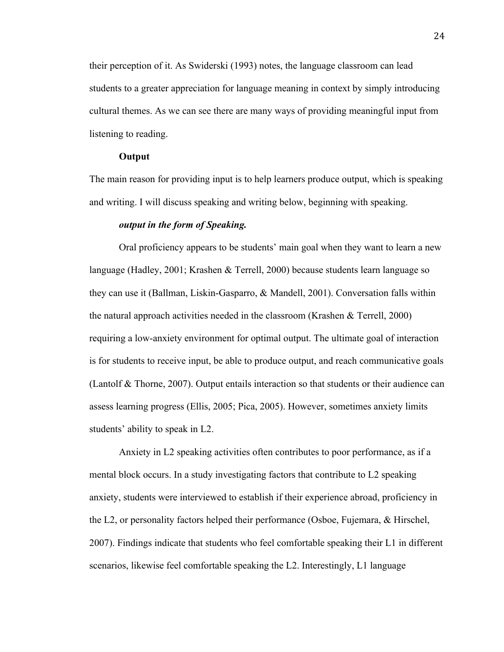their perception of it. As Swiderski (1993) notes, the language classroom can lead students to a greater appreciation for language meaning in context by simply introducing cultural themes. As we can see there are many ways of providing meaningful input from listening to reading.

### **Output**

The main reason for providing input is to help learners produce output, which is speaking and writing. I will discuss speaking and writing below, beginning with speaking.

#### *output in the form of Speaking.*

Oral proficiency appears to be students' main goal when they want to learn a new language (Hadley, 2001; Krashen & Terrell, 2000) because students learn language so they can use it (Ballman, Liskin-Gasparro, & Mandell, 2001). Conversation falls within the natural approach activities needed in the classroom (Krashen & Terrell, 2000) requiring a low-anxiety environment for optimal output. The ultimate goal of interaction is for students to receive input, be able to produce output, and reach communicative goals (Lantolf & Thorne, 2007). Output entails interaction so that students or their audience can assess learning progress (Ellis, 2005; Pica, 2005). However, sometimes anxiety limits students' ability to speak in L2.

Anxiety in L2 speaking activities often contributes to poor performance, as if a mental block occurs. In a study investigating factors that contribute to L2 speaking anxiety, students were interviewed to establish if their experience abroad, proficiency in the L2, or personality factors helped their performance (Osboe, Fujemara, & Hirschel, 2007). Findings indicate that students who feel comfortable speaking their L1 in different scenarios, likewise feel comfortable speaking the L2. Interestingly, L1 language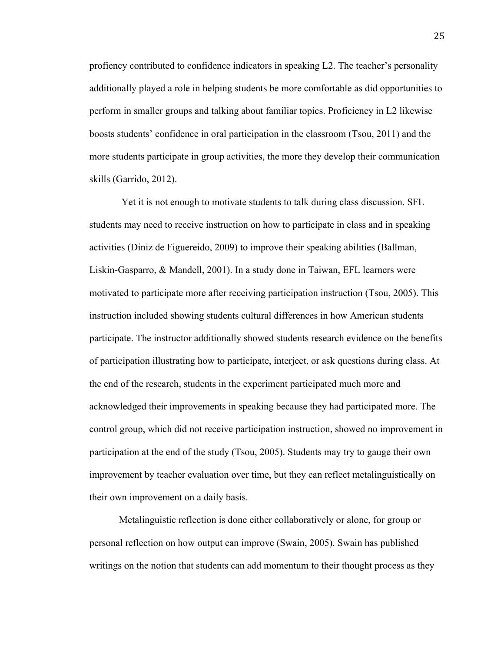profiency contributed to confidence indicators in speaking L2. The teacher's personality additionally played a role in helping students be more comfortable as did opportunities to perform in smaller groups and talking about familiar topics. Proficiency in L2 likewise boosts students' confidence in oral participation in the classroom (Tsou, 2011) and the more students participate in group activities, the more they develop their communication skills (Garrido, 2012).

Yet it is not enough to motivate students to talk during class discussion. SFL students may need to receive instruction on how to participate in class and in speaking activities (Diniz de Figuereido, 2009) to improve their speaking abilities (Ballman, Liskin-Gasparro, & Mandell, 2001). In a study done in Taiwan, EFL learners were motivated to participate more after receiving participation instruction (Tsou, 2005). This instruction included showing students cultural differences in how American students participate. The instructor additionally showed students research evidence on the benefits of participation illustrating how to participate, interject, or ask questions during class. At the end of the research, students in the experiment participated much more and acknowledged their improvements in speaking because they had participated more. The control group, which did not receive participation instruction, showed no improvement in participation at the end of the study (Tsou, 2005). Students may try to gauge their own improvement by teacher evaluation over time, but they can reflect metalinguistically on their own improvement on a daily basis.

Metalinguistic reflection is done either collaboratively or alone, for group or personal reflection on how output can improve (Swain, 2005). Swain has published writings on the notion that students can add momentum to their thought process as they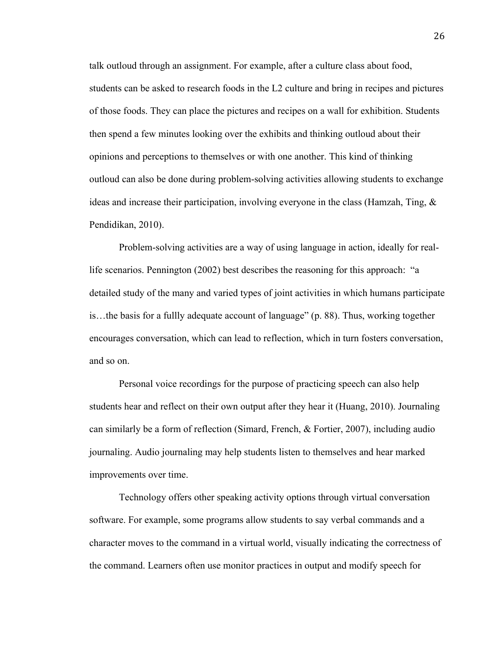talk outloud through an assignment. For example, after a culture class about food, students can be asked to research foods in the L2 culture and bring in recipes and pictures of those foods. They can place the pictures and recipes on a wall for exhibition. Students then spend a few minutes looking over the exhibits and thinking outloud about their opinions and perceptions to themselves or with one another. This kind of thinking outloud can also be done during problem-solving activities allowing students to exchange ideas and increase their participation, involving everyone in the class (Hamzah, Ting,  $\&$ Pendidikan, 2010).

Problem-solving activities are a way of using language in action, ideally for reallife scenarios. Pennington (2002) best describes the reasoning for this approach: "a detailed study of the many and varied types of joint activities in which humans participate is…the basis for a fullly adequate account of language" (p. 88). Thus, working together encourages conversation, which can lead to reflection, which in turn fosters conversation, and so on.

Personal voice recordings for the purpose of practicing speech can also help students hear and reflect on their own output after they hear it (Huang, 2010). Journaling can similarly be a form of reflection (Simard, French, & Fortier, 2007), including audio journaling. Audio journaling may help students listen to themselves and hear marked improvements over time.

Technology offers other speaking activity options through virtual conversation software. For example, some programs allow students to say verbal commands and a character moves to the command in a virtual world, visually indicating the correctness of the command. Learners often use monitor practices in output and modify speech for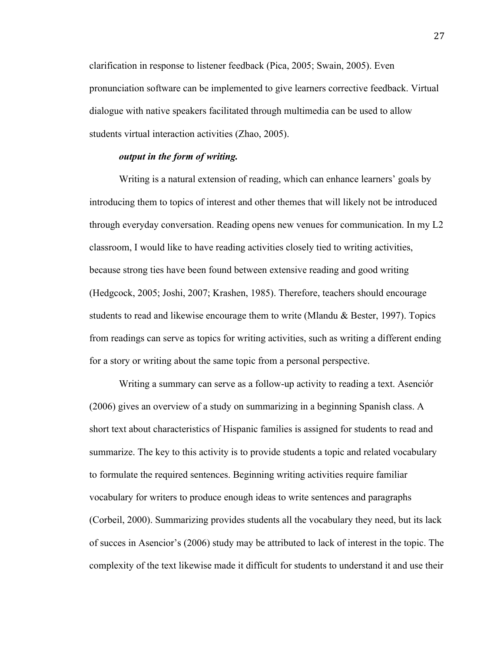clarification in response to listener feedback (Pica, 2005; Swain, 2005). Even pronunciation software can be implemented to give learners corrective feedback. Virtual dialogue with native speakers facilitated through multimedia can be used to allow students virtual interaction activities (Zhao, 2005).

### *output in the form of writing.*

Writing is a natural extension of reading, which can enhance learners' goals by introducing them to topics of interest and other themes that will likely not be introduced through everyday conversation. Reading opens new venues for communication. In my L2 classroom, I would like to have reading activities closely tied to writing activities, because strong ties have been found between extensive reading and good writing (Hedgcock, 2005; Joshi, 2007; Krashen, 1985). Therefore, teachers should encourage students to read and likewise encourage them to write (Mlandu & Bester, 1997). Topics from readings can serve as topics for writing activities, such as writing a different ending for a story or writing about the same topic from a personal perspective.

Writing a summary can serve as a follow-up activity to reading a text. Asenciór (2006) gives an overview of a study on summarizing in a beginning Spanish class. A short text about characteristics of Hispanic families is assigned for students to read and summarize. The key to this activity is to provide students a topic and related vocabulary to formulate the required sentences. Beginning writing activities require familiar vocabulary for writers to produce enough ideas to write sentences and paragraphs (Corbeil, 2000). Summarizing provides students all the vocabulary they need, but its lack of succes in Asencior's (2006) study may be attributed to lack of interest in the topic. The complexity of the text likewise made it difficult for students to understand it and use their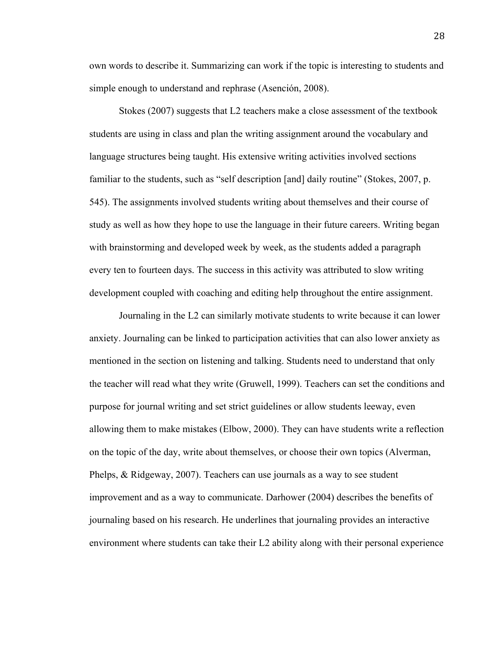own words to describe it. Summarizing can work if the topic is interesting to students and simple enough to understand and rephrase (Asención, 2008).

Stokes (2007) suggests that L2 teachers make a close assessment of the textbook students are using in class and plan the writing assignment around the vocabulary and language structures being taught. His extensive writing activities involved sections familiar to the students, such as "self description [and] daily routine" (Stokes, 2007, p. 545). The assignments involved students writing about themselves and their course of study as well as how they hope to use the language in their future careers. Writing began with brainstorming and developed week by week, as the students added a paragraph every ten to fourteen days. The success in this activity was attributed to slow writing development coupled with coaching and editing help throughout the entire assignment.

Journaling in the L2 can similarly motivate students to write because it can lower anxiety. Journaling can be linked to participation activities that can also lower anxiety as mentioned in the section on listening and talking. Students need to understand that only the teacher will read what they write (Gruwell, 1999). Teachers can set the conditions and purpose for journal writing and set strict guidelines or allow students leeway, even allowing them to make mistakes (Elbow, 2000). They can have students write a reflection on the topic of the day, write about themselves, or choose their own topics (Alverman, Phelps, & Ridgeway, 2007). Teachers can use journals as a way to see student improvement and as a way to communicate. Darhower (2004) describes the benefits of journaling based on his research. He underlines that journaling provides an interactive environment where students can take their L2 ability along with their personal experience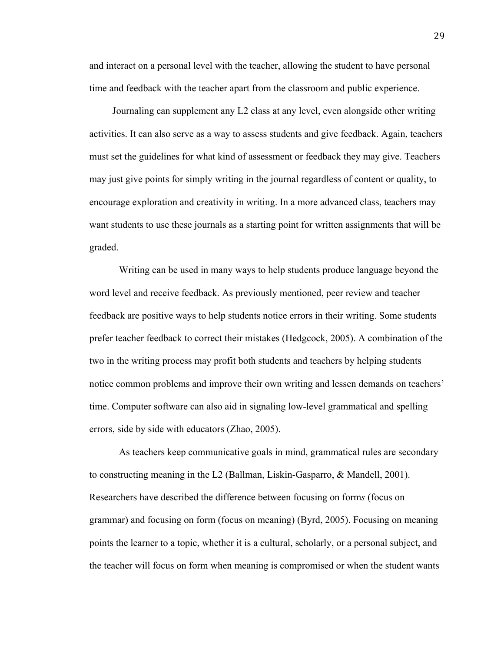and interact on a personal level with the teacher, allowing the student to have personal time and feedback with the teacher apart from the classroom and public experience.

Journaling can supplement any L2 class at any level, even alongside other writing activities. It can also serve as a way to assess students and give feedback. Again, teachers must set the guidelines for what kind of assessment or feedback they may give. Teachers may just give points for simply writing in the journal regardless of content or quality, to encourage exploration and creativity in writing. In a more advanced class, teachers may want students to use these journals as a starting point for written assignments that will be graded.

Writing can be used in many ways to help students produce language beyond the word level and receive feedback. As previously mentioned, peer review and teacher feedback are positive ways to help students notice errors in their writing. Some students prefer teacher feedback to correct their mistakes (Hedgcock, 2005). A combination of the two in the writing process may profit both students and teachers by helping students notice common problems and improve their own writing and lessen demands on teachers' time. Computer software can also aid in signaling low-level grammatical and spelling errors, side by side with educators (Zhao, 2005).

As teachers keep communicative goals in mind, grammatical rules are secondary to constructing meaning in the L2 (Ballman, Liskin-Gasparro, & Mandell, 2001). Researchers have described the difference between focusing on form*s* (focus on grammar) and focusing on form (focus on meaning) (Byrd, 2005). Focusing on meaning points the learner to a topic, whether it is a cultural, scholarly, or a personal subject, and the teacher will focus on form when meaning is compromised or when the student wants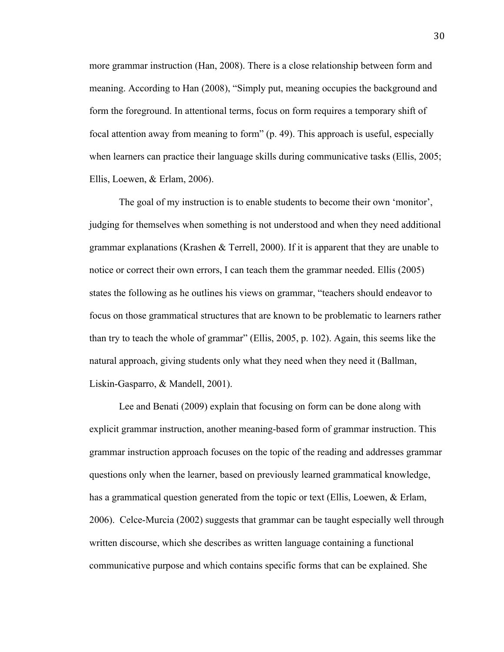more grammar instruction (Han, 2008). There is a close relationship between form and meaning. According to Han (2008), "Simply put, meaning occupies the background and form the foreground. In attentional terms, focus on form requires a temporary shift of focal attention away from meaning to form" (p. 49). This approach is useful, especially when learners can practice their language skills during communicative tasks (Ellis, 2005; Ellis, Loewen, & Erlam, 2006).

The goal of my instruction is to enable students to become their own 'monitor', judging for themselves when something is not understood and when they need additional grammar explanations (Krashen & Terrell, 2000). If it is apparent that they are unable to notice or correct their own errors, I can teach them the grammar needed. Ellis (2005) states the following as he outlines his views on grammar, "teachers should endeavor to focus on those grammatical structures that are known to be problematic to learners rather than try to teach the whole of grammar" (Ellis, 2005, p. 102). Again, this seems like the natural approach, giving students only what they need when they need it (Ballman, Liskin-Gasparro, & Mandell, 2001).

Lee and Benati (2009) explain that focusing on form can be done along with explicit grammar instruction, another meaning-based form of grammar instruction. This grammar instruction approach focuses on the topic of the reading and addresses grammar questions only when the learner, based on previously learned grammatical knowledge, has a grammatical question generated from the topic or text (Ellis, Loewen, & Erlam, 2006). Celce-Murcia (2002) suggests that grammar can be taught especially well through written discourse, which she describes as written language containing a functional communicative purpose and which contains specific forms that can be explained. She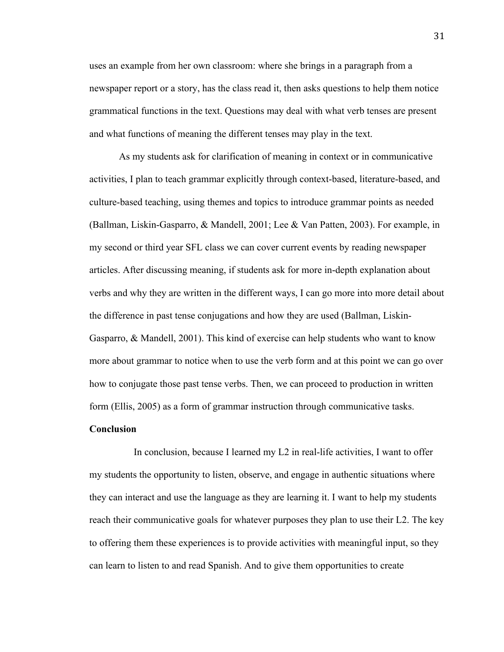uses an example from her own classroom: where she brings in a paragraph from a newspaper report or a story, has the class read it, then asks questions to help them notice grammatical functions in the text. Questions may deal with what verb tenses are present and what functions of meaning the different tenses may play in the text.

As my students ask for clarification of meaning in context or in communicative activities, I plan to teach grammar explicitly through context-based, literature-based, and culture-based teaching, using themes and topics to introduce grammar points as needed (Ballman, Liskin-Gasparro, & Mandell, 2001; Lee & Van Patten, 2003). For example, in my second or third year SFL class we can cover current events by reading newspaper articles. After discussing meaning, if students ask for more in-depth explanation about verbs and why they are written in the different ways, I can go more into more detail about the difference in past tense conjugations and how they are used (Ballman, Liskin-Gasparro, & Mandell, 2001). This kind of exercise can help students who want to know more about grammar to notice when to use the verb form and at this point we can go over how to conjugate those past tense verbs. Then, we can proceed to production in written form (Ellis, 2005) as a form of grammar instruction through communicative tasks.

#### **Conclusion**

In conclusion, because I learned my L2 in real-life activities, I want to offer my students the opportunity to listen, observe, and engage in authentic situations where they can interact and use the language as they are learning it. I want to help my students reach their communicative goals for whatever purposes they plan to use their L2. The key to offering them these experiences is to provide activities with meaningful input, so they can learn to listen to and read Spanish. And to give them opportunities to create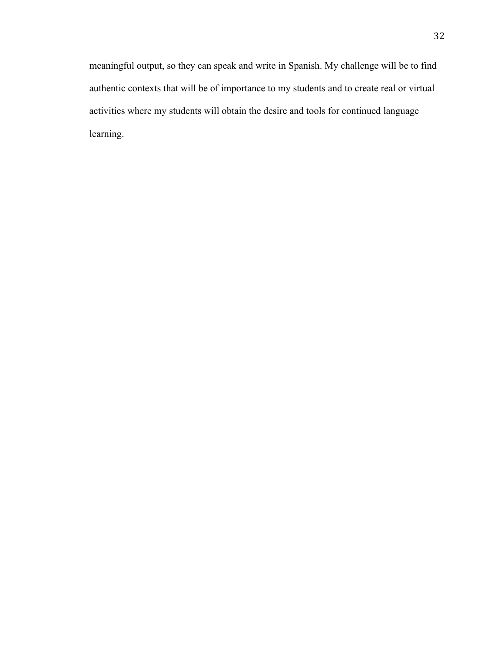meaningful output, so they can speak and write in Spanish. My challenge will be to find authentic contexts that will be of importance to my students and to create real or virtual activities where my students will obtain the desire and tools for continued language learning.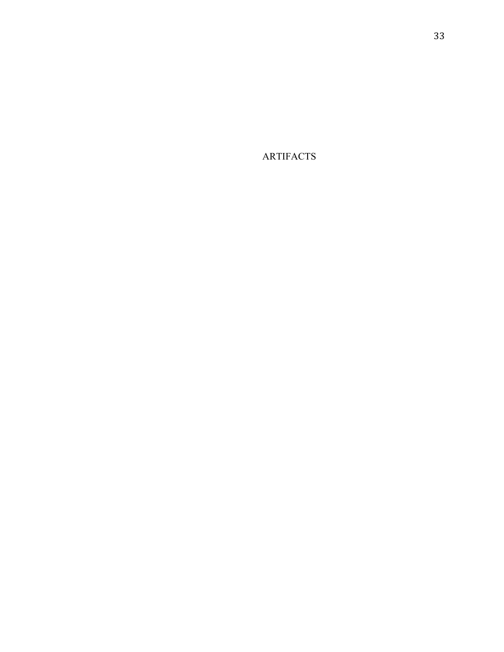ARTIFACTS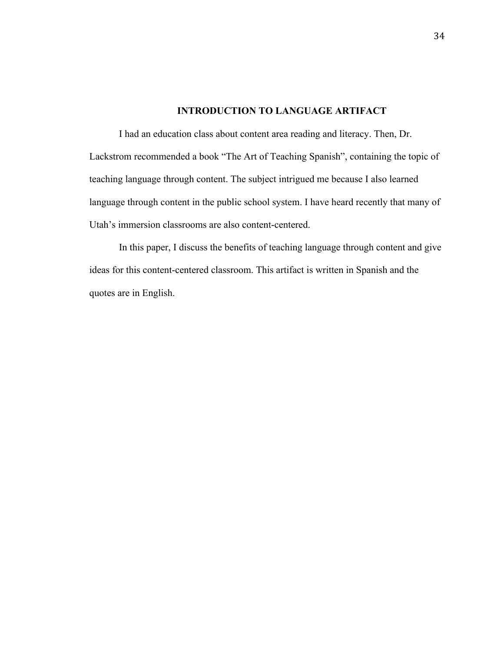## **INTRODUCTION TO LANGUAGE ARTIFACT**

I had an education class about content area reading and literacy. Then, Dr. Lackstrom recommended a book "The Art of Teaching Spanish", containing the topic of teaching language through content. The subject intrigued me because I also learned language through content in the public school system. I have heard recently that many of Utah's immersion classrooms are also content-centered.

In this paper, I discuss the benefits of teaching language through content and give ideas for this content-centered classroom. This artifact is written in Spanish and the quotes are in English.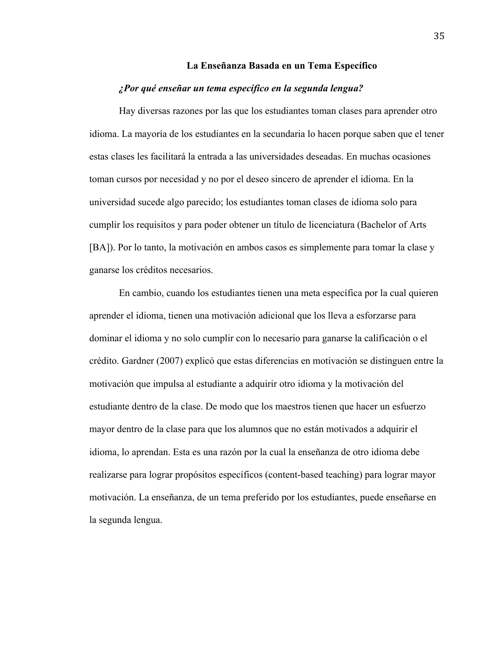#### **La Enseñanza Basada en un Tema Específico**

#### *¿Por qué enseñar un tema específico en la segunda lengua?*

Hay diversas razones por las que los estudiantes toman clases para aprender otro idioma. La mayoría de los estudiantes en la secundaria lo hacen porque saben que el tener estas clases les facilitará la entrada a las universidades deseadas. En muchas ocasiones toman cursos por necesidad y no por el deseo sincero de aprender el idioma. En la universidad sucede algo parecido; los estudiantes toman clases de idioma solo para cumplir los requisitos y para poder obtener un título de licenciatura (Bachelor of Arts [BA]). Por lo tanto, la motivación en ambos casos es simplemente para tomar la clase y ganarse los créditos necesarios.

En cambio, cuando los estudiantes tienen una meta específica por la cual quieren aprender el idioma, tienen una motivación adicional que los lleva a esforzarse para dominar el idioma y no solo cumplir con lo necesario para ganarse la calificación o el crédito. Gardner (2007) explicó que estas diferencias en motivación se distinguen entre la motivación que impulsa al estudiante a adquirir otro idioma y la motivación del estudiante dentro de la clase. De modo que los maestros tienen que hacer un esfuerzo mayor dentro de la clase para que los alumnos que no están motivados a adquirir el idioma, lo aprendan. Esta es una razón por la cual la enseñanza de otro idioma debe realizarse para lograr propósitos específicos (content-based teaching) para lograr mayor motivación. La enseñanza, de un tema preferido por los estudiantes, puede enseñarse en la segunda lengua.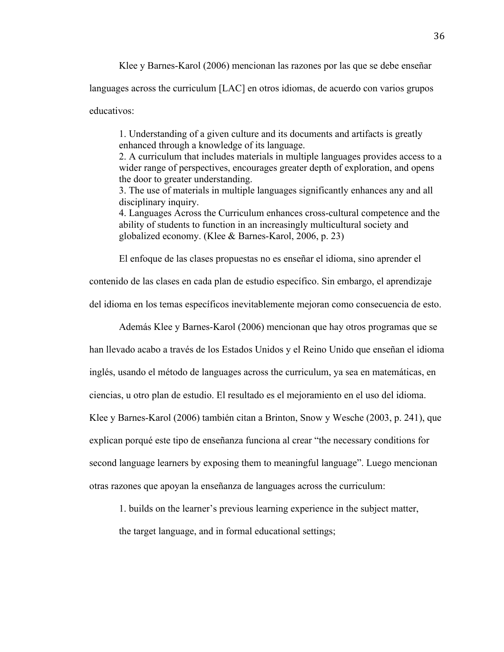Klee y Barnes-Karol (2006) mencionan las razones por las que se debe enseñar

languages across the curriculum [LAC] en otros idiomas, de acuerdo con varios grupos

educativos:

1. Understanding of a given culture and its documents and artifacts is greatly enhanced through a knowledge of its language.

2. A curriculum that includes materials in multiple languages provides access to a wider range of perspectives, encourages greater depth of exploration, and opens the door to greater understanding.

3. The use of materials in multiple languages significantly enhances any and all disciplinary inquiry.

4. Languages Across the Curriculum enhances cross-cultural competence and the ability of students to function in an increasingly multicultural society and globalized economy. (Klee & Barnes-Karol, 2006, p. 23)

El enfoque de las clases propuestas no es enseñar el idioma, sino aprender el

contenido de las clases en cada plan de estudio específico. Sin embargo, el aprendizaje

del idioma en los temas específicos inevitablemente mejoran como consecuencia de esto.

Además Klee y Barnes-Karol (2006) mencionan que hay otros programas que se

han llevado acabo a través de los Estados Unidos y el Reino Unido que enseñan el idioma

inglés, usando el método de languages across the curriculum, ya sea en matemáticas, en

ciencias, u otro plan de estudio. El resultado es el mejoramiento en el uso del idioma.

Klee y Barnes-Karol (2006) también citan a Brinton, Snow y Wesche (2003, p. 241), que

explican porqué este tipo de enseñanza funciona al crear "the necessary conditions for

second language learners by exposing them to meaningful language". Luego mencionan

otras razones que apoyan la enseñanza de languages across the curriculum:

1. builds on the learner's previous learning experience in the subject matter,

the target language, and in formal educational settings;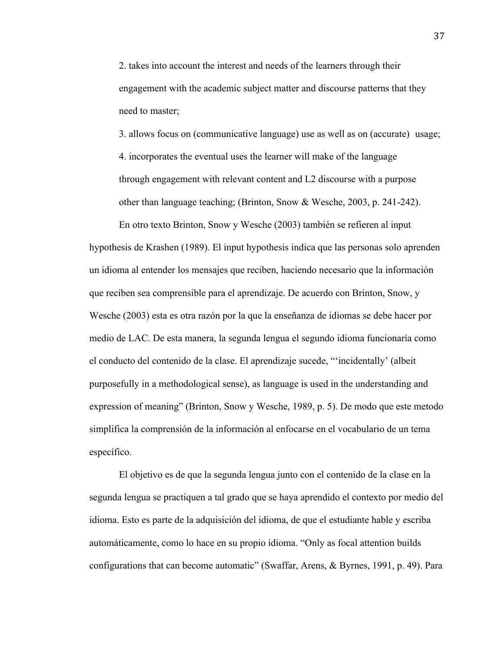2. takes into account the interest and needs of the learners through their engagement with the academic subject matter and discourse patterns that they need to master;

3. allows focus on (communicative language) use as well as on (accurate) usage; 4. incorporates the eventual uses the learner will make of the language through engagement with relevant content and L2 discourse with a purpose other than language teaching; (Brinton, Snow & Wesche, 2003, p. 241-242).

En otro texto Brinton, Snow y Wesche (2003) también se refieren al input hypothesis de Krashen (1989). El input hypothesis indica que las personas solo aprenden un idioma al entender los mensajes que reciben, haciendo necesario que la información que reciben sea comprensible para el aprendizaje. De acuerdo con Brinton, Snow, y Wesche (2003) esta es otra razón por la que la enseñanza de idiomas se debe hacer por medio de LAC. De esta manera, la segunda lengua el segundo idioma funcionaría como el conducto del contenido de la clase. El aprendizaje sucede, "'incidentally' (albeit purposefully in a methodological sense), as language is used in the understanding and expression of meaning" (Brinton, Snow y Wesche, 1989, p. 5). De modo que este metodo simplifica la comprensión de la información al enfocarse en el vocabulario de un tema específico.

El objetivo es de que la segunda lengua junto con el contenido de la clase en la segunda lengua se practiquen a tal grado que se haya aprendido el contexto por medio del idioma. Esto es parte de la adquisición del idioma, de que el estudiante hable y escriba automáticamente, como lo hace en su propio idioma. "Only as focal attention builds configurations that can become automatic" (Swaffar, Arens, & Byrnes, 1991, p. 49). Para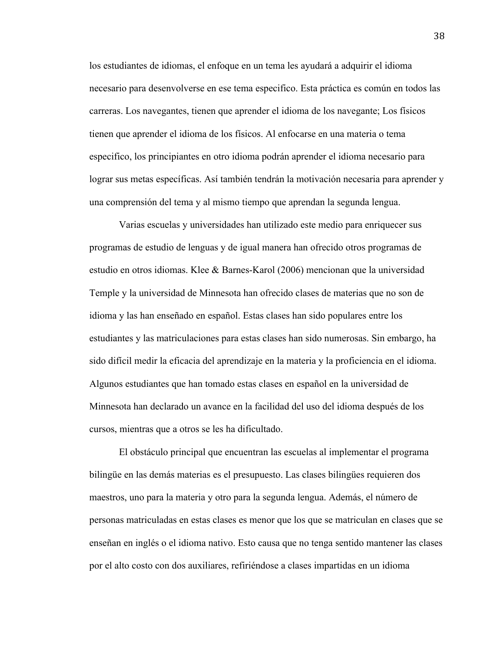los estudiantes de idiomas, el enfoque en un tema les ayudará a adquirir el idioma necesario para desenvolverse en ese tema especifico. Esta práctica es común en todos las carreras. Los navegantes, tienen que aprender el idioma de los navegante; Los físicos tienen que aprender el idioma de los físicos. Al enfocarse en una materia o tema especifico, los principiantes en otro idioma podrán aprender el idioma necesario para lograr sus metas específicas. Así también tendrán la motivación necesaria para aprender y una comprensión del tema y al mismo tiempo que aprendan la segunda lengua.

Varias escuelas y universidades han utilizado este medio para enriquecer sus programas de estudio de lenguas y de igual manera han ofrecido otros programas de estudio en otros idiomas. Klee & Barnes-Karol (2006) mencionan que la universidad Temple y la universidad de Minnesota han ofrecido clases de materias que no son de idioma y las han enseñado en español. Estas clases han sido populares entre los estudiantes y las matriculaciones para estas clases han sido numerosas. Sin embargo, ha sido difícil medir la eficacia del aprendizaje en la materia y la proficiencia en el idioma. Algunos estudiantes que han tomado estas clases en español en la universidad de Minnesota han declarado un avance en la facilidad del uso del idioma después de los cursos, mientras que a otros se les ha dificultado.

El obstáculo principal que encuentran las escuelas al implementar el programa bilingüe en las demás materias es el presupuesto. Las clases bilingües requieren dos maestros, uno para la materia y otro para la segunda lengua. Además, el número de personas matriculadas en estas clases es menor que los que se matriculan en clases que se enseñan en inglés o el idioma nativo. Esto causa que no tenga sentido mantener las clases por el alto costo con dos auxiliares, refiriéndose a clases impartidas en un idioma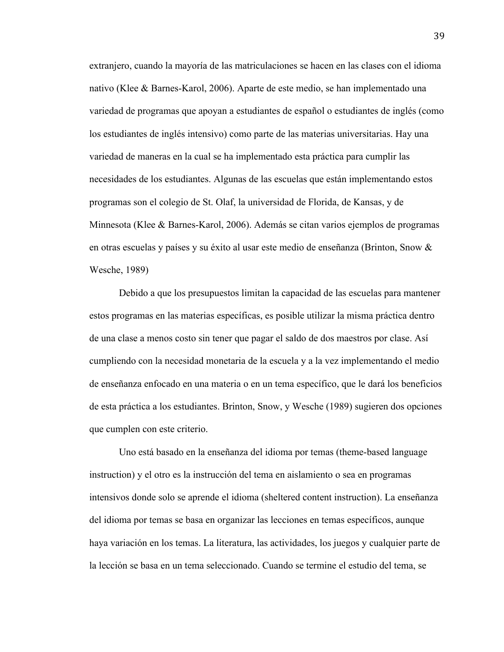extranjero, cuando la mayoría de las matriculaciones se hacen en las clases con el idioma nativo (Klee & Barnes-Karol, 2006). Aparte de este medio, se han implementado una variedad de programas que apoyan a estudiantes de español o estudiantes de inglés (como los estudiantes de inglés intensivo) como parte de las materias universitarias. Hay una variedad de maneras en la cual se ha implementado esta práctica para cumplir las necesidades de los estudiantes. Algunas de las escuelas que están implementando estos programas son el colegio de St. Olaf, la universidad de Florida, de Kansas, y de Minnesota (Klee & Barnes-Karol, 2006). Además se citan varios ejemplos de programas en otras escuelas y países y su éxito al usar este medio de enseñanza (Brinton, Snow & Wesche, 1989)

Debido a que los presupuestos limitan la capacidad de las escuelas para mantener estos programas en las materias específicas, es posible utilizar la misma práctica dentro de una clase a menos costo sin tener que pagar el saldo de dos maestros por clase. Así cumpliendo con la necesidad monetaria de la escuela y a la vez implementando el medio de enseñanza enfocado en una materia o en un tema específico, que le dará los beneficios de esta práctica a los estudiantes. Brinton, Snow, y Wesche (1989) sugieren dos opciones que cumplen con este criterio.

Uno está basado en la enseñanza del idioma por temas (theme-based language instruction) y el otro es la instrucción del tema en aislamiento o sea en programas intensivos donde solo se aprende el idioma (sheltered content instruction). La enseñanza del idioma por temas se basa en organizar las lecciones en temas específicos, aunque haya variación en los temas. La literatura, las actividades, los juegos y cualquier parte de la lección se basa en un tema seleccionado. Cuando se termine el estudio del tema, se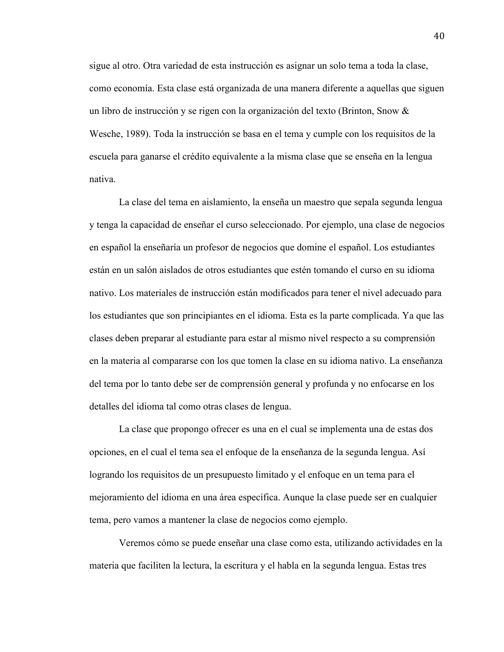sigue al otro. Otra variedad de esta instrucción es asignar un solo tema a toda la clase, como economía. Esta clase está organizada de una manera diferente a aquellas que siguen un libro de instrucción y se rigen con la organización del texto (Brinton, Snow & Wesche, 1989). Toda la instrucción se basa en el tema y cumple con los requisitos de la escuela para ganarse el crédito equivalente a la misma clase que se enseña en la lengua nativa.

La clase del tema en aislamiento, la enseña un maestro que sepala segunda lengua y tenga la capacidad de enseñar el curso seleccionado. Por ejemplo, una clase de negocios en español la enseñaría un profesor de negocios que domine el español. Los estudiantes están en un salón aislados de otros estudiantes que estén tomando el curso en su idioma nativo. Los materiales de instrucción están modificados para tener el nivel adecuado para los estudiantes que son principiantes en el idioma. Esta es la parte complicada. Ya que las clases deben preparar al estudiante para estar al mismo nivel respecto a su comprensión en la materia al compararse con los que tomen la clase en su idioma nativo. La enseñanza del tema por lo tanto debe ser de comprensión general y profunda y no enfocarse en los detalles del idioma tal como otras clases de lengua.

La clase que propongo ofrecer es una en el cual se implementa una de estas dos opciones, en el cual el tema sea el enfoque de la enseñanza de la segunda lengua. Así logrando los requisitos de un presupuesto limitado y el enfoque en un tema para el mejoramiento del idioma en una área específica. Aunque la clase puede ser en cualquier tema, pero vamos a mantener la clase de negocios como ejemplo.

Veremos cómo se puede enseñar una clase como esta, utilizando actividades en la materia que faciliten la lectura, la escritura y el habla en la segunda lengua. Estas tres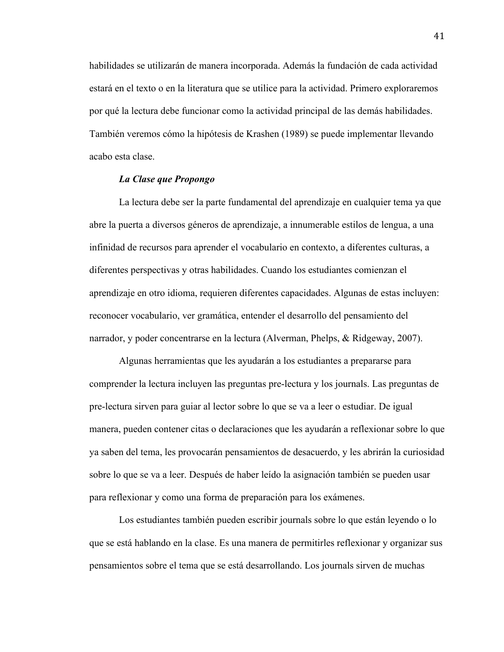habilidades se utilizarán de manera incorporada. Además la fundación de cada actividad estará en el texto o en la literatura que se utilice para la actividad. Primero exploraremos por qué la lectura debe funcionar como la actividad principal de las demás habilidades. También veremos cómo la hipótesis de Krashen (1989) se puede implementar llevando acabo esta clase.

## *La Clase que Propongo*

La lectura debe ser la parte fundamental del aprendizaje en cualquier tema ya que abre la puerta a diversos géneros de aprendizaje, a innumerable estilos de lengua, a una infinidad de recursos para aprender el vocabulario en contexto, a diferentes culturas, a diferentes perspectivas y otras habilidades. Cuando los estudiantes comienzan el aprendizaje en otro idioma, requieren diferentes capacidades. Algunas de estas incluyen: reconocer vocabulario, ver gramática, entender el desarrollo del pensamiento del narrador, y poder concentrarse en la lectura (Alverman, Phelps, & Ridgeway, 2007).

Algunas herramientas que les ayudarán a los estudiantes a prepararse para comprender la lectura incluyen las preguntas pre-lectura y los journals. Las preguntas de pre-lectura sirven para guiar al lector sobre lo que se va a leer o estudiar. De igual manera, pueden contener citas o declaraciones que les ayudarán a reflexionar sobre lo que ya saben del tema, les provocarán pensamientos de desacuerdo, y les abrirán la curiosidad sobre lo que se va a leer. Después de haber leído la asignación también se pueden usar para reflexionar y como una forma de preparación para los exámenes.

Los estudiantes también pueden escribir journals sobre lo que están leyendo o lo que se está hablando en la clase. Es una manera de permitirles reflexionar y organizar sus pensamientos sobre el tema que se está desarrollando. Los journals sirven de muchas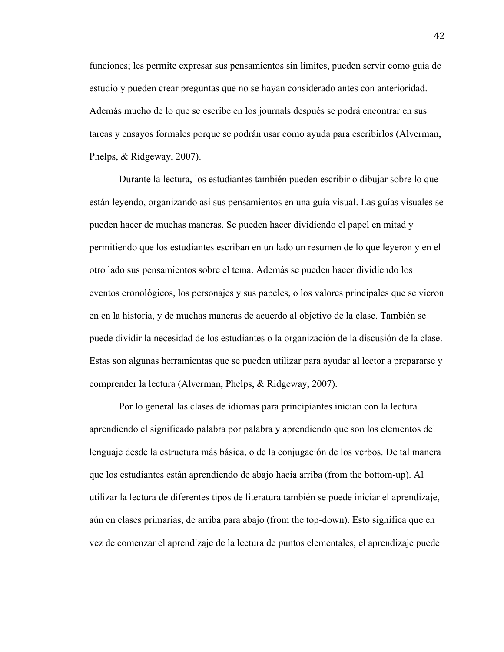funciones; les permite expresar sus pensamientos sin límites, pueden servir como guía de estudio y pueden crear preguntas que no se hayan considerado antes con anterioridad. Además mucho de lo que se escribe en los journals después se podrá encontrar en sus tareas y ensayos formales porque se podrán usar como ayuda para escribirlos (Alverman, Phelps, & Ridgeway, 2007).

Durante la lectura, los estudiantes también pueden escribir o dibujar sobre lo que están leyendo, organizando así sus pensamientos en una guía visual. Las guías visuales se pueden hacer de muchas maneras. Se pueden hacer dividiendo el papel en mitad y permitiendo que los estudiantes escriban en un lado un resumen de lo que leyeron y en el otro lado sus pensamientos sobre el tema. Además se pueden hacer dividiendo los eventos cronológicos, los personajes y sus papeles, o los valores principales que se vieron en en la historia, y de muchas maneras de acuerdo al objetivo de la clase. También se puede dividir la necesidad de los estudiantes o la organización de la discusión de la clase. Estas son algunas herramientas que se pueden utilizar para ayudar al lector a prepararse y comprender la lectura (Alverman, Phelps, & Ridgeway, 2007).

Por lo general las clases de idiomas para principiantes inician con la lectura aprendiendo el significado palabra por palabra y aprendiendo que son los elementos del lenguaje desde la estructura más básica, o de la conjugación de los verbos. De tal manera que los estudiantes están aprendiendo de abajo hacia arriba (from the bottom-up). Al utilizar la lectura de diferentes tipos de literatura también se puede iniciar el aprendizaje, aún en clases primarias, de arriba para abajo (from the top-down). Esto significa que en vez de comenzar el aprendizaje de la lectura de puntos elementales, el aprendizaje puede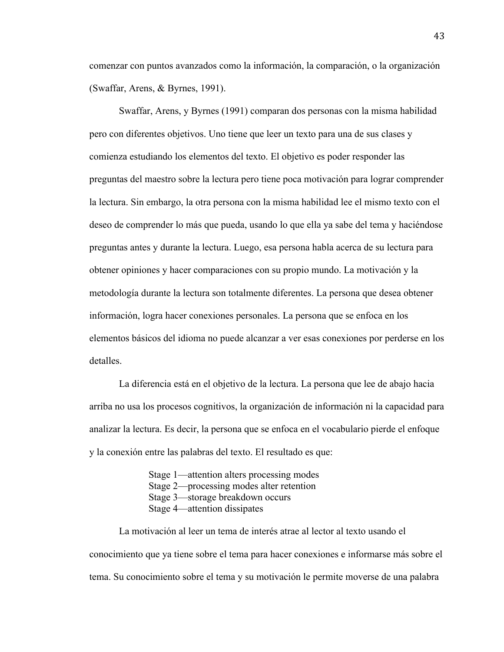comenzar con puntos avanzados como la información, la comparación, o la organización (Swaffar, Arens, & Byrnes, 1991).

Swaffar, Arens, y Byrnes (1991) comparan dos personas con la misma habilidad pero con diferentes objetivos. Uno tiene que leer un texto para una de sus clases y comienza estudiando los elementos del texto. El objetivo es poder responder las preguntas del maestro sobre la lectura pero tiene poca motivación para lograr comprender la lectura. Sin embargo, la otra persona con la misma habilidad lee el mismo texto con el deseo de comprender lo más que pueda, usando lo que ella ya sabe del tema y haciéndose preguntas antes y durante la lectura. Luego, esa persona habla acerca de su lectura para obtener opiniones y hacer comparaciones con su propio mundo. La motivación y la metodología durante la lectura son totalmente diferentes. La persona que desea obtener información, logra hacer conexiones personales. La persona que se enfoca en los elementos básicos del idioma no puede alcanzar a ver esas conexiones por perderse en los detalles.

La diferencia está en el objetivo de la lectura. La persona que lee de abajo hacia arriba no usa los procesos cognitivos, la organización de información ni la capacidad para analizar la lectura. Es decir, la persona que se enfoca en el vocabulario pierde el enfoque y la conexión entre las palabras del texto. El resultado es que:

> Stage 1—attention alters processing modes Stage 2—processing modes alter retention Stage 3—storage breakdown occurs Stage 4—attention dissipates

La motivación al leer un tema de interés atrae al lector al texto usando el conocimiento que ya tiene sobre el tema para hacer conexiones e informarse más sobre el tema. Su conocimiento sobre el tema y su motivación le permite moverse de una palabra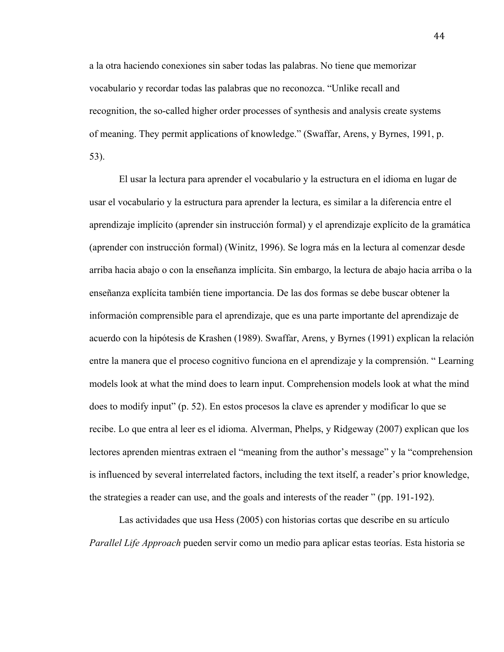a la otra haciendo conexiones sin saber todas las palabras. No tiene que memorizar vocabulario y recordar todas las palabras que no reconozca. "Unlike recall and recognition, the so-called higher order processes of synthesis and analysis create systems of meaning. They permit applications of knowledge." (Swaffar, Arens, y Byrnes, 1991, p. 53).

El usar la lectura para aprender el vocabulario y la estructura en el idioma en lugar de usar el vocabulario y la estructura para aprender la lectura, es similar a la diferencia entre el aprendizaje implícito (aprender sin instrucción formal) y el aprendizaje explícito de la gramática (aprender con instrucción formal) (Winitz, 1996). Se logra más en la lectura al comenzar desde arriba hacia abajo o con la enseñanza implícita. Sin embargo, la lectura de abajo hacia arriba o la enseñanza explícita también tiene importancia. De las dos formas se debe buscar obtener la información comprensible para el aprendizaje, que es una parte importante del aprendizaje de acuerdo con la hipótesis de Krashen (1989). Swaffar, Arens, y Byrnes (1991) explican la relación entre la manera que el proceso cognitivo funciona en el aprendizaje y la comprensión. " Learning models look at what the mind does to learn input. Comprehension models look at what the mind does to modify input" (p. 52). En estos procesos la clave es aprender y modificar lo que se recibe. Lo que entra al leer es el idioma. Alverman, Phelps, y Ridgeway (2007) explican que los lectores aprenden mientras extraen el "meaning from the author's message" y la "comprehension is influenced by several interrelated factors, including the text itself, a reader's prior knowledge, the strategies a reader can use, and the goals and interests of the reader " (pp. 191-192).

Las actividades que usa Hess (2005) con historias cortas que describe en su artículo *Parallel Life Approach* pueden servir como un medio para aplicar estas teorías. Esta historia se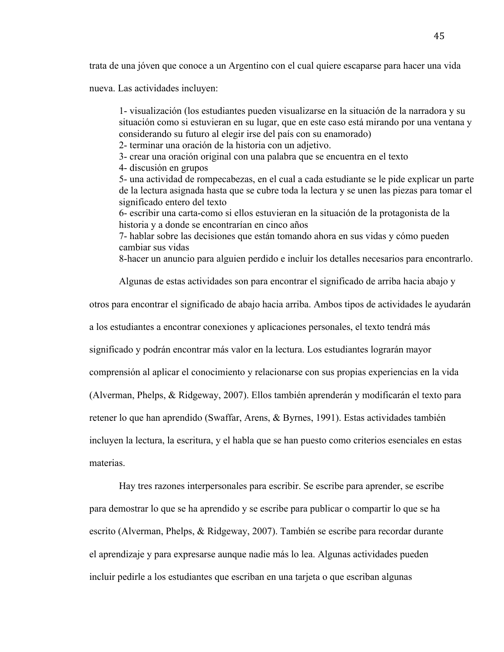trata de una jóven que conoce a un Argentino con el cual quiere escaparse para hacer una vida

nueva. Las actividades incluyen:

1- visualización (los estudiantes pueden visualizarse en la situación de la narradora y su situación como si estuvieran en su lugar, que en este caso está mirando por una ventana y considerando su futuro al elegir irse del país con su enamorado)

2- terminar una oración de la historia con un adjetivo.

3- crear una oración original con una palabra que se encuentra en el texto

4- discusión en grupos

5- una actividad de rompecabezas, en el cual a cada estudiante se le pide explicar un parte de la lectura asignada hasta que se cubre toda la lectura y se unen las piezas para tomar el significado entero del texto

6- escribir una carta-como si ellos estuvieran en la situación de la protagonista de la historia y a donde se encontrarían en cinco años

7- hablar sobre las decisiones que están tomando ahora en sus vidas y cómo pueden cambiar sus vidas

8-hacer un anuncio para alguien perdido e incluir los detalles necesarios para encontrarlo.

Algunas de estas actividades son para encontrar el significado de arriba hacia abajo y

otros para encontrar el significado de abajo hacia arriba. Ambos tipos de actividades le ayudarán

a los estudiantes a encontrar conexiones y aplicaciones personales, el texto tendrá más

significado y podrán encontrar más valor en la lectura. Los estudiantes lograrán mayor

comprensión al aplicar el conocimiento y relacionarse con sus propias experiencias en la vida

(Alverman, Phelps, & Ridgeway, 2007). Ellos también aprenderán y modificarán el texto para

retener lo que han aprendido (Swaffar, Arens, & Byrnes, 1991). Estas actividades también

incluyen la lectura, la escritura, y el habla que se han puesto como criterios esenciales en estas

materias.

Hay tres razones interpersonales para escribir. Se escribe para aprender, se escribe para demostrar lo que se ha aprendido y se escribe para publicar o compartir lo que se ha escrito (Alverman, Phelps, & Ridgeway, 2007). También se escribe para recordar durante el aprendizaje y para expresarse aunque nadie más lo lea. Algunas actividades pueden incluir pedirle a los estudiantes que escriban en una tarjeta o que escriban algunas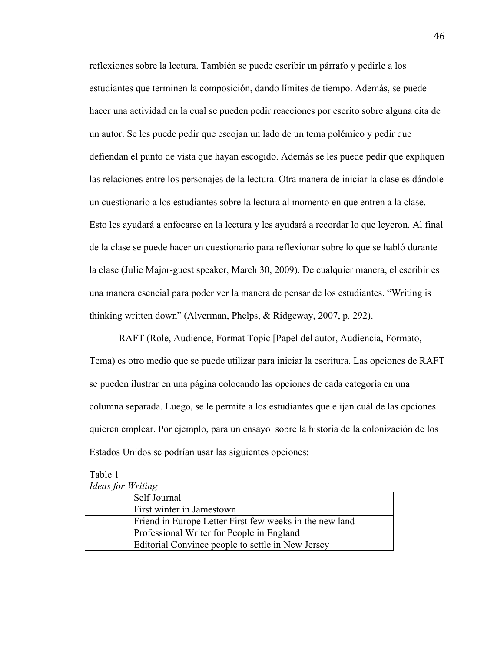reflexiones sobre la lectura. También se puede escribir un párrafo y pedirle a los estudiantes que terminen la composición, dando límites de tiempo. Además, se puede hacer una actividad en la cual se pueden pedir reacciones por escrito sobre alguna cita de un autor. Se les puede pedir que escojan un lado de un tema polémico y pedir que defiendan el punto de vista que hayan escogido. Además se les puede pedir que expliquen las relaciones entre los personajes de la lectura. Otra manera de iniciar la clase es dándole un cuestionario a los estudiantes sobre la lectura al momento en que entren a la clase. Esto les ayudará a enfocarse en la lectura y les ayudará a recordar lo que leyeron. Al final de la clase se puede hacer un cuestionario para reflexionar sobre lo que se habló durante la clase (Julie Major-guest speaker, March 30, 2009). De cualquier manera, el escribir es una manera esencial para poder ver la manera de pensar de los estudiantes. "Writing is thinking written down" (Alverman, Phelps, & Ridgeway, 2007, p. 292).

RAFT (Role, Audience, Format Topic [Papel del autor, Audiencia, Formato, Tema) es otro medio que se puede utilizar para iniciar la escritura. Las opciones de RAFT se pueden ilustrar en una página colocando las opciones de cada categoría en una columna separada. Luego, se le permite a los estudiantes que elijan cuál de las opciones quieren emplear. Por ejemplo, para un ensayo sobre la historia de la colonización de los Estados Unidos se podrían usar las siguientes opciones:

# Table 1

|  | <b>Ideas for Writing</b> |
|--|--------------------------|
|  |                          |

| Self Journal                                            |  |
|---------------------------------------------------------|--|
| First winter in Jamestown                               |  |
| Friend in Europe Letter First few weeks in the new land |  |
| Professional Writer for People in England               |  |
| Editorial Convince people to settle in New Jersey       |  |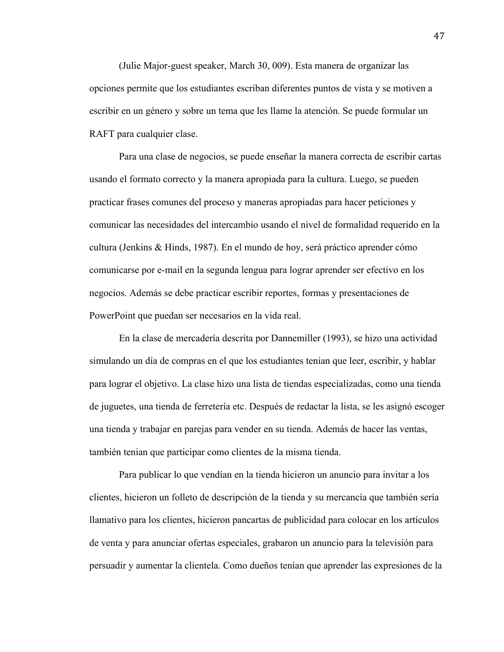(Julie Major-guest speaker, March 30, 009). Esta manera de organizar las opciones permite que los estudiantes escriban diferentes puntos de vista y se motiven a escribir en un género y sobre un tema que les llame la atención. Se puede formular un RAFT para cualquier clase.

Para una clase de negocios, se puede enseñar la manera correcta de escribir cartas usando el formato correcto y la manera apropiada para la cultura. Luego, se pueden practicar frases comunes del proceso y maneras apropiadas para hacer peticiones y comunicar las necesidades del intercambio usando el nivel de formalidad requerido en la cultura (Jenkins & Hinds, 1987). En el mundo de hoy, será práctico aprender cómo comunicarse por e-mail en la segunda lengua para lograr aprender ser efectivo en los negocios. Además se debe practicar escribir reportes, formas y presentaciones de PowerPoint que puedan ser necesarios en la vida real.

En la clase de mercadería descrita por Dannemiller (1993), se hizo una actividad simulando un día de compras en el que los estudiantes tenian que leer, escribir, y hablar para lograr el objetivo. La clase hizo una lista de tiendas especializadas, como una tienda de juguetes, una tienda de ferretería etc. Después de redactar la lista, se les asignó escoger una tienda y trabajar en parejas para vender en su tienda. Además de hacer las ventas, también tenian que participar como clientes de la misma tienda.

Para publicar lo que vendían en la tienda hicieron un anuncio para invitar a los clientes, hicieron un folleto de descripción de la tienda y su mercancía que también sería llamativo para los clientes, hicieron pancartas de publicidad para colocar en los artículos de venta y para anunciar ofertas especiales, grabaron un anuncio para la televisión para persuadir y aumentar la clientela. Como dueños tenían que aprender las expresiones de la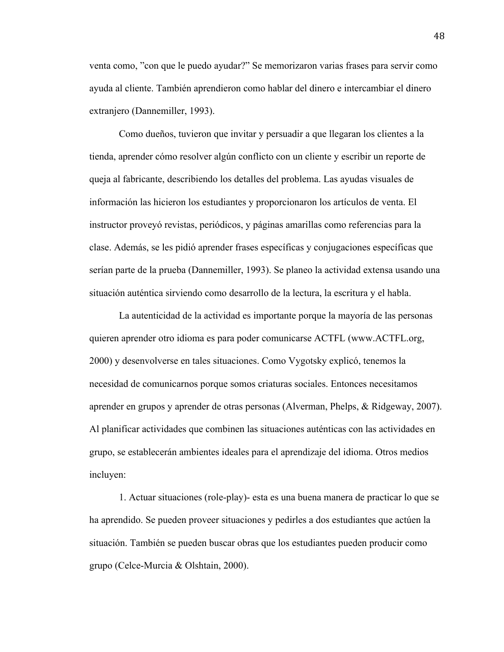venta como, "con que le puedo ayudar?" Se memorizaron varias frases para servir como ayuda al cliente. También aprendieron como hablar del dinero e intercambiar el dinero extranjero (Dannemiller, 1993).

Como dueños, tuvieron que invitar y persuadir a que llegaran los clientes a la tienda, aprender cómo resolver algún conflicto con un cliente y escribir un reporte de queja al fabricante, describiendo los detalles del problema. Las ayudas visuales de información las hicieron los estudiantes y proporcionaron los artículos de venta. El instructor proveyó revistas, periódicos, y páginas amarillas como referencias para la clase. Además, se les pidió aprender frases específicas y conjugaciones específicas que serían parte de la prueba (Dannemiller, 1993). Se planeo la actividad extensa usando una situación auténtica sirviendo como desarrollo de la lectura, la escritura y el habla.

La autenticidad de la actividad es importante porque la mayoría de las personas quieren aprender otro idioma es para poder comunicarse ACTFL (www.ACTFL.org, 2000) y desenvolverse en tales situaciones. Como Vygotsky explicó, tenemos la necesidad de comunicarnos porque somos criaturas sociales. Entonces necesitamos aprender en grupos y aprender de otras personas (Alverman, Phelps, & Ridgeway, 2007). Al planificar actividades que combinen las situaciones auténticas con las actividades en grupo, se establecerán ambientes ideales para el aprendizaje del idioma. Otros medios incluyen:

1. Actuar situaciones (role-play)- esta es una buena manera de practicar lo que se ha aprendido. Se pueden proveer situaciones y pedirles a dos estudiantes que actúen la situación. También se pueden buscar obras que los estudiantes pueden producir como grupo (Celce-Murcia & Olshtain, 2000).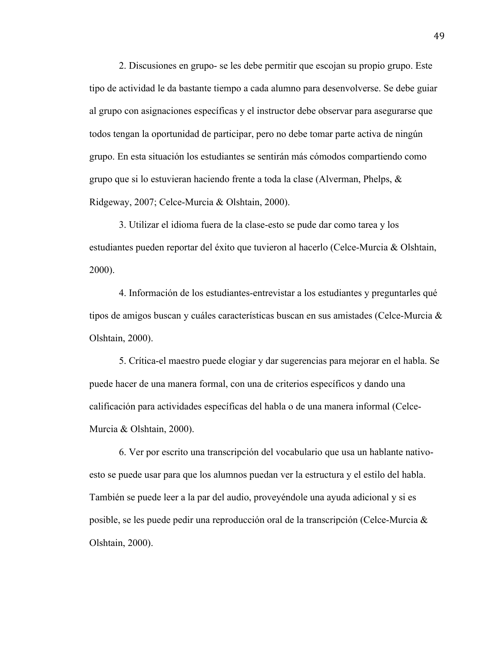2. Discusiones en grupo- se les debe permitir que escojan su propio grupo. Este tipo de actividad le da bastante tiempo a cada alumno para desenvolverse. Se debe guiar al grupo con asignaciones específicas y el instructor debe observar para asegurarse que todos tengan la oportunidad de participar, pero no debe tomar parte activa de ningún grupo. En esta situación los estudiantes se sentirán más cómodos compartiendo como grupo que si lo estuvieran haciendo frente a toda la clase (Alverman, Phelps, & Ridgeway, 2007; Celce-Murcia & Olshtain, 2000).

3. Utilizar el idioma fuera de la clase-esto se pude dar como tarea y los estudiantes pueden reportar del éxito que tuvieron al hacerlo (Celce-Murcia & Olshtain, 2000).

4. Información de los estudiantes-entrevistar a los estudiantes y preguntarles qué tipos de amigos buscan y cuáles características buscan en sus amistades (Celce-Murcia & Olshtain, 2000).

5. Crítica-el maestro puede elogiar y dar sugerencias para mejorar en el habla. Se puede hacer de una manera formal, con una de criterios específicos y dando una calificación para actividades específicas del habla o de una manera informal (Celce-Murcia & Olshtain, 2000).

6. Ver por escrito una transcripción del vocabulario que usa un hablante nativoesto se puede usar para que los alumnos puedan ver la estructura y el estilo del habla. También se puede leer a la par del audio, proveyéndole una ayuda adicional y si es posible, se les puede pedir una reproducción oral de la transcripción (Celce-Murcia & Olshtain, 2000).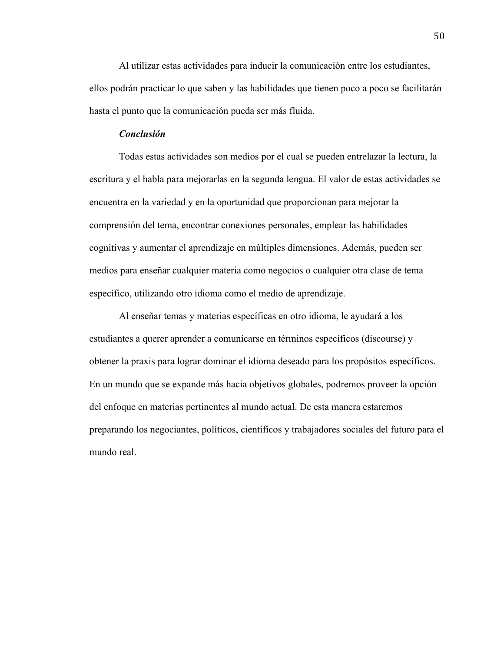Al utilizar estas actividades para inducir la comunicación entre los estudiantes, ellos podrán practicar lo que saben y las habilidades que tienen poco a poco se facilitarán hasta el punto que la comunicación pueda ser más fluida.

## *Conclusión*

Todas estas actividades son medios por el cual se pueden entrelazar la lectura, la escritura y el habla para mejorarlas en la segunda lengua. El valor de estas actividades se encuentra en la variedad y en la oportunidad que proporcionan para mejorar la comprensión del tema, encontrar conexiones personales, emplear las habilidades cognitivas y aumentar el aprendizaje en múltiples dimensiones. Además, pueden ser medios para enseñar cualquier materia como negocios o cualquier otra clase de tema específico, utilizando otro idioma como el medio de aprendizaje.

Al enseñar temas y materias específicas en otro idioma, le ayudará a los estudiantes a querer aprender a comunicarse en términos específicos (discourse) y obtener la praxis para lograr dominar el idioma deseado para los propósitos específicos. En un mundo que se expande más hacia objetivos globales, podremos proveer la opción del enfoque en materias pertinentes al mundo actual. De esta manera estaremos preparando los negociantes, políticos, científicos y trabajadores sociales del futuro para el mundo real.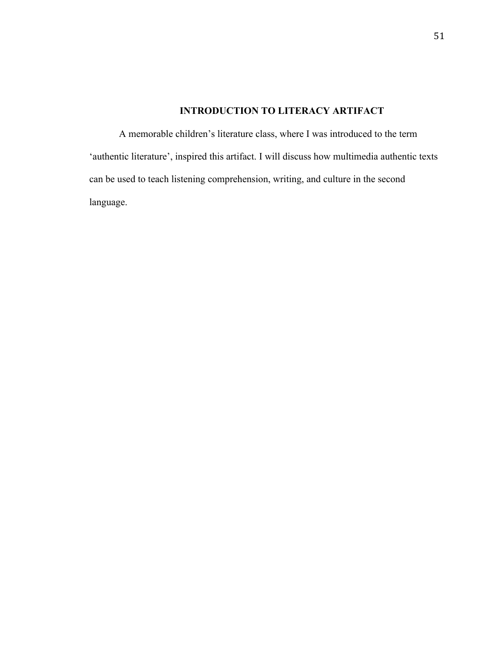# **INTRODUCTION TO LITERACY ARTIFACT**

A memorable children's literature class, where I was introduced to the term 'authentic literature', inspired this artifact. I will discuss how multimedia authentic texts can be used to teach listening comprehension, writing, and culture in the second language.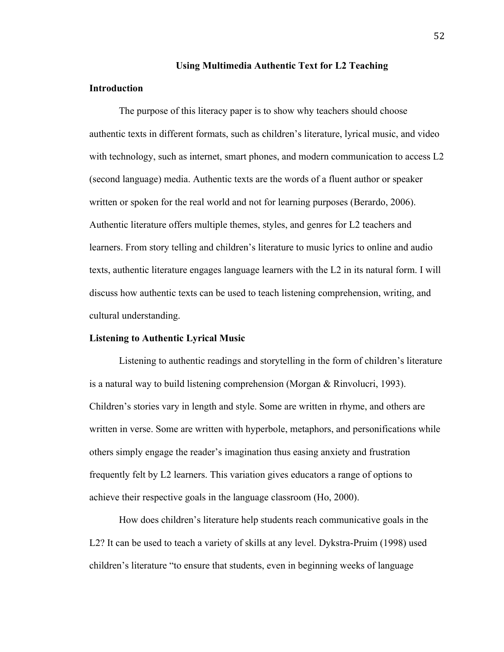#### **Using Multimedia Authentic Text for L2 Teaching**

#### **Introduction**

The purpose of this literacy paper is to show why teachers should choose authentic texts in different formats, such as children's literature, lyrical music, and video with technology, such as internet, smart phones, and modern communication to access L2 (second language) media. Authentic texts are the words of a fluent author or speaker written or spoken for the real world and not for learning purposes (Berardo, 2006). Authentic literature offers multiple themes, styles, and genres for L2 teachers and learners. From story telling and children's literature to music lyrics to online and audio texts, authentic literature engages language learners with the L2 in its natural form. I will discuss how authentic texts can be used to teach listening comprehension, writing, and cultural understanding.

#### **Listening to Authentic Lyrical Music**

Listening to authentic readings and storytelling in the form of children's literature is a natural way to build listening comprehension (Morgan & Rinvolucri, 1993). Children's stories vary in length and style. Some are written in rhyme, and others are written in verse. Some are written with hyperbole, metaphors, and personifications while others simply engage the reader's imagination thus easing anxiety and frustration frequently felt by L2 learners. This variation gives educators a range of options to achieve their respective goals in the language classroom (Ho, 2000).

How does children's literature help students reach communicative goals in the L2? It can be used to teach a variety of skills at any level. Dykstra-Pruim (1998) used children's literature "to ensure that students, even in beginning weeks of language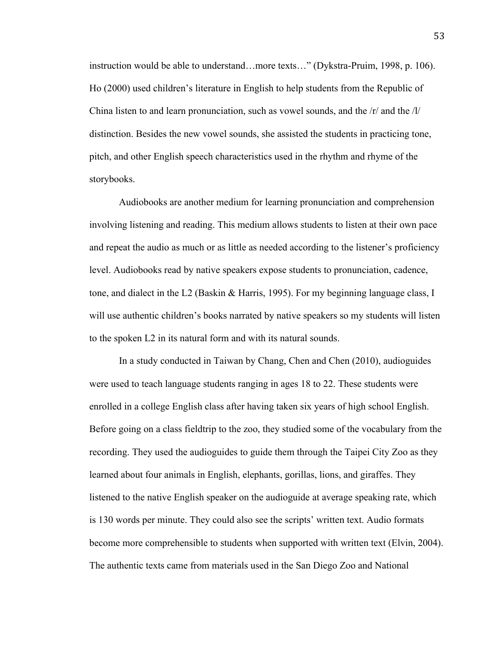instruction would be able to understand…more texts…" (Dykstra-Pruim, 1998, p. 106). Ho (2000) used children's literature in English to help students from the Republic of China listen to and learn pronunciation, such as vowel sounds, and the /r/ and the /l/ distinction. Besides the new vowel sounds, she assisted the students in practicing tone, pitch, and other English speech characteristics used in the rhythm and rhyme of the storybooks.

Audiobooks are another medium for learning pronunciation and comprehension involving listening and reading. This medium allows students to listen at their own pace and repeat the audio as much or as little as needed according to the listener's proficiency level. Audiobooks read by native speakers expose students to pronunciation, cadence, tone, and dialect in the L2 (Baskin & Harris, 1995). For my beginning language class, I will use authentic children's books narrated by native speakers so my students will listen to the spoken L2 in its natural form and with its natural sounds.

In a study conducted in Taiwan by Chang, Chen and Chen (2010), audioguides were used to teach language students ranging in ages 18 to 22. These students were enrolled in a college English class after having taken six years of high school English. Before going on a class fieldtrip to the zoo, they studied some of the vocabulary from the recording. They used the audioguides to guide them through the Taipei City Zoo as they learned about four animals in English, elephants, gorillas, lions, and giraffes. They listened to the native English speaker on the audioguide at average speaking rate, which is 130 words per minute. They could also see the scripts' written text. Audio formats become more comprehensible to students when supported with written text (Elvin, 2004). The authentic texts came from materials used in the San Diego Zoo and National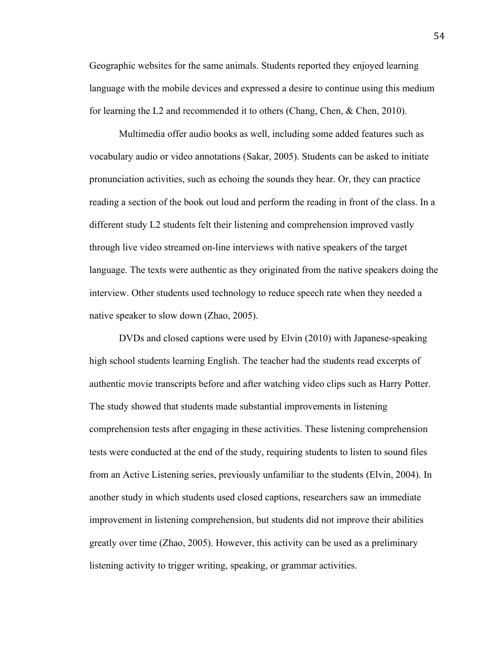Geographic websites for the same animals. Students reported they enjoyed learning language with the mobile devices and expressed a desire to continue using this medium for learning the L2 and recommended it to others (Chang, Chen, & Chen, 2010).

Multimedia offer audio books as well, including some added features such as vocabulary audio or video annotations (Sakar, 2005). Students can be asked to initiate pronunciation activities, such as echoing the sounds they hear. Or, they can practice reading a section of the book out loud and perform the reading in front of the class. In a different study L2 students felt their listening and comprehension improved vastly through live video streamed on-line interviews with native speakers of the target language. The texts were authentic as they originated from the native speakers doing the interview. Other students used technology to reduce speech rate when they needed a native speaker to slow down (Zhao, 2005).

DVDs and closed captions were used by Elvin (2010) with Japanese-speaking high school students learning English. The teacher had the students read excerpts of authentic movie transcripts before and after watching video clips such as Harry Potter. The study showed that students made substantial improvements in listening comprehension tests after engaging in these activities. These listening comprehension tests were conducted at the end of the study, requiring students to listen to sound files from an Active Listening series, previously unfamiliar to the students (Elvin, 2004). In another study in which students used closed captions, researchers saw an immediate improvement in listening comprehension, but students did not improve their abilities greatly over time (Zhao, 2005). However, this activity can be used as a preliminary listening activity to trigger writing, speaking, or grammar activities.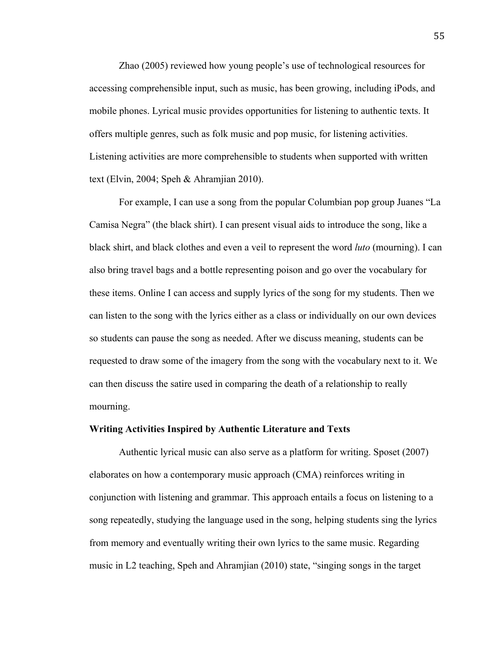Zhao (2005) reviewed how young people's use of technological resources for accessing comprehensible input, such as music, has been growing, including iPods, and mobile phones. Lyrical music provides opportunities for listening to authentic texts. It offers multiple genres, such as folk music and pop music, for listening activities. Listening activities are more comprehensible to students when supported with written text (Elvin, 2004; Speh & Ahramjian 2010).

For example, I can use a song from the popular Columbian pop group Juanes "La Camisa Negra" (the black shirt). I can present visual aids to introduce the song, like a black shirt, and black clothes and even a veil to represent the word *luto* (mourning). I can also bring travel bags and a bottle representing poison and go over the vocabulary for these items. Online I can access and supply lyrics of the song for my students. Then we can listen to the song with the lyrics either as a class or individually on our own devices so students can pause the song as needed. After we discuss meaning, students can be requested to draw some of the imagery from the song with the vocabulary next to it. We can then discuss the satire used in comparing the death of a relationship to really mourning.

#### **Writing Activities Inspired by Authentic Literature and Texts**

Authentic lyrical music can also serve as a platform for writing. Sposet (2007) elaborates on how a contemporary music approach (CMA) reinforces writing in conjunction with listening and grammar. This approach entails a focus on listening to a song repeatedly, studying the language used in the song, helping students sing the lyrics from memory and eventually writing their own lyrics to the same music. Regarding music in L2 teaching, Speh and Ahramjian (2010) state, "singing songs in the target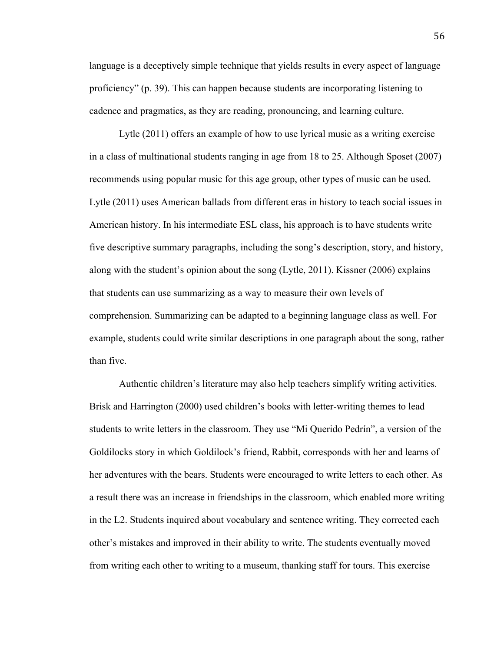language is a deceptively simple technique that yields results in every aspect of language proficiency" (p. 39). This can happen because students are incorporating listening to cadence and pragmatics, as they are reading, pronouncing, and learning culture.

Lytle (2011) offers an example of how to use lyrical music as a writing exercise in a class of multinational students ranging in age from 18 to 25. Although Sposet (2007) recommends using popular music for this age group, other types of music can be used. Lytle (2011) uses American ballads from different eras in history to teach social issues in American history. In his intermediate ESL class, his approach is to have students write five descriptive summary paragraphs, including the song's description, story, and history, along with the student's opinion about the song (Lytle, 2011). Kissner (2006) explains that students can use summarizing as a way to measure their own levels of comprehension. Summarizing can be adapted to a beginning language class as well. For example, students could write similar descriptions in one paragraph about the song, rather than five.

Authentic children's literature may also help teachers simplify writing activities. Brisk and Harrington (2000) used children's books with letter-writing themes to lead students to write letters in the classroom. They use "Mi Querido Pedrín", a version of the Goldilocks story in which Goldilock's friend, Rabbit, corresponds with her and learns of her adventures with the bears. Students were encouraged to write letters to each other. As a result there was an increase in friendships in the classroom, which enabled more writing in the L2. Students inquired about vocabulary and sentence writing. They corrected each other's mistakes and improved in their ability to write. The students eventually moved from writing each other to writing to a museum, thanking staff for tours. This exercise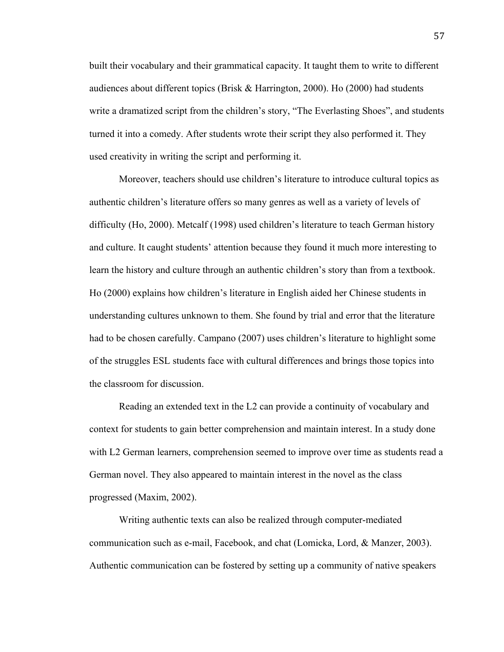built their vocabulary and their grammatical capacity. It taught them to write to different audiences about different topics (Brisk & Harrington, 2000). Ho (2000) had students write a dramatized script from the children's story, "The Everlasting Shoes", and students turned it into a comedy. After students wrote their script they also performed it. They used creativity in writing the script and performing it.

Moreover, teachers should use children's literature to introduce cultural topics as authentic children's literature offers so many genres as well as a variety of levels of difficulty (Ho, 2000). Metcalf (1998) used children's literature to teach German history and culture. It caught students' attention because they found it much more interesting to learn the history and culture through an authentic children's story than from a textbook. Ho (2000) explains how children's literature in English aided her Chinese students in understanding cultures unknown to them. She found by trial and error that the literature had to be chosen carefully. Campano (2007) uses children's literature to highlight some of the struggles ESL students face with cultural differences and brings those topics into the classroom for discussion.

Reading an extended text in the L2 can provide a continuity of vocabulary and context for students to gain better comprehension and maintain interest. In a study done with L2 German learners, comprehension seemed to improve over time as students read a German novel. They also appeared to maintain interest in the novel as the class progressed (Maxim, 2002).

Writing authentic texts can also be realized through computer-mediated communication such as e-mail, Facebook, and chat (Lomicka, Lord, & Manzer, 2003). Authentic communication can be fostered by setting up a community of native speakers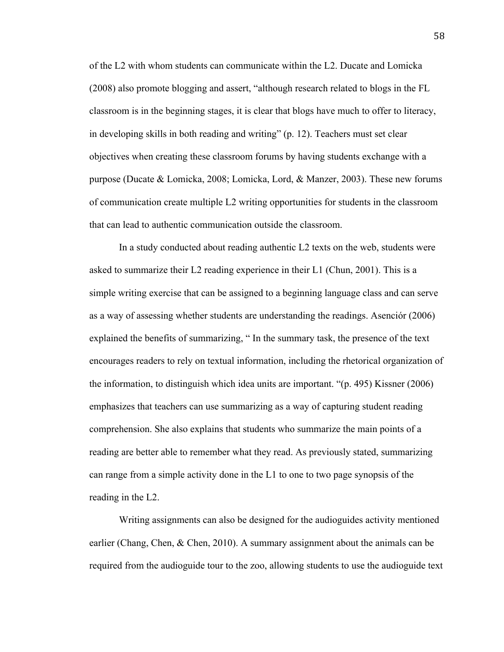of the L2 with whom students can communicate within the L2. Ducate and Lomicka (2008) also promote blogging and assert, "although research related to blogs in the FL classroom is in the beginning stages, it is clear that blogs have much to offer to literacy, in developing skills in both reading and writing" (p. 12). Teachers must set clear objectives when creating these classroom forums by having students exchange with a purpose (Ducate & Lomicka, 2008; Lomicka, Lord, & Manzer, 2003). These new forums of communication create multiple L2 writing opportunities for students in the classroom that can lead to authentic communication outside the classroom.

In a study conducted about reading authentic L2 texts on the web, students were asked to summarize their L2 reading experience in their L1 (Chun, 2001). This is a simple writing exercise that can be assigned to a beginning language class and can serve as a way of assessing whether students are understanding the readings. Asenciór (2006) explained the benefits of summarizing, " In the summary task, the presence of the text encourages readers to rely on textual information, including the rhetorical organization of the information, to distinguish which idea units are important. "(p. 495) Kissner (2006) emphasizes that teachers can use summarizing as a way of capturing student reading comprehension. She also explains that students who summarize the main points of a reading are better able to remember what they read. As previously stated, summarizing can range from a simple activity done in the L1 to one to two page synopsis of the reading in the L2.

Writing assignments can also be designed for the audioguides activity mentioned earlier (Chang, Chen, & Chen, 2010). A summary assignment about the animals can be required from the audioguide tour to the zoo, allowing students to use the audioguide text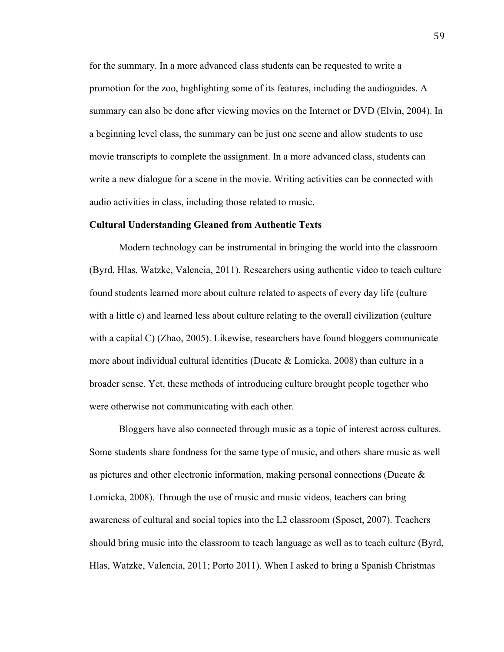for the summary. In a more advanced class students can be requested to write a promotion for the zoo, highlighting some of its features, including the audioguides. A summary can also be done after viewing movies on the Internet or DVD (Elvin, 2004). In a beginning level class, the summary can be just one scene and allow students to use movie transcripts to complete the assignment. In a more advanced class, students can write a new dialogue for a scene in the movie. Writing activities can be connected with audio activities in class, including those related to music.

#### **Cultural Understanding Gleaned from Authentic Texts**

Modern technology can be instrumental in bringing the world into the classroom (Byrd, Hlas, Watzke, Valencia, 2011). Researchers using authentic video to teach culture found students learned more about culture related to aspects of every day life (culture with a little c) and learned less about culture relating to the overall civilization (culture with a capital C) (Zhao, 2005). Likewise, researchers have found bloggers communicate more about individual cultural identities (Ducate & Lomicka, 2008) than culture in a broader sense. Yet, these methods of introducing culture brought people together who were otherwise not communicating with each other.

Bloggers have also connected through music as a topic of interest across cultures. Some students share fondness for the same type of music, and others share music as well as pictures and other electronic information, making personal connections (Ducate & Lomicka, 2008). Through the use of music and music videos, teachers can bring awareness of cultural and social topics into the L2 classroom (Sposet, 2007). Teachers should bring music into the classroom to teach language as well as to teach culture (Byrd, Hlas, Watzke, Valencia, 2011; Porto 2011). When I asked to bring a Spanish Christmas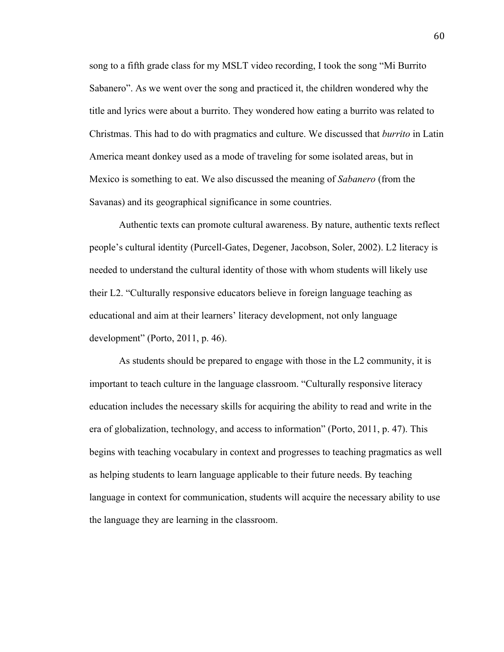song to a fifth grade class for my MSLT video recording, I took the song "Mi Burrito Sabanero". As we went over the song and practiced it, the children wondered why the title and lyrics were about a burrito. They wondered how eating a burrito was related to Christmas. This had to do with pragmatics and culture. We discussed that *burrito* in Latin America meant donkey used as a mode of traveling for some isolated areas, but in Mexico is something to eat. We also discussed the meaning of *Sabanero* (from the Savanas) and its geographical significance in some countries.

Authentic texts can promote cultural awareness. By nature, authentic texts reflect people's cultural identity (Purcell-Gates, Degener, Jacobson, Soler, 2002). L2 literacy is needed to understand the cultural identity of those with whom students will likely use their L2. "Culturally responsive educators believe in foreign language teaching as educational and aim at their learners' literacy development, not only language development" (Porto, 2011, p. 46).

As students should be prepared to engage with those in the L2 community, it is important to teach culture in the language classroom. "Culturally responsive literacy education includes the necessary skills for acquiring the ability to read and write in the era of globalization, technology, and access to information" (Porto, 2011, p. 47). This begins with teaching vocabulary in context and progresses to teaching pragmatics as well as helping students to learn language applicable to their future needs. By teaching language in context for communication, students will acquire the necessary ability to use the language they are learning in the classroom.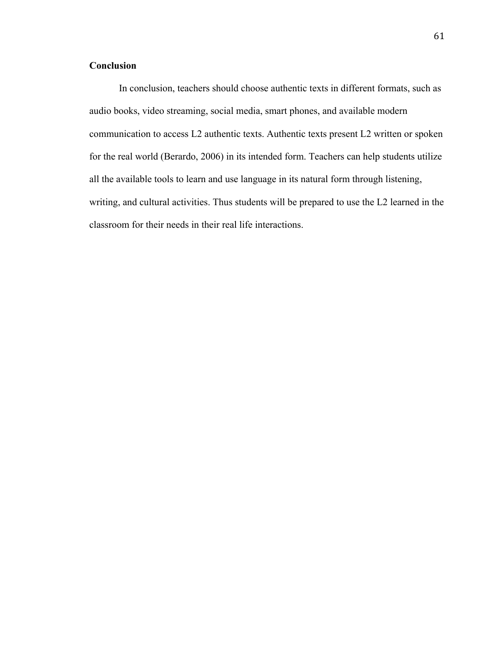# **Conclusion**

In conclusion, teachers should choose authentic texts in different formats, such as audio books, video streaming, social media, smart phones, and available modern communication to access L2 authentic texts. Authentic texts present L2 written or spoken for the real world (Berardo, 2006) in its intended form. Teachers can help students utilize all the available tools to learn and use language in its natural form through listening, writing, and cultural activities. Thus students will be prepared to use the L2 learned in the classroom for their needs in their real life interactions.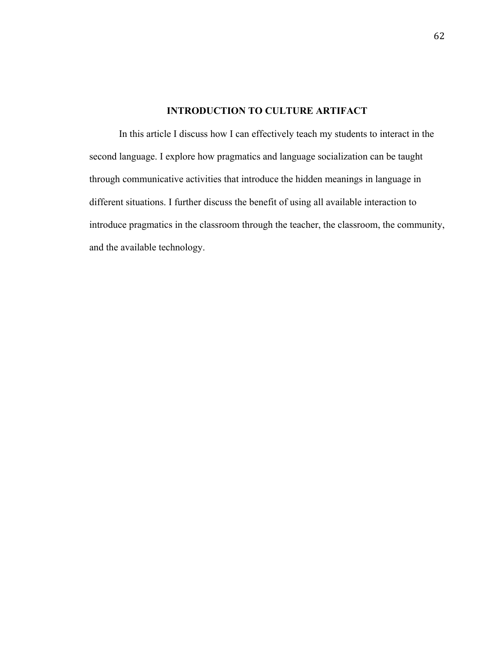# **INTRODUCTION TO CULTURE ARTIFACT**

In this article I discuss how I can effectively teach my students to interact in the second language. I explore how pragmatics and language socialization can be taught through communicative activities that introduce the hidden meanings in language in different situations. I further discuss the benefit of using all available interaction to introduce pragmatics in the classroom through the teacher, the classroom, the community, and the available technology.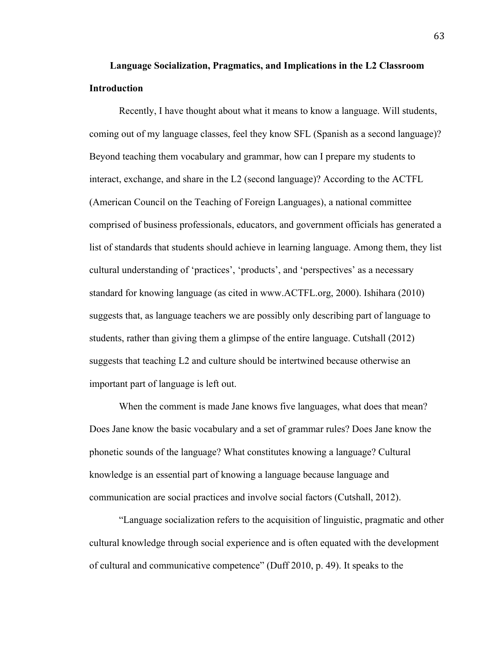# **Language Socialization, Pragmatics, and Implications in the L2 Classroom Introduction**

Recently, I have thought about what it means to know a language. Will students, coming out of my language classes, feel they know SFL (Spanish as a second language)? Beyond teaching them vocabulary and grammar, how can I prepare my students to interact, exchange, and share in the L2 (second language)? According to the ACTFL (American Council on the Teaching of Foreign Languages), a national committee comprised of business professionals, educators, and government officials has generated a list of standards that students should achieve in learning language. Among them, they list cultural understanding of 'practices', 'products', and 'perspectives' as a necessary standard for knowing language (as cited in www.ACTFL.org, 2000). Ishihara (2010) suggests that, as language teachers we are possibly only describing part of language to students, rather than giving them a glimpse of the entire language. Cutshall (2012) suggests that teaching L2 and culture should be intertwined because otherwise an important part of language is left out.

When the comment is made Jane knows five languages, what does that mean? Does Jane know the basic vocabulary and a set of grammar rules? Does Jane know the phonetic sounds of the language? What constitutes knowing a language? Cultural knowledge is an essential part of knowing a language because language and communication are social practices and involve social factors (Cutshall, 2012).

"Language socialization refers to the acquisition of linguistic, pragmatic and other cultural knowledge through social experience and is often equated with the development of cultural and communicative competence" (Duff 2010, p. 49). It speaks to the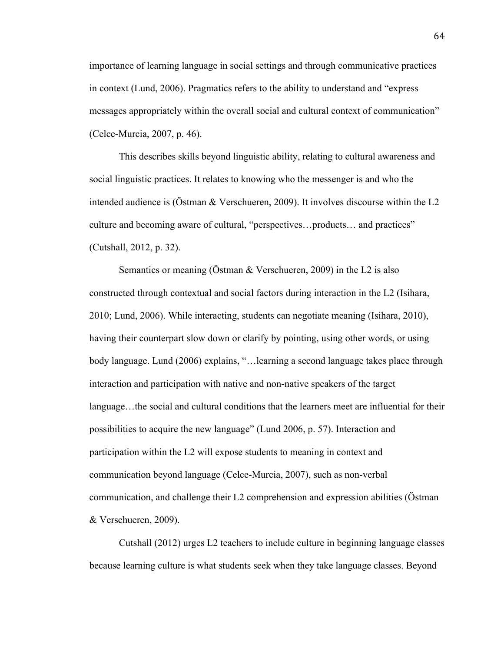importance of learning language in social settings and through communicative practices in context (Lund, 2006). Pragmatics refers to the ability to understand and "express messages appropriately within the overall social and cultural context of communication" (Celce-Murcia, 2007, p. 46).

This describes skills beyond linguistic ability, relating to cultural awareness and social linguistic practices. It relates to knowing who the messenger is and who the intended audience is (Östman & Verschueren, 2009). It involves discourse within the L2 culture and becoming aware of cultural, "perspectives…products… and practices" (Cutshall, 2012, p. 32).

Semantics or meaning (Östman & Verschueren, 2009) in the L2 is also constructed through contextual and social factors during interaction in the L2 (Isihara, 2010; Lund, 2006). While interacting, students can negotiate meaning (Isihara, 2010), having their counterpart slow down or clarify by pointing, using other words, or using body language. Lund (2006) explains, "... learning a second language takes place through interaction and participation with native and non-native speakers of the target language…the social and cultural conditions that the learners meet are influential for their possibilities to acquire the new language" (Lund 2006, p. 57). Interaction and participation within the L2 will expose students to meaning in context and communication beyond language (Celce-Murcia, 2007), such as non-verbal communication, and challenge their L2 comprehension and expression abilities (Östman & Verschueren, 2009).

Cutshall (2012) urges L2 teachers to include culture in beginning language classes because learning culture is what students seek when they take language classes. Beyond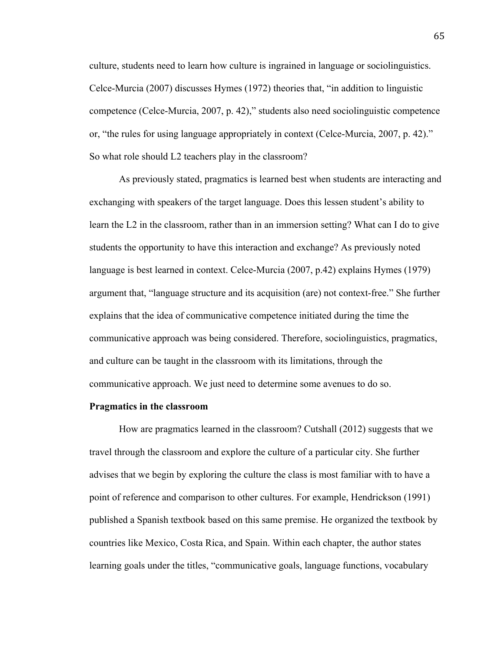culture, students need to learn how culture is ingrained in language or sociolinguistics. Celce-Murcia (2007) discusses Hymes (1972) theories that, "in addition to linguistic competence (Celce-Murcia, 2007, p. 42)," students also need sociolinguistic competence or, "the rules for using language appropriately in context (Celce-Murcia, 2007, p. 42)." So what role should L2 teachers play in the classroom?

As previously stated, pragmatics is learned best when students are interacting and exchanging with speakers of the target language. Does this lessen student's ability to learn the L2 in the classroom, rather than in an immersion setting? What can I do to give students the opportunity to have this interaction and exchange? As previously noted language is best learned in context. Celce-Murcia (2007, p.42) explains Hymes (1979) argument that, "language structure and its acquisition (are) not context-free." She further explains that the idea of communicative competence initiated during the time the communicative approach was being considered. Therefore, sociolinguistics, pragmatics, and culture can be taught in the classroom with its limitations, through the communicative approach. We just need to determine some avenues to do so.

## **Pragmatics in the classroom**

How are pragmatics learned in the classroom? Cutshall (2012) suggests that we travel through the classroom and explore the culture of a particular city. She further advises that we begin by exploring the culture the class is most familiar with to have a point of reference and comparison to other cultures. For example, Hendrickson (1991) published a Spanish textbook based on this same premise. He organized the textbook by countries like Mexico, Costa Rica, and Spain. Within each chapter, the author states learning goals under the titles, "communicative goals, language functions, vocabulary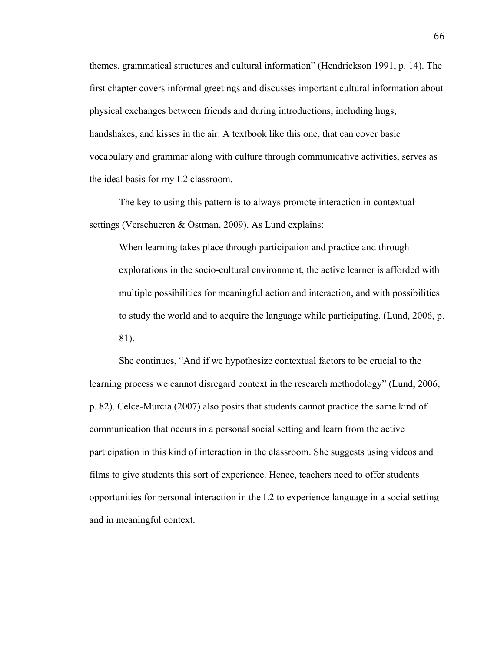themes, grammatical structures and cultural information" (Hendrickson 1991, p. 14). The first chapter covers informal greetings and discusses important cultural information about physical exchanges between friends and during introductions, including hugs, handshakes, and kisses in the air. A textbook like this one, that can cover basic vocabulary and grammar along with culture through communicative activities, serves as the ideal basis for my L2 classroom.

The key to using this pattern is to always promote interaction in contextual settings (Verschueren & Östman, 2009). As Lund explains:

When learning takes place through participation and practice and through explorations in the socio-cultural environment, the active learner is afforded with multiple possibilities for meaningful action and interaction, and with possibilities to study the world and to acquire the language while participating. (Lund, 2006, p. 81).

She continues, "And if we hypothesize contextual factors to be crucial to the learning process we cannot disregard context in the research methodology" (Lund, 2006, p. 82). Celce-Murcia (2007) also posits that students cannot practice the same kind of communication that occurs in a personal social setting and learn from the active participation in this kind of interaction in the classroom. She suggests using videos and films to give students this sort of experience. Hence, teachers need to offer students opportunities for personal interaction in the L2 to experience language in a social setting and in meaningful context.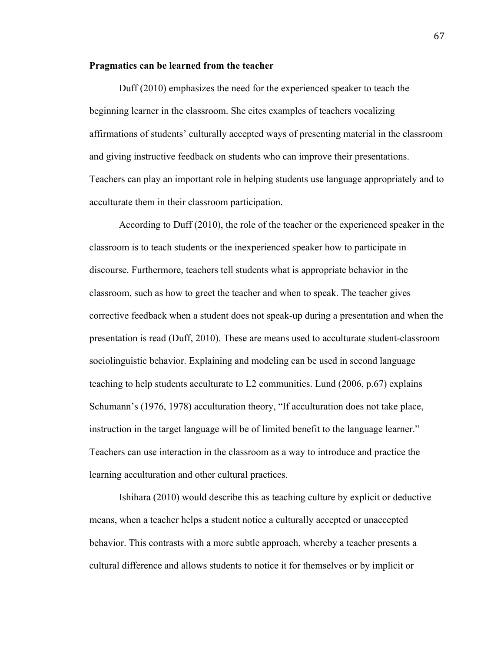## **Pragmatics can be learned from the teacher**

Duff (2010) emphasizes the need for the experienced speaker to teach the beginning learner in the classroom. She cites examples of teachers vocalizing affirmations of students' culturally accepted ways of presenting material in the classroom and giving instructive feedback on students who can improve their presentations. Teachers can play an important role in helping students use language appropriately and to acculturate them in their classroom participation.

According to Duff (2010), the role of the teacher or the experienced speaker in the classroom is to teach students or the inexperienced speaker how to participate in discourse. Furthermore, teachers tell students what is appropriate behavior in the classroom, such as how to greet the teacher and when to speak. The teacher gives corrective feedback when a student does not speak-up during a presentation and when the presentation is read (Duff, 2010). These are means used to acculturate student-classroom sociolinguistic behavior. Explaining and modeling can be used in second language teaching to help students acculturate to L2 communities. Lund (2006, p.67) explains Schumann's (1976, 1978) acculturation theory, "If acculturation does not take place, instruction in the target language will be of limited benefit to the language learner." Teachers can use interaction in the classroom as a way to introduce and practice the learning acculturation and other cultural practices.

Ishihara (2010) would describe this as teaching culture by explicit or deductive means, when a teacher helps a student notice a culturally accepted or unaccepted behavior. This contrasts with a more subtle approach, whereby a teacher presents a cultural difference and allows students to notice it for themselves or by implicit or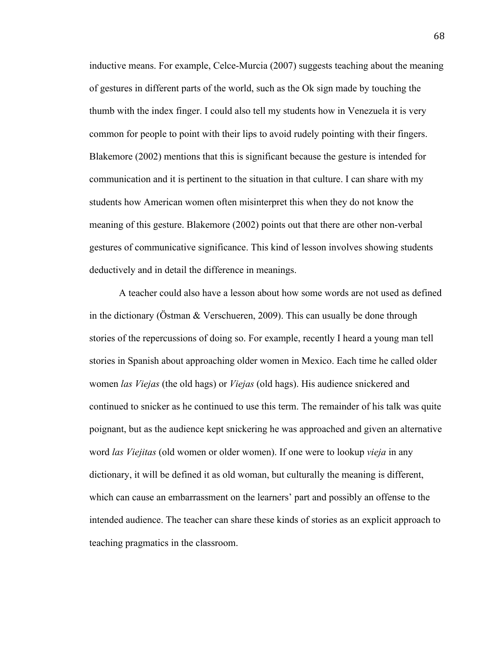inductive means. For example, Celce-Murcia (2007) suggests teaching about the meaning of gestures in different parts of the world, such as the Ok sign made by touching the thumb with the index finger. I could also tell my students how in Venezuela it is very common for people to point with their lips to avoid rudely pointing with their fingers. Blakemore (2002) mentions that this is significant because the gesture is intended for communication and it is pertinent to the situation in that culture. I can share with my students how American women often misinterpret this when they do not know the meaning of this gesture. Blakemore (2002) points out that there are other non-verbal gestures of communicative significance. This kind of lesson involves showing students deductively and in detail the difference in meanings.

A teacher could also have a lesson about how some words are not used as defined in the dictionary (Östman  $&$  Verschueren, 2009). This can usually be done through stories of the repercussions of doing so. For example, recently I heard a young man tell stories in Spanish about approaching older women in Mexico. Each time he called older women *las Viejas* (the old hags) or *Viejas* (old hags). His audience snickered and continued to snicker as he continued to use this term. The remainder of his talk was quite poignant, but as the audience kept snickering he was approached and given an alternative word *las Viejitas* (old women or older women). If one were to lookup *vieja* in any dictionary, it will be defined it as old woman, but culturally the meaning is different, which can cause an embarrassment on the learners' part and possibly an offense to the intended audience. The teacher can share these kinds of stories as an explicit approach to teaching pragmatics in the classroom.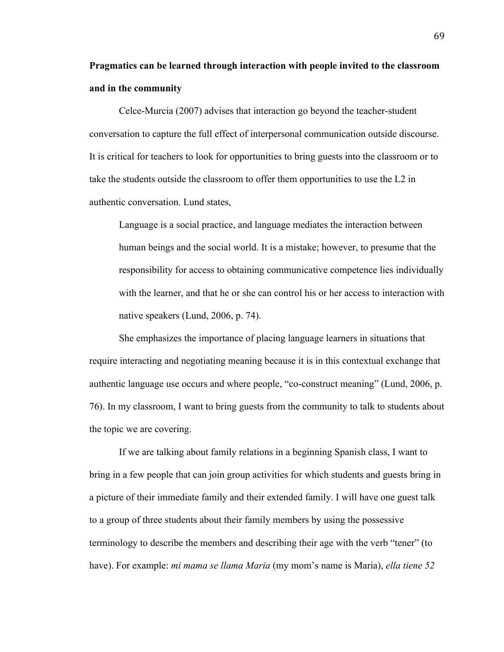# **Pragmatics can be learned through interaction with people invited to the classroom and in the community**

Celce-Murcia (2007) advises that interaction go beyond the teacher-student conversation to capture the full effect of interpersonal communication outside discourse. It is critical for teachers to look for opportunities to bring guests into the classroom or to take the students outside the classroom to offer them opportunities to use the L2 in authentic conversation. Lund states,

Language is a social practice, and language mediates the interaction between human beings and the social world. It is a mistake; however, to presume that the responsibility for access to obtaining communicative competence lies individually with the learner, and that he or she can control his or her access to interaction with native speakers (Lund, 2006, p. 74).

She emphasizes the importance of placing language learners in situations that require interacting and negotiating meaning because it is in this contextual exchange that authentic language use occurs and where people, "co-construct meaning" (Lund, 2006, p. 76). In my classroom, I want to bring guests from the community to talk to students about the topic we are covering.

If we are talking about family relations in a beginning Spanish class, I want to bring in a few people that can join group activities for which students and guests bring in a picture of their immediate family and their extended family. I will have one guest talk to a group of three students about their family members by using the possessive terminology to describe the members and describing their age with the verb "tener" (to have). For example: *mi mama se llama Maria* (my mom's name is Maria), *ella tiene 52*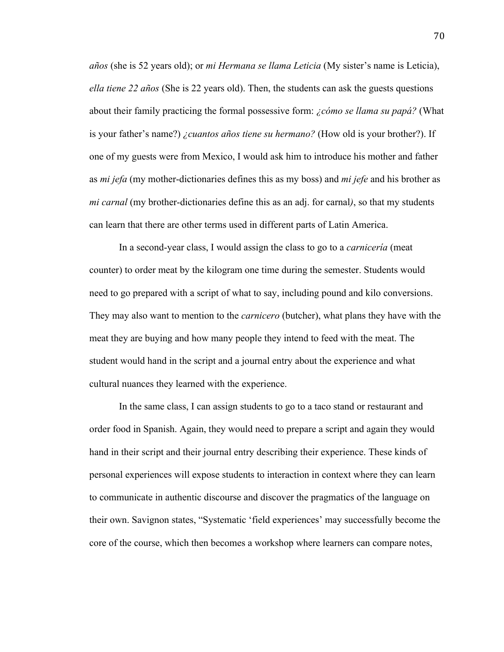*años* (she is 52 years old); or *mi Hermana se llama Leticia* (My sister's name is Leticia), *ella tiene 22 años* (She is 22 years old). Then, the students can ask the guests questions about their family practicing the formal possessive form: *¿cómo se llama su papá?* (What is your father's name?) *¿cuantos años tiene su hermano?* (How old is your brother?). If one of my guests were from Mexico, I would ask him to introduce his mother and father as *mi jefa* (my mother-dictionaries defines this as my boss) and *mi jefe* and his brother as *mi carnal* (my brother-dictionaries define this as an adj. for carnal*)*, so that my students can learn that there are other terms used in different parts of Latin America.

In a second-year class, I would assign the class to go to a *carnicería* (meat counter) to order meat by the kilogram one time during the semester. Students would need to go prepared with a script of what to say, including pound and kilo conversions. They may also want to mention to the *carnicero* (butcher), what plans they have with the meat they are buying and how many people they intend to feed with the meat. The student would hand in the script and a journal entry about the experience and what cultural nuances they learned with the experience.

In the same class, I can assign students to go to a taco stand or restaurant and order food in Spanish. Again, they would need to prepare a script and again they would hand in their script and their journal entry describing their experience. These kinds of personal experiences will expose students to interaction in context where they can learn to communicate in authentic discourse and discover the pragmatics of the language on their own. Savignon states, "Systematic 'field experiences' may successfully become the core of the course, which then becomes a workshop where learners can compare notes,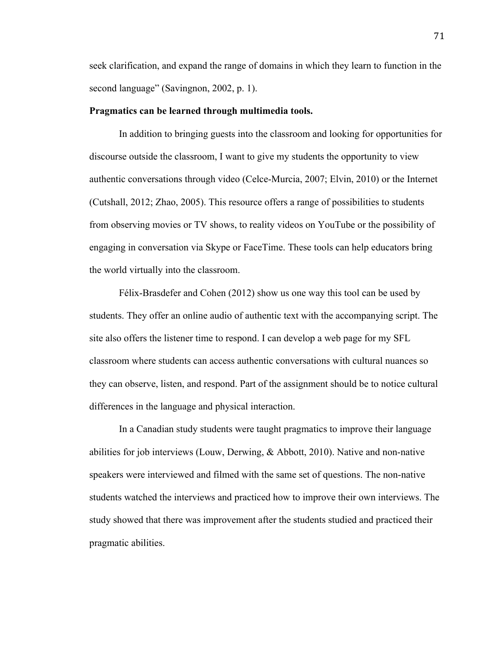seek clarification, and expand the range of domains in which they learn to function in the second language" (Savingnon, 2002, p. 1).

## **Pragmatics can be learned through multimedia tools.**

In addition to bringing guests into the classroom and looking for opportunities for discourse outside the classroom, I want to give my students the opportunity to view authentic conversations through video (Celce-Murcia, 2007; Elvin, 2010) or the Internet (Cutshall, 2012; Zhao, 2005). This resource offers a range of possibilities to students from observing movies or TV shows, to reality videos on YouTube or the possibility of engaging in conversation via Skype or FaceTime. These tools can help educators bring the world virtually into the classroom.

Félix-Brasdefer and Cohen (2012) show us one way this tool can be used by students. They offer an online audio of authentic text with the accompanying script. The site also offers the listener time to respond. I can develop a web page for my SFL classroom where students can access authentic conversations with cultural nuances so they can observe, listen, and respond. Part of the assignment should be to notice cultural differences in the language and physical interaction.

In a Canadian study students were taught pragmatics to improve their language abilities for job interviews (Louw, Derwing, & Abbott, 2010). Native and non-native speakers were interviewed and filmed with the same set of questions. The non-native students watched the interviews and practiced how to improve their own interviews. The study showed that there was improvement after the students studied and practiced their pragmatic abilities.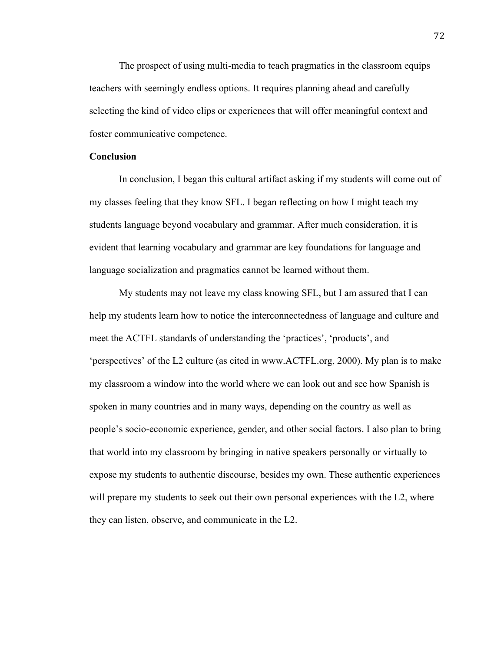The prospect of using multi-media to teach pragmatics in the classroom equips teachers with seemingly endless options. It requires planning ahead and carefully selecting the kind of video clips or experiences that will offer meaningful context and foster communicative competence.

## **Conclusion**

In conclusion, I began this cultural artifact asking if my students will come out of my classes feeling that they know SFL. I began reflecting on how I might teach my students language beyond vocabulary and grammar. After much consideration, it is evident that learning vocabulary and grammar are key foundations for language and language socialization and pragmatics cannot be learned without them.

My students may not leave my class knowing SFL, but I am assured that I can help my students learn how to notice the interconnectedness of language and culture and meet the ACTFL standards of understanding the 'practices', 'products', and 'perspectives' of the L2 culture (as cited in www.ACTFL.org, 2000). My plan is to make my classroom a window into the world where we can look out and see how Spanish is spoken in many countries and in many ways, depending on the country as well as people's socio-economic experience, gender, and other social factors. I also plan to bring that world into my classroom by bringing in native speakers personally or virtually to expose my students to authentic discourse, besides my own. These authentic experiences will prepare my students to seek out their own personal experiences with the L2, where they can listen, observe, and communicate in the L2.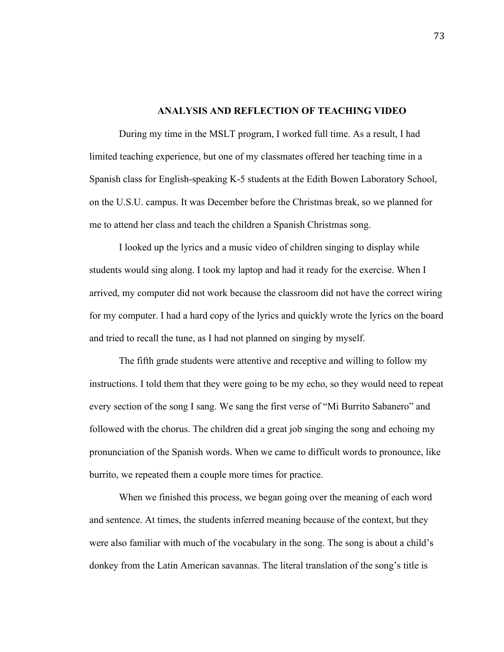## **ANALYSIS AND REFLECTION OF TEACHING VIDEO**

During my time in the MSLT program, I worked full time. As a result, I had limited teaching experience, but one of my classmates offered her teaching time in a Spanish class for English-speaking K-5 students at the Edith Bowen Laboratory School, on the U.S.U. campus. It was December before the Christmas break, so we planned for me to attend her class and teach the children a Spanish Christmas song.

I looked up the lyrics and a music video of children singing to display while students would sing along. I took my laptop and had it ready for the exercise. When I arrived, my computer did not work because the classroom did not have the correct wiring for my computer. I had a hard copy of the lyrics and quickly wrote the lyrics on the board and tried to recall the tune, as I had not planned on singing by myself.

The fifth grade students were attentive and receptive and willing to follow my instructions. I told them that they were going to be my echo, so they would need to repeat every section of the song I sang. We sang the first verse of "Mi Burrito Sabanero" and followed with the chorus. The children did a great job singing the song and echoing my pronunciation of the Spanish words. When we came to difficult words to pronounce, like burrito, we repeated them a couple more times for practice.

When we finished this process, we began going over the meaning of each word and sentence. At times, the students inferred meaning because of the context, but they were also familiar with much of the vocabulary in the song. The song is about a child's donkey from the Latin American savannas. The literal translation of the song's title is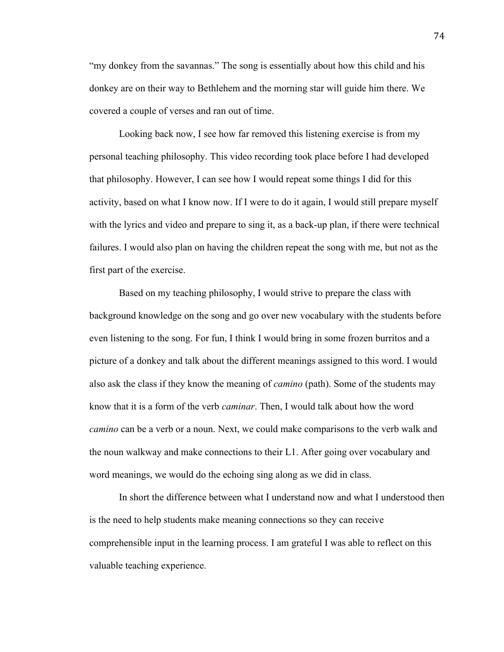"my donkey from the savannas." The song is essentially about how this child and his donkey are on their way to Bethlehem and the morning star will guide him there. We covered a couple of verses and ran out of time.

Looking back now, I see how far removed this listening exercise is from my personal teaching philosophy. This video recording took place before I had developed that philosophy. However, I can see how I would repeat some things I did for this activity, based on what I know now. If I were to do it again, I would still prepare myself with the lyrics and video and prepare to sing it, as a back-up plan, if there were technical failures. I would also plan on having the children repeat the song with me, but not as the first part of the exercise.

Based on my teaching philosophy, I would strive to prepare the class with background knowledge on the song and go over new vocabulary with the students before even listening to the song. For fun, I think I would bring in some frozen burritos and a picture of a donkey and talk about the different meanings assigned to this word. I would also ask the class if they know the meaning of *camino* (path). Some of the students may know that it is a form of the verb *caminar*. Then, I would talk about how the word *camino* can be a verb or a noun. Next, we could make comparisons to the verb walk and the noun walkway and make connections to their L1. After going over vocabulary and word meanings, we would do the echoing sing along as we did in class.

In short the difference between what I understand now and what I understood then is the need to help students make meaning connections so they can receive comprehensible input in the learning process. I am grateful I was able to reflect on this valuable teaching experience.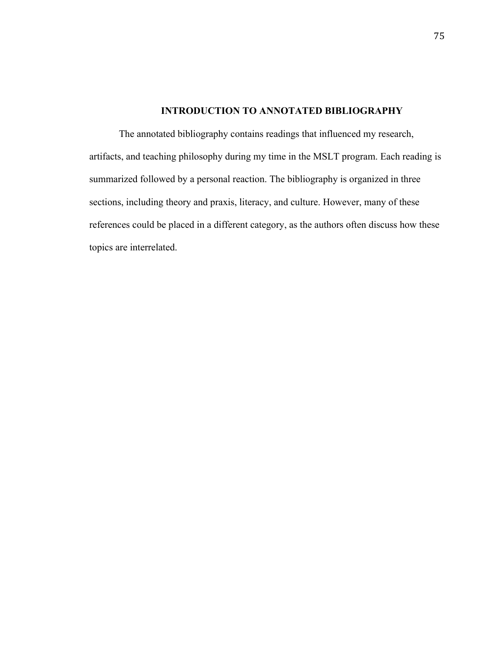# **INTRODUCTION TO ANNOTATED BIBLIOGRAPHY**

The annotated bibliography contains readings that influenced my research, artifacts, and teaching philosophy during my time in the MSLT program. Each reading is summarized followed by a personal reaction. The bibliography is organized in three sections, including theory and praxis, literacy, and culture. However, many of these references could be placed in a different category, as the authors often discuss how these topics are interrelated.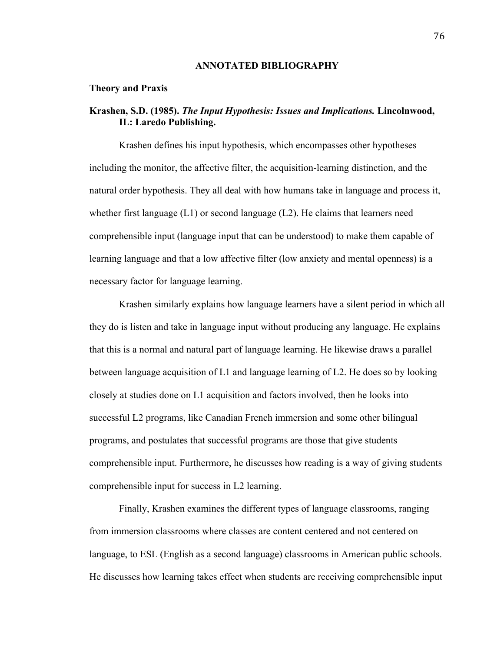## **ANNOTATED BIBLIOGRAPHY**

## **Theory and Praxis**

# **Krashen, S.D. (1985).** *The Input Hypothesis: Issues and Implications.* **Lincolnwood, IL: Laredo Publishing.**

Krashen defines his input hypothesis, which encompasses other hypotheses including the monitor, the affective filter, the acquisition-learning distinction, and the natural order hypothesis. They all deal with how humans take in language and process it, whether first language  $(L1)$  or second language  $(L2)$ . He claims that learners need comprehensible input (language input that can be understood) to make them capable of learning language and that a low affective filter (low anxiety and mental openness) is a necessary factor for language learning.

Krashen similarly explains how language learners have a silent period in which all they do is listen and take in language input without producing any language. He explains that this is a normal and natural part of language learning. He likewise draws a parallel between language acquisition of L1 and language learning of L2. He does so by looking closely at studies done on L1 acquisition and factors involved, then he looks into successful L2 programs, like Canadian French immersion and some other bilingual programs, and postulates that successful programs are those that give students comprehensible input. Furthermore, he discusses how reading is a way of giving students comprehensible input for success in L2 learning.

Finally, Krashen examines the different types of language classrooms, ranging from immersion classrooms where classes are content centered and not centered on language, to ESL (English as a second language) classrooms in American public schools. He discusses how learning takes effect when students are receiving comprehensible input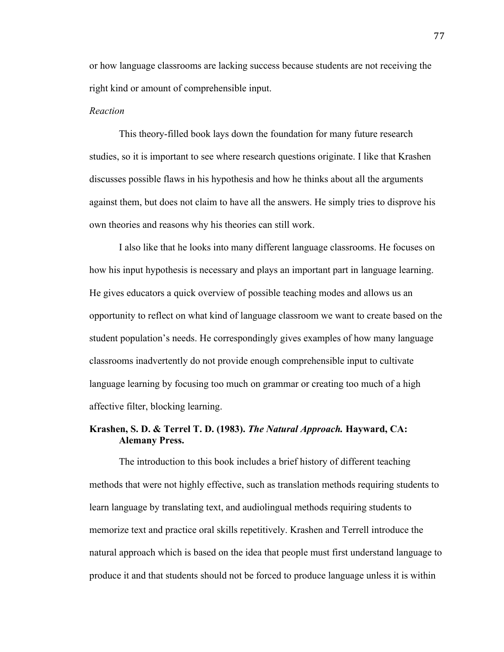or how language classrooms are lacking success because students are not receiving the right kind or amount of comprehensible input.

## *Reaction*

This theory-filled book lays down the foundation for many future research studies, so it is important to see where research questions originate. I like that Krashen discusses possible flaws in his hypothesis and how he thinks about all the arguments against them, but does not claim to have all the answers. He simply tries to disprove his own theories and reasons why his theories can still work.

I also like that he looks into many different language classrooms. He focuses on how his input hypothesis is necessary and plays an important part in language learning. He gives educators a quick overview of possible teaching modes and allows us an opportunity to reflect on what kind of language classroom we want to create based on the student population's needs. He correspondingly gives examples of how many language classrooms inadvertently do not provide enough comprehensible input to cultivate language learning by focusing too much on grammar or creating too much of a high affective filter, blocking learning.

# **Krashen, S. D. & Terrel T. D. (1983).** *The Natural Approach.* **Hayward, CA: Alemany Press.**

The introduction to this book includes a brief history of different teaching methods that were not highly effective, such as translation methods requiring students to learn language by translating text, and audiolingual methods requiring students to memorize text and practice oral skills repetitively. Krashen and Terrell introduce the natural approach which is based on the idea that people must first understand language to produce it and that students should not be forced to produce language unless it is within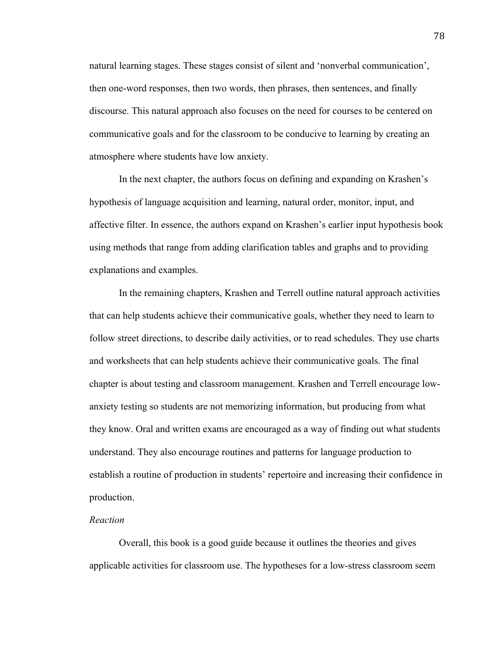natural learning stages. These stages consist of silent and 'nonverbal communication', then one-word responses, then two words, then phrases, then sentences, and finally discourse. This natural approach also focuses on the need for courses to be centered on communicative goals and for the classroom to be conducive to learning by creating an atmosphere where students have low anxiety.

In the next chapter, the authors focus on defining and expanding on Krashen's hypothesis of language acquisition and learning, natural order, monitor, input, and affective filter. In essence, the authors expand on Krashen's earlier input hypothesis book using methods that range from adding clarification tables and graphs and to providing explanations and examples.

In the remaining chapters, Krashen and Terrell outline natural approach activities that can help students achieve their communicative goals, whether they need to learn to follow street directions, to describe daily activities, or to read schedules. They use charts and worksheets that can help students achieve their communicative goals. The final chapter is about testing and classroom management. Krashen and Terrell encourage lowanxiety testing so students are not memorizing information, but producing from what they know. Oral and written exams are encouraged as a way of finding out what students understand. They also encourage routines and patterns for language production to establish a routine of production in students' repertoire and increasing their confidence in production.

## *Reaction*

Overall, this book is a good guide because it outlines the theories and gives applicable activities for classroom use. The hypotheses for a low-stress classroom seem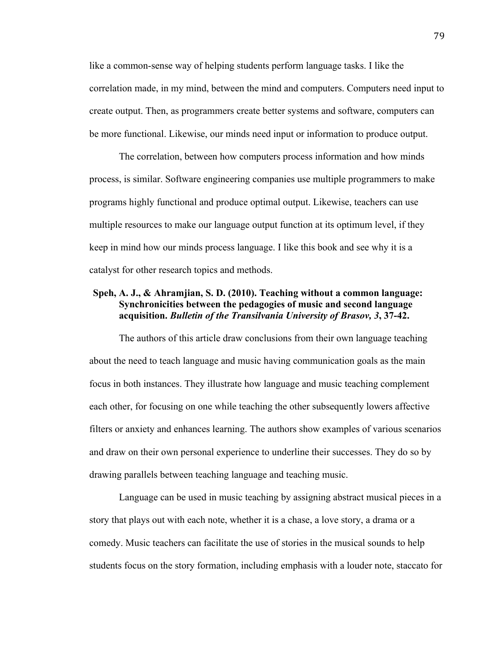like a common-sense way of helping students perform language tasks. I like the correlation made, in my mind, between the mind and computers. Computers need input to create output. Then, as programmers create better systems and software, computers can be more functional. Likewise, our minds need input or information to produce output.

The correlation, between how computers process information and how minds process, is similar. Software engineering companies use multiple programmers to make programs highly functional and produce optimal output. Likewise, teachers can use multiple resources to make our language output function at its optimum level, if they keep in mind how our minds process language. I like this book and see why it is a catalyst for other research topics and methods.

# **Speh, A. J., & Ahramjian, S. D. (2010). Teaching without a common language: Synchronicities between the pedagogies of music and second language acquisition.** *Bulletin of the Transilvania University of Brasov, 3***, 37-42.**

The authors of this article draw conclusions from their own language teaching about the need to teach language and music having communication goals as the main focus in both instances. They illustrate how language and music teaching complement each other, for focusing on one while teaching the other subsequently lowers affective filters or anxiety and enhances learning. The authors show examples of various scenarios and draw on their own personal experience to underline their successes. They do so by drawing parallels between teaching language and teaching music.

Language can be used in music teaching by assigning abstract musical pieces in a story that plays out with each note, whether it is a chase, a love story, a drama or a comedy. Music teachers can facilitate the use of stories in the musical sounds to help students focus on the story formation, including emphasis with a louder note, staccato for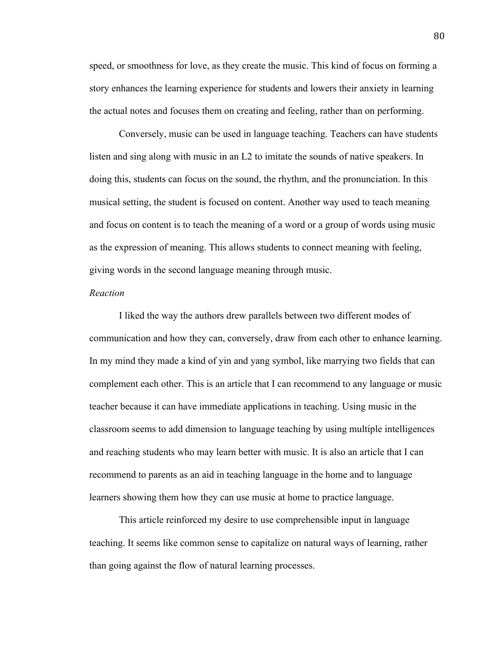speed, or smoothness for love, as they create the music. This kind of focus on forming a story enhances the learning experience for students and lowers their anxiety in learning the actual notes and focuses them on creating and feeling, rather than on performing.

Conversely, music can be used in language teaching. Teachers can have students listen and sing along with music in an L2 to imitate the sounds of native speakers. In doing this, students can focus on the sound, the rhythm, and the pronunciation. In this musical setting, the student is focused on content. Another way used to teach meaning and focus on content is to teach the meaning of a word or a group of words using music as the expression of meaning. This allows students to connect meaning with feeling, giving words in the second language meaning through music.

## *Reaction*

I liked the way the authors drew parallels between two different modes of communication and how they can, conversely, draw from each other to enhance learning. In my mind they made a kind of yin and yang symbol, like marrying two fields that can complement each other. This is an article that I can recommend to any language or music teacher because it can have immediate applications in teaching. Using music in the classroom seems to add dimension to language teaching by using multiple intelligences and reaching students who may learn better with music. It is also an article that I can recommend to parents as an aid in teaching language in the home and to language learners showing them how they can use music at home to practice language.

This article reinforced my desire to use comprehensible input in language teaching. It seems like common sense to capitalize on natural ways of learning, rather than going against the flow of natural learning processes.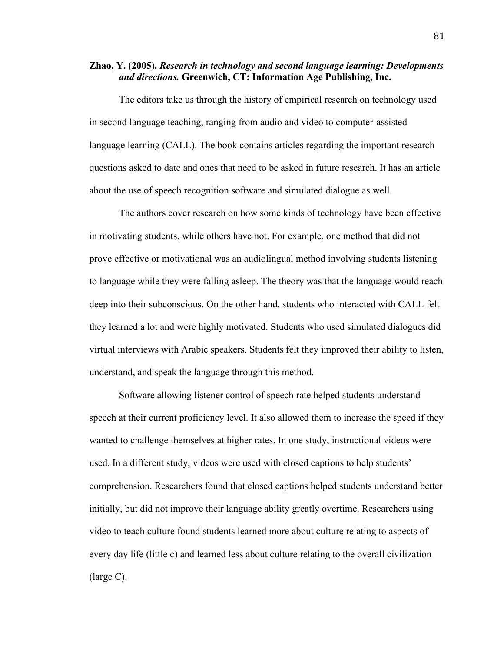# **Zhao, Y. (2005).** *Research in technology and second language learning: Developments and directions.* **Greenwich, CT: Information Age Publishing, Inc.**

The editors take us through the history of empirical research on technology used in second language teaching, ranging from audio and video to computer-assisted language learning (CALL). The book contains articles regarding the important research questions asked to date and ones that need to be asked in future research. It has an article about the use of speech recognition software and simulated dialogue as well.

The authors cover research on how some kinds of technology have been effective in motivating students, while others have not. For example, one method that did not prove effective or motivational was an audiolingual method involving students listening to language while they were falling asleep. The theory was that the language would reach deep into their subconscious. On the other hand, students who interacted with CALL felt they learned a lot and were highly motivated. Students who used simulated dialogues did virtual interviews with Arabic speakers. Students felt they improved their ability to listen, understand, and speak the language through this method.

Software allowing listener control of speech rate helped students understand speech at their current proficiency level. It also allowed them to increase the speed if they wanted to challenge themselves at higher rates. In one study, instructional videos were used. In a different study, videos were used with closed captions to help students' comprehension. Researchers found that closed captions helped students understand better initially, but did not improve their language ability greatly overtime. Researchers using video to teach culture found students learned more about culture relating to aspects of every day life (little c) and learned less about culture relating to the overall civilization (large C).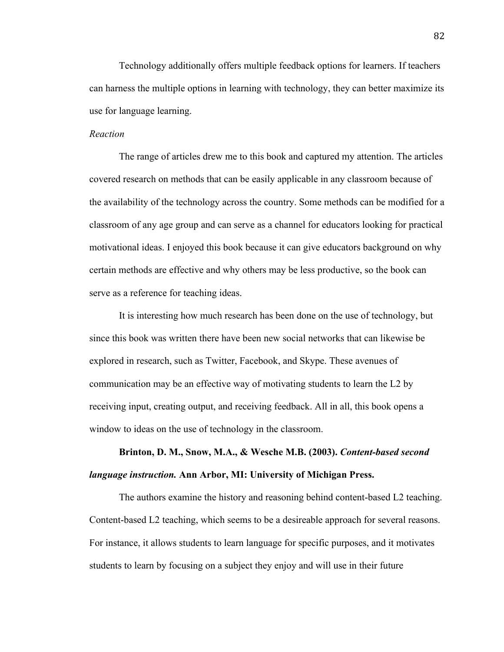Technology additionally offers multiple feedback options for learners. If teachers can harness the multiple options in learning with technology, they can better maximize its use for language learning.

# *Reaction*

The range of articles drew me to this book and captured my attention. The articles covered research on methods that can be easily applicable in any classroom because of the availability of the technology across the country. Some methods can be modified for a classroom of any age group and can serve as a channel for educators looking for practical motivational ideas. I enjoyed this book because it can give educators background on why certain methods are effective and why others may be less productive, so the book can serve as a reference for teaching ideas.

It is interesting how much research has been done on the use of technology, but since this book was written there have been new social networks that can likewise be explored in research, such as Twitter, Facebook, and Skype. These avenues of communication may be an effective way of motivating students to learn the L2 by receiving input, creating output, and receiving feedback. All in all, this book opens a window to ideas on the use of technology in the classroom.

# **Brinton, D. M., Snow, M.A., & Wesche M.B. (2003).** *Content-based second language instruction.* **Ann Arbor, MI: University of Michigan Press.**

The authors examine the history and reasoning behind content-based L2 teaching. Content-based L2 teaching, which seems to be a desireable approach for several reasons. For instance, it allows students to learn language for specific purposes, and it motivates students to learn by focusing on a subject they enjoy and will use in their future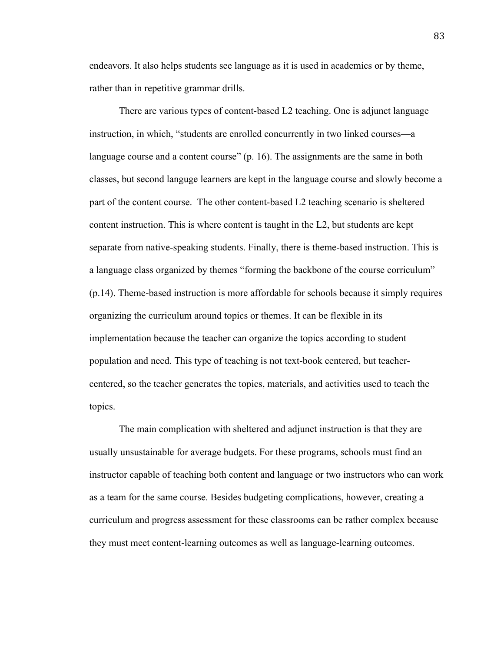endeavors. It also helps students see language as it is used in academics or by theme, rather than in repetitive grammar drills.

There are various types of content-based L2 teaching. One is adjunct language instruction, in which, "students are enrolled concurrently in two linked courses—a language course and a content course" (p. 16). The assignments are the same in both classes, but second languge learners are kept in the language course and slowly become a part of the content course. The other content-based L2 teaching scenario is sheltered content instruction. This is where content is taught in the L2, but students are kept separate from native-speaking students. Finally, there is theme-based instruction. This is a language class organized by themes "forming the backbone of the course corriculum" (p.14). Theme-based instruction is more affordable for schools because it simply requires organizing the curriculum around topics or themes. It can be flexible in its implementation because the teacher can organize the topics according to student population and need. This type of teaching is not text-book centered, but teachercentered, so the teacher generates the topics, materials, and activities used to teach the topics.

The main complication with sheltered and adjunct instruction is that they are usually unsustainable for average budgets. For these programs, schools must find an instructor capable of teaching both content and language or two instructors who can work as a team for the same course. Besides budgeting complications, however, creating a curriculum and progress assessment for these classrooms can be rather complex because they must meet content-learning outcomes as well as language-learning outcomes.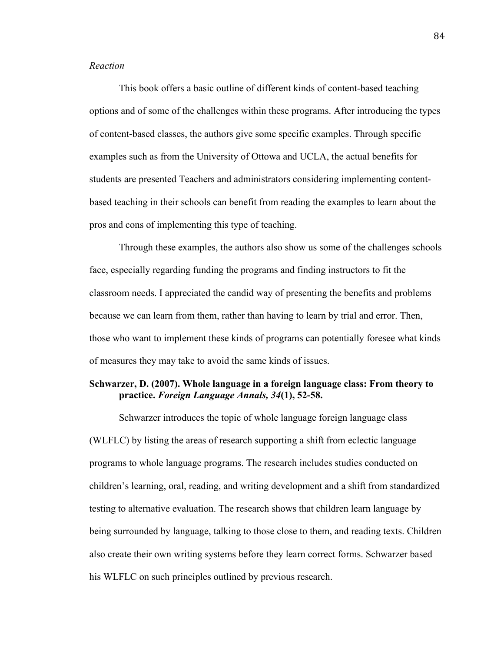# *Reaction*

This book offers a basic outline of different kinds of content-based teaching options and of some of the challenges within these programs. After introducing the types of content-based classes, the authors give some specific examples. Through specific examples such as from the University of Ottowa and UCLA, the actual benefits for students are presented Teachers and administrators considering implementing contentbased teaching in their schools can benefit from reading the examples to learn about the pros and cons of implementing this type of teaching.

Through these examples, the authors also show us some of the challenges schools face, especially regarding funding the programs and finding instructors to fit the classroom needs. I appreciated the candid way of presenting the benefits and problems because we can learn from them, rather than having to learn by trial and error. Then, those who want to implement these kinds of programs can potentially foresee what kinds of measures they may take to avoid the same kinds of issues.

# **Schwarzer, D. (2007). Whole language in a foreign language class: From theory to practice.** *Foreign Language Annals, 34***(1), 52-58.**

Schwarzer introduces the topic of whole language foreign language class (WLFLC) by listing the areas of research supporting a shift from eclectic language programs to whole language programs. The research includes studies conducted on children's learning, oral, reading, and writing development and a shift from standardized testing to alternative evaluation. The research shows that children learn language by being surrounded by language, talking to those close to them, and reading texts. Children also create their own writing systems before they learn correct forms. Schwarzer based his WLFLC on such principles outlined by previous research.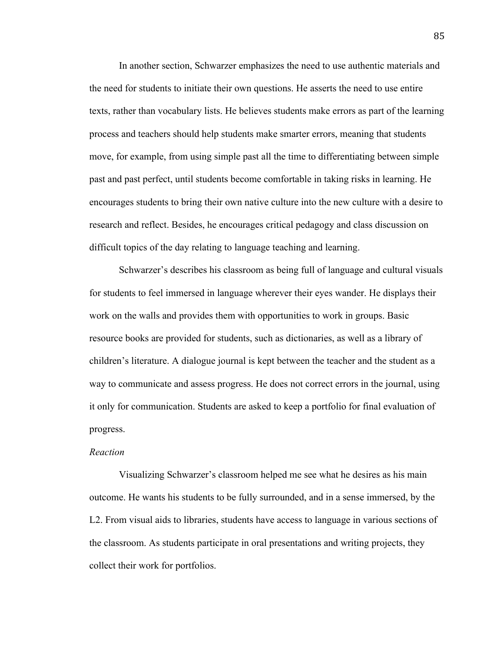In another section, Schwarzer emphasizes the need to use authentic materials and the need for students to initiate their own questions. He asserts the need to use entire texts, rather than vocabulary lists. He believes students make errors as part of the learning process and teachers should help students make smarter errors, meaning that students move, for example, from using simple past all the time to differentiating between simple past and past perfect, until students become comfortable in taking risks in learning. He encourages students to bring their own native culture into the new culture with a desire to research and reflect. Besides, he encourages critical pedagogy and class discussion on difficult topics of the day relating to language teaching and learning.

Schwarzer's describes his classroom as being full of language and cultural visuals for students to feel immersed in language wherever their eyes wander. He displays their work on the walls and provides them with opportunities to work in groups. Basic resource books are provided for students, such as dictionaries, as well as a library of children's literature. A dialogue journal is kept between the teacher and the student as a way to communicate and assess progress. He does not correct errors in the journal, using it only for communication. Students are asked to keep a portfolio for final evaluation of progress.

## *Reaction*

Visualizing Schwarzer's classroom helped me see what he desires as his main outcome. He wants his students to be fully surrounded, and in a sense immersed, by the L2. From visual aids to libraries, students have access to language in various sections of the classroom. As students participate in oral presentations and writing projects, they collect their work for portfolios.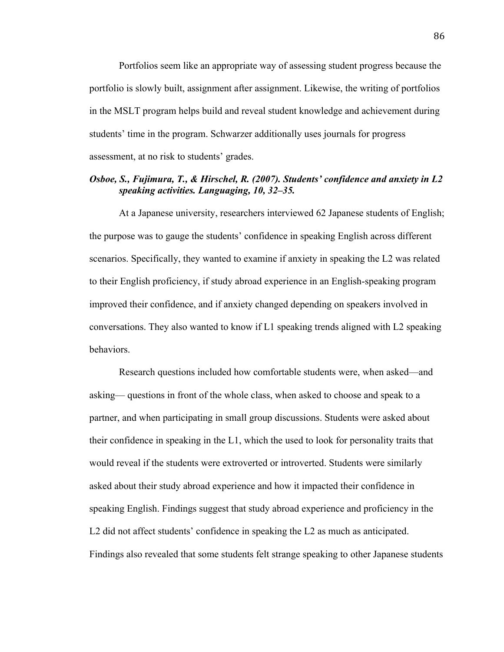Portfolios seem like an appropriate way of assessing student progress because the portfolio is slowly built, assignment after assignment. Likewise, the writing of portfolios in the MSLT program helps build and reveal student knowledge and achievement during students' time in the program. Schwarzer additionally uses journals for progress assessment, at no risk to students' grades.

# *Osboe, S., Fujimura, T., & Hirschel, R. (2007). Students' confidence and anxiety in L2 speaking activities. Languaging, 10, 32–35.*

At a Japanese university, researchers interviewed 62 Japanese students of English; the purpose was to gauge the students' confidence in speaking English across different scenarios. Specifically, they wanted to examine if anxiety in speaking the L2 was related to their English proficiency, if study abroad experience in an English-speaking program improved their confidence, and if anxiety changed depending on speakers involved in conversations. They also wanted to know if L1 speaking trends aligned with L2 speaking behaviors.

Research questions included how comfortable students were, when asked—and asking— questions in front of the whole class, when asked to choose and speak to a partner, and when participating in small group discussions. Students were asked about their confidence in speaking in the L1, which the used to look for personality traits that would reveal if the students were extroverted or introverted. Students were similarly asked about their study abroad experience and how it impacted their confidence in speaking English. Findings suggest that study abroad experience and proficiency in the L<sub>2</sub> did not affect students' confidence in speaking the L<sub>2</sub> as much as anticipated. Findings also revealed that some students felt strange speaking to other Japanese students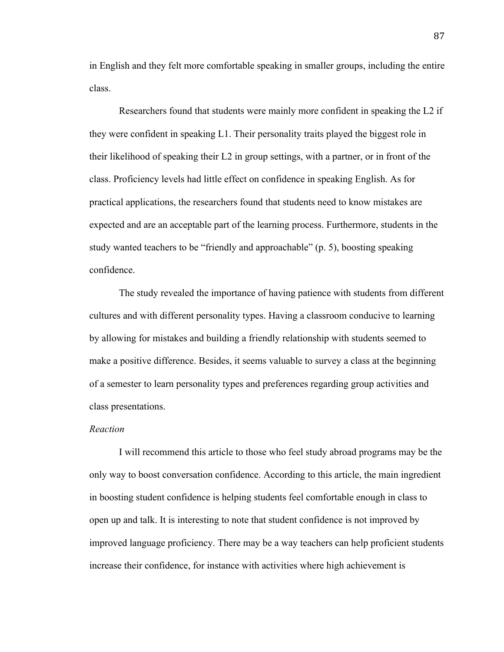in English and they felt more comfortable speaking in smaller groups, including the entire class.

Researchers found that students were mainly more confident in speaking the L2 if they were confident in speaking L1. Their personality traits played the biggest role in their likelihood of speaking their L2 in group settings, with a partner, or in front of the class. Proficiency levels had little effect on confidence in speaking English. As for practical applications, the researchers found that students need to know mistakes are expected and are an acceptable part of the learning process. Furthermore, students in the study wanted teachers to be "friendly and approachable" (p. 5), boosting speaking confidence.

The study revealed the importance of having patience with students from different cultures and with different personality types. Having a classroom conducive to learning by allowing for mistakes and building a friendly relationship with students seemed to make a positive difference. Besides, it seems valuable to survey a class at the beginning of a semester to learn personality types and preferences regarding group activities and class presentations.

## *Reaction*

I will recommend this article to those who feel study abroad programs may be the only way to boost conversation confidence. According to this article, the main ingredient in boosting student confidence is helping students feel comfortable enough in class to open up and talk. It is interesting to note that student confidence is not improved by improved language proficiency. There may be a way teachers can help proficient students increase their confidence, for instance with activities where high achievement is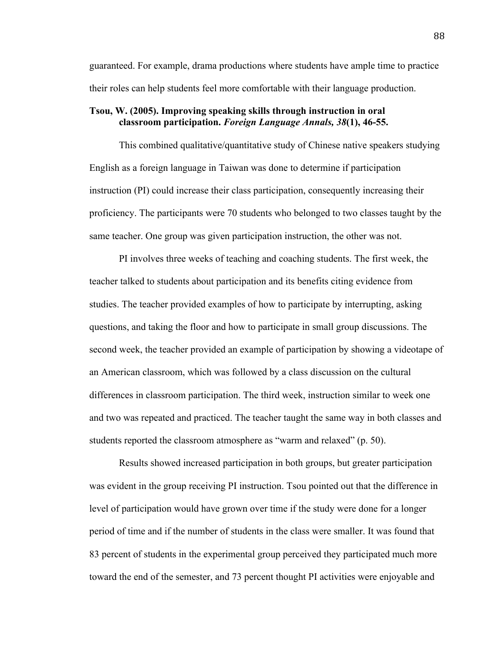guaranteed. For example, drama productions where students have ample time to practice their roles can help students feel more comfortable with their language production.

# **Tsou, W. (2005). Improving speaking skills through instruction in oral classroom participation.** *Foreign Language Annals, 38***(1), 46-55.**

This combined qualitative/quantitative study of Chinese native speakers studying English as a foreign language in Taiwan was done to determine if participation instruction (PI) could increase their class participation, consequently increasing their proficiency. The participants were 70 students who belonged to two classes taught by the same teacher. One group was given participation instruction, the other was not.

PI involves three weeks of teaching and coaching students. The first week, the teacher talked to students about participation and its benefits citing evidence from studies. The teacher provided examples of how to participate by interrupting, asking questions, and taking the floor and how to participate in small group discussions. The second week, the teacher provided an example of participation by showing a videotape of an American classroom, which was followed by a class discussion on the cultural differences in classroom participation. The third week, instruction similar to week one and two was repeated and practiced. The teacher taught the same way in both classes and students reported the classroom atmosphere as "warm and relaxed" (p. 50).

Results showed increased participation in both groups, but greater participation was evident in the group receiving PI instruction. Tsou pointed out that the difference in level of participation would have grown over time if the study were done for a longer period of time and if the number of students in the class were smaller. It was found that 83 percent of students in the experimental group perceived they participated much more toward the end of the semester, and 73 percent thought PI activities were enjoyable and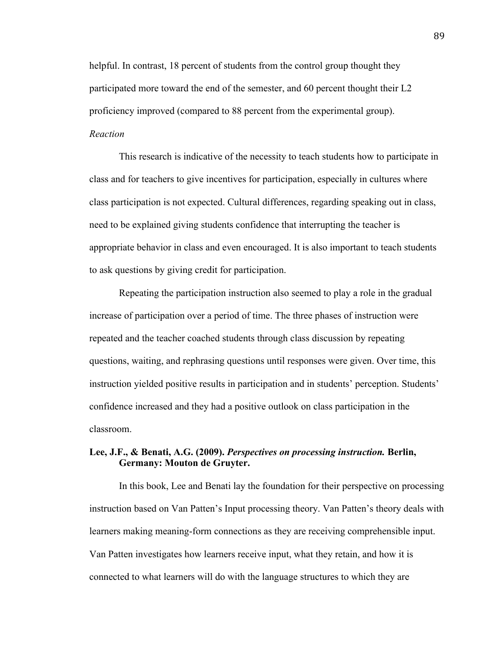helpful. In contrast, 18 percent of students from the control group thought they participated more toward the end of the semester, and 60 percent thought their L2 proficiency improved (compared to 88 percent from the experimental group). *Reaction*

# This research is indicative of the necessity to teach students how to participate in class and for teachers to give incentives for participation, especially in cultures where class participation is not expected. Cultural differences, regarding speaking out in class, need to be explained giving students confidence that interrupting the teacher is appropriate behavior in class and even encouraged. It is also important to teach students to ask questions by giving credit for participation.

Repeating the participation instruction also seemed to play a role in the gradual increase of participation over a period of time. The three phases of instruction were repeated and the teacher coached students through class discussion by repeating questions, waiting, and rephrasing questions until responses were given. Over time, this instruction yielded positive results in participation and in students' perception. Students' confidence increased and they had a positive outlook on class participation in the classroom.

# **Lee, J.F., & Benati, A.G. (2009).** *Perspectives on processing instruction.* **Berlin, Germany: Mouton de Gruyter.**

In this book, Lee and Benati lay the foundation for their perspective on processing instruction based on Van Patten's Input processing theory. Van Patten's theory deals with learners making meaning-form connections as they are receiving comprehensible input. Van Patten investigates how learners receive input, what they retain, and how it is connected to what learners will do with the language structures to which they are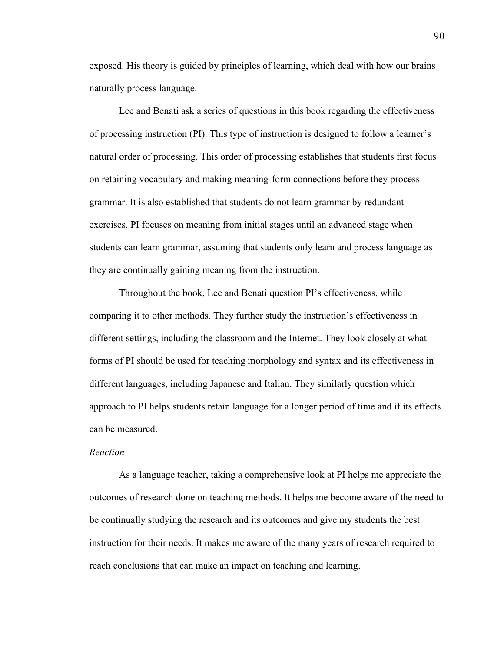exposed. His theory is guided by principles of learning, which deal with how our brains naturally process language.

Lee and Benati ask a series of questions in this book regarding the effectiveness of processing instruction (PI). This type of instruction is designed to follow a learner's natural order of processing. This order of processing establishes that students first focus on retaining vocabulary and making meaning-form connections before they process grammar. It is also established that students do not learn grammar by redundant exercises. PI focuses on meaning from initial stages until an advanced stage when students can learn grammar, assuming that students only learn and process language as they are continually gaining meaning from the instruction.

Throughout the book, Lee and Benati question PI's effectiveness, while comparing it to other methods. They further study the instruction's effectiveness in different settings, including the classroom and the Internet. They look closely at what forms of PI should be used for teaching morphology and syntax and its effectiveness in different languages, including Japanese and Italian. They similarly question which approach to PI helps students retain language for a longer period of time and if its effects can be measured.

## *Reaction*

As a language teacher, taking a comprehensive look at PI helps me appreciate the outcomes of research done on teaching methods. It helps me become aware of the need to be continually studying the research and its outcomes and give my students the best instruction for their needs. It makes me aware of the many years of research required to reach conclusions that can make an impact on teaching and learning.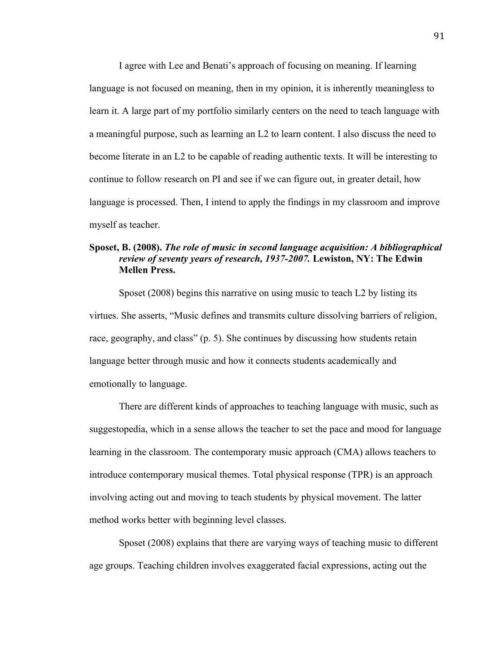I agree with Lee and Benati's approach of focusing on meaning. If learning language is not focused on meaning, then in my opinion, it is inherently meaningless to learn it. A large part of my portfolio similarly centers on the need to teach language with a meaningful purpose, such as learning an L2 to learn content. I also discuss the need to become literate in an L2 to be capable of reading authentic texts. It will be interesting to continue to follow research on PI and see if we can figure out, in greater detail, how language is processed. Then, I intend to apply the findings in my classroom and improve myself as teacher.

# **Sposet, B. (2008).** *The role of music in second language acquisition: A bibliographical review of seventy years of research, 1937-2007.* **Lewiston, NY: The Edwin Mellen Press.**

Sposet (2008) begins this narrative on using music to teach L2 by listing its virtues. She asserts, "Music defines and transmits culture dissolving barriers of religion, race, geography, and class" (p. 5). She continues by discussing how students retain language better through music and how it connects students academically and emotionally to language.

There are different kinds of approaches to teaching language with music, such as suggestopedia, which in a sense allows the teacher to set the pace and mood for language learning in the classroom. The contemporary music approach (CMA) allows teachers to introduce contemporary musical themes. Total physical response (TPR) is an approach involving acting out and moving to teach students by physical movement. The latter method works better with beginning level classes.

Sposet (2008) explains that there are varying ways of teaching music to different age groups. Teaching children involves exaggerated facial expressions, acting out the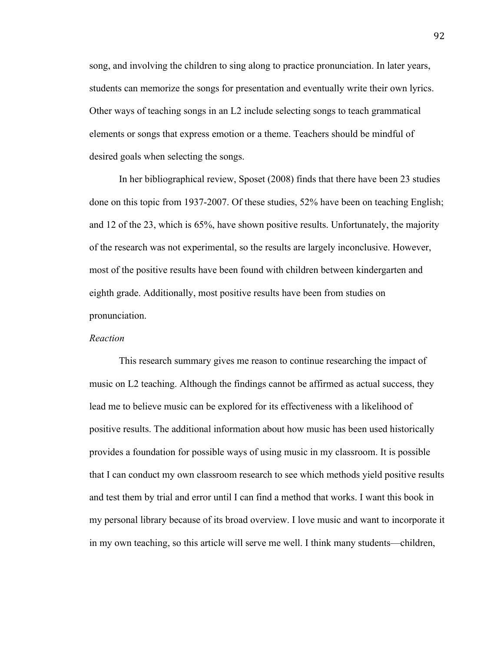song, and involving the children to sing along to practice pronunciation. In later years, students can memorize the songs for presentation and eventually write their own lyrics. Other ways of teaching songs in an L2 include selecting songs to teach grammatical elements or songs that express emotion or a theme. Teachers should be mindful of desired goals when selecting the songs.

In her bibliographical review, Sposet (2008) finds that there have been 23 studies done on this topic from 1937-2007. Of these studies, 52% have been on teaching English; and 12 of the 23, which is 65%, have shown positive results. Unfortunately, the majority of the research was not experimental, so the results are largely inconclusive. However, most of the positive results have been found with children between kindergarten and eighth grade. Additionally, most positive results have been from studies on pronunciation.

## *Reaction*

This research summary gives me reason to continue researching the impact of music on L2 teaching. Although the findings cannot be affirmed as actual success, they lead me to believe music can be explored for its effectiveness with a likelihood of positive results. The additional information about how music has been used historically provides a foundation for possible ways of using music in my classroom. It is possible that I can conduct my own classroom research to see which methods yield positive results and test them by trial and error until I can find a method that works. I want this book in my personal library because of its broad overview. I love music and want to incorporate it in my own teaching, so this article will serve me well. I think many students—children,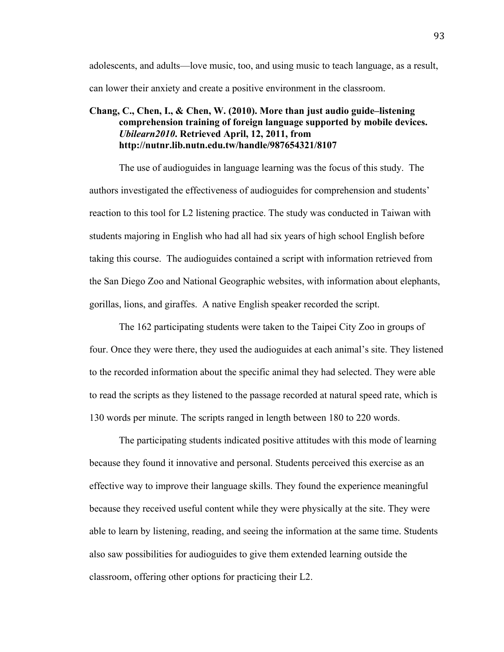adolescents, and adults—love music, too, and using music to teach language, as a result, can lower their anxiety and create a positive environment in the classroom.

# **Chang, C., Chen, I., & Chen, W. (2010). More than just audio guide–listening comprehension training of foreign language supported by mobile devices.**  *Ubilearn2010***. Retrieved April, 12, 2011, from http://nutnr.lib.nutn.edu.tw/handle/987654321/8107**

The use of audioguides in language learning was the focus of this study. The authors investigated the effectiveness of audioguides for comprehension and students' reaction to this tool for L2 listening practice. The study was conducted in Taiwan with students majoring in English who had all had six years of high school English before taking this course. The audioguides contained a script with information retrieved from the San Diego Zoo and National Geographic websites, with information about elephants, gorillas, lions, and giraffes. A native English speaker recorded the script.

The 162 participating students were taken to the Taipei City Zoo in groups of four. Once they were there, they used the audioguides at each animal's site. They listened to the recorded information about the specific animal they had selected. They were able to read the scripts as they listened to the passage recorded at natural speed rate, which is 130 words per minute. The scripts ranged in length between 180 to 220 words.

The participating students indicated positive attitudes with this mode of learning because they found it innovative and personal. Students perceived this exercise as an effective way to improve their language skills. They found the experience meaningful because they received useful content while they were physically at the site. They were able to learn by listening, reading, and seeing the information at the same time. Students also saw possibilities for audioguides to give them extended learning outside the classroom, offering other options for practicing their L2.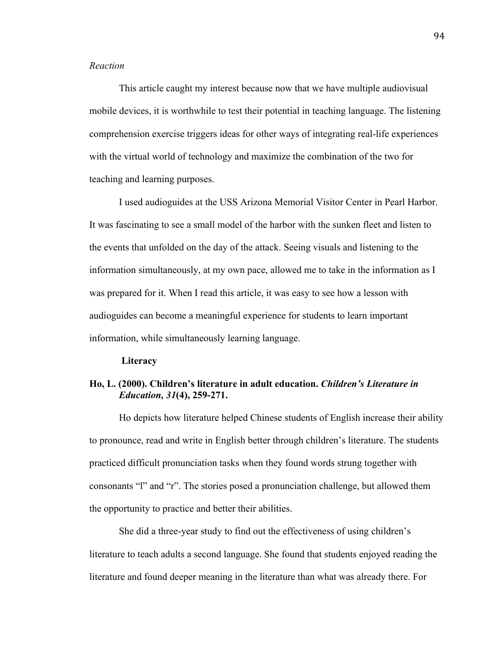# *Reaction*

This article caught my interest because now that we have multiple audiovisual mobile devices, it is worthwhile to test their potential in teaching language. The listening comprehension exercise triggers ideas for other ways of integrating real-life experiences with the virtual world of technology and maximize the combination of the two for teaching and learning purposes.

I used audioguides at the USS Arizona Memorial Visitor Center in Pearl Harbor. It was fascinating to see a small model of the harbor with the sunken fleet and listen to the events that unfolded on the day of the attack. Seeing visuals and listening to the information simultaneously, at my own pace, allowed me to take in the information as I was prepared for it. When I read this article, it was easy to see how a lesson with audioguides can become a meaningful experience for students to learn important information, while simultaneously learning language.

#### **Literacy**

# **Ho, L. (2000). Children's literature in adult education.** *Children's Literature in Education, 31***(4), 259-271.**

Ho depicts how literature helped Chinese students of English increase their ability to pronounce, read and write in English better through children's literature. The students practiced difficult pronunciation tasks when they found words strung together with consonants "l" and "r". The stories posed a pronunciation challenge, but allowed them the opportunity to practice and better their abilities.

She did a three-year study to find out the effectiveness of using children's literature to teach adults a second language. She found that students enjoyed reading the literature and found deeper meaning in the literature than what was already there. For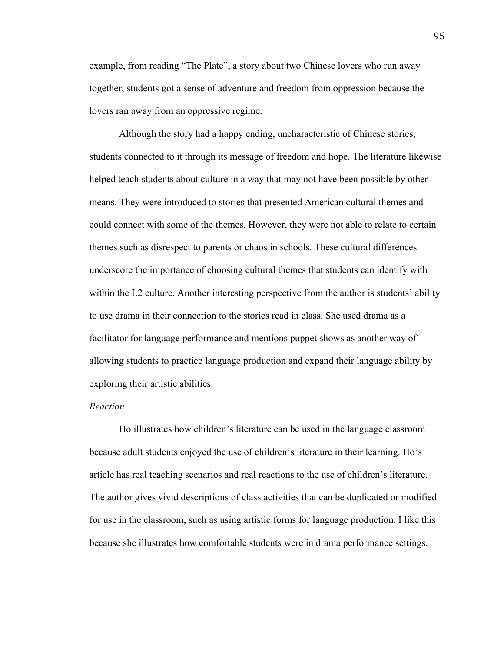example, from reading "The Plate", a story about two Chinese lovers who run away together, students got a sense of adventure and freedom from oppression because the lovers ran away from an oppressive regime.

Although the story had a happy ending, uncharacteristic of Chinese stories, students connected to it through its message of freedom and hope. The literature likewise helped teach students about culture in a way that may not have been possible by other means. They were introduced to stories that presented American cultural themes and could connect with some of the themes. However, they were not able to relate to certain themes such as disrespect to parents or chaos in schools. These cultural differences underscore the importance of choosing cultural themes that students can identify with within the L2 culture. Another interesting perspective from the author is students' ability to use drama in their connection to the stories read in class. She used drama as a facilitator for language performance and mentions puppet shows as another way of allowing students to practice language production and expand their language ability by exploring their artistic abilities.

#### *Reaction*

Ho illustrates how children's literature can be used in the language classroom because adult students enjoyed the use of children's literature in their learning. Ho's article has real teaching scenarios and real reactions to the use of children's literature. The author gives vivid descriptions of class activities that can be duplicated or modified for use in the classroom, such as using artistic forms for language production. I like this because she illustrates how comfortable students were in drama performance settings.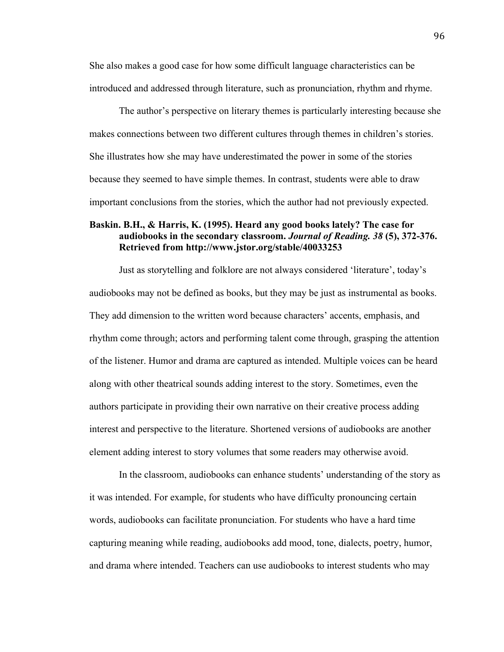She also makes a good case for how some difficult language characteristics can be introduced and addressed through literature, such as pronunciation, rhythm and rhyme.

The author's perspective on literary themes is particularly interesting because she makes connections between two different cultures through themes in children's stories. She illustrates how she may have underestimated the power in some of the stories because they seemed to have simple themes. In contrast, students were able to draw important conclusions from the stories, which the author had not previously expected.

# **Baskin. B.H., & Harris, K. (1995). Heard any good books lately? The case for audiobooks in the secondary classroom.** *Journal of Reading. 38* **(5), 372-376. Retrieved from http://www.jstor.org/stable/40033253**

Just as storytelling and folklore are not always considered 'literature', today's audiobooks may not be defined as books, but they may be just as instrumental as books. They add dimension to the written word because characters' accents, emphasis, and rhythm come through; actors and performing talent come through, grasping the attention of the listener. Humor and drama are captured as intended. Multiple voices can be heard along with other theatrical sounds adding interest to the story. Sometimes, even the authors participate in providing their own narrative on their creative process adding interest and perspective to the literature. Shortened versions of audiobooks are another element adding interest to story volumes that some readers may otherwise avoid.

In the classroom, audiobooks can enhance students' understanding of the story as it was intended. For example, for students who have difficulty pronouncing certain words, audiobooks can facilitate pronunciation. For students who have a hard time capturing meaning while reading, audiobooks add mood, tone, dialects, poetry, humor, and drama where intended. Teachers can use audiobooks to interest students who may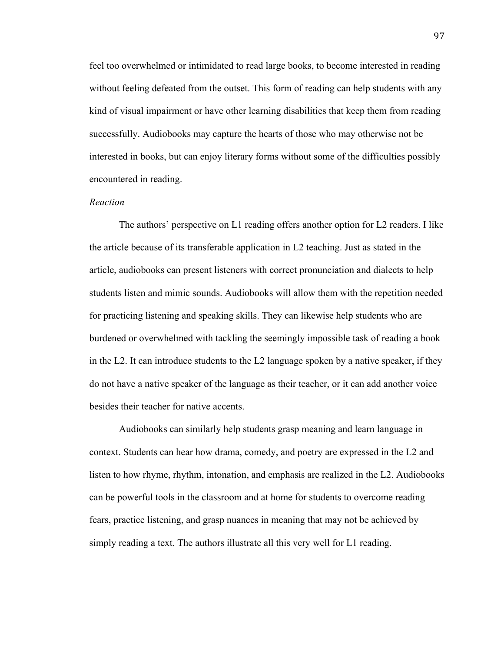feel too overwhelmed or intimidated to read large books, to become interested in reading without feeling defeated from the outset. This form of reading can help students with any kind of visual impairment or have other learning disabilities that keep them from reading successfully. Audiobooks may capture the hearts of those who may otherwise not be interested in books, but can enjoy literary forms without some of the difficulties possibly encountered in reading.

## *Reaction*

The authors' perspective on L1 reading offers another option for L2 readers. I like the article because of its transferable application in L2 teaching. Just as stated in the article, audiobooks can present listeners with correct pronunciation and dialects to help students listen and mimic sounds. Audiobooks will allow them with the repetition needed for practicing listening and speaking skills. They can likewise help students who are burdened or overwhelmed with tackling the seemingly impossible task of reading a book in the L2. It can introduce students to the L2 language spoken by a native speaker, if they do not have a native speaker of the language as their teacher, or it can add another voice besides their teacher for native accents.

Audiobooks can similarly help students grasp meaning and learn language in context. Students can hear how drama, comedy, and poetry are expressed in the L2 and listen to how rhyme, rhythm, intonation, and emphasis are realized in the L2. Audiobooks can be powerful tools in the classroom and at home for students to overcome reading fears, practice listening, and grasp nuances in meaning that may not be achieved by simply reading a text. The authors illustrate all this very well for L1 reading.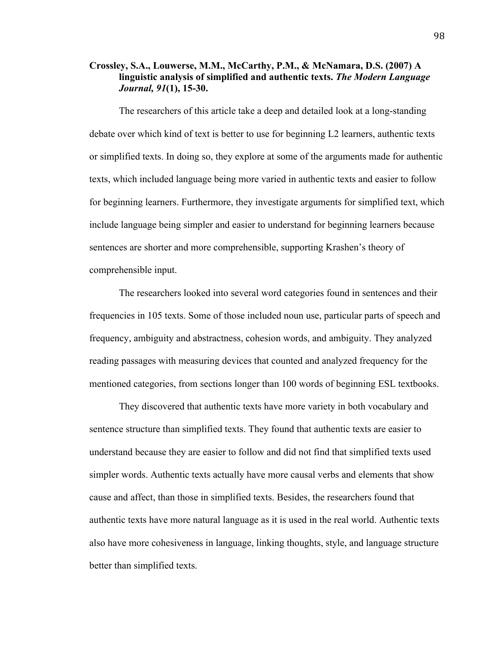# **Crossley, S.A., Louwerse, M.M., McCarthy, P.M., & McNamara, D.S. (2007) A linguistic analysis of simplified and authentic texts.** *The Modern Language Journal, 91***(1), 15-30.**

The researchers of this article take a deep and detailed look at a long-standing debate over which kind of text is better to use for beginning L2 learners, authentic texts or simplified texts. In doing so, they explore at some of the arguments made for authentic texts, which included language being more varied in authentic texts and easier to follow for beginning learners. Furthermore, they investigate arguments for simplified text, which include language being simpler and easier to understand for beginning learners because sentences are shorter and more comprehensible, supporting Krashen's theory of comprehensible input.

The researchers looked into several word categories found in sentences and their frequencies in 105 texts. Some of those included noun use, particular parts of speech and frequency, ambiguity and abstractness, cohesion words, and ambiguity. They analyzed reading passages with measuring devices that counted and analyzed frequency for the mentioned categories, from sections longer than 100 words of beginning ESL textbooks.

They discovered that authentic texts have more variety in both vocabulary and sentence structure than simplified texts. They found that authentic texts are easier to understand because they are easier to follow and did not find that simplified texts used simpler words. Authentic texts actually have more causal verbs and elements that show cause and affect, than those in simplified texts. Besides, the researchers found that authentic texts have more natural language as it is used in the real world. Authentic texts also have more cohesiveness in language, linking thoughts, style, and language structure better than simplified texts.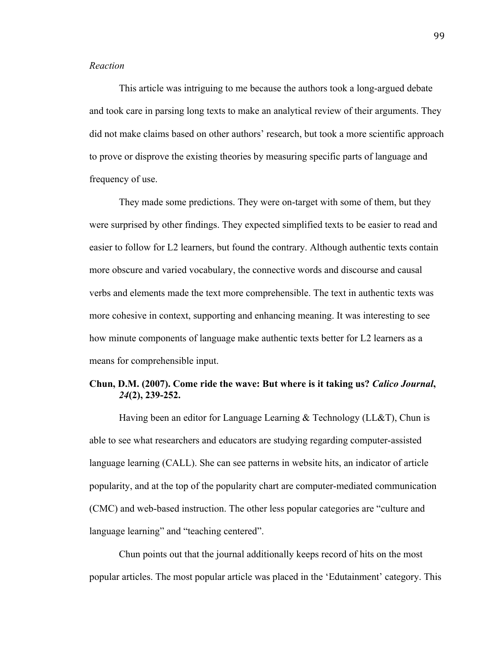# *Reaction*

This article was intriguing to me because the authors took a long-argued debate and took care in parsing long texts to make an analytical review of their arguments. They did not make claims based on other authors' research, but took a more scientific approach to prove or disprove the existing theories by measuring specific parts of language and frequency of use.

They made some predictions. They were on-target with some of them, but they were surprised by other findings. They expected simplified texts to be easier to read and easier to follow for L2 learners, but found the contrary. Although authentic texts contain more obscure and varied vocabulary, the connective words and discourse and causal verbs and elements made the text more comprehensible. The text in authentic texts was more cohesive in context, supporting and enhancing meaning. It was interesting to see how minute components of language make authentic texts better for L2 learners as a means for comprehensible input.

# **Chun, D.M. (2007). Come ride the wave: But where is it taking us?** *Calico Journal***,**  *24***(2), 239-252.**

Having been an editor for Language Learning & Technology (LL&T), Chun is able to see what researchers and educators are studying regarding computer-assisted language learning (CALL). She can see patterns in website hits, an indicator of article popularity, and at the top of the popularity chart are computer-mediated communication (CMC) and web-based instruction. The other less popular categories are "culture and language learning" and "teaching centered".

Chun points out that the journal additionally keeps record of hits on the most popular articles. The most popular article was placed in the 'Edutainment' category. This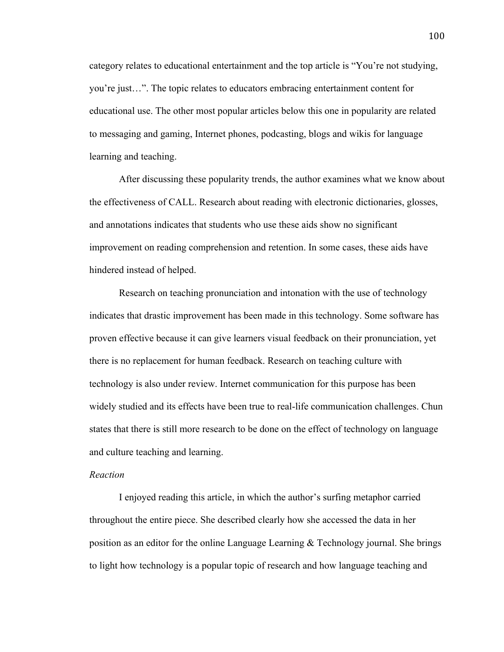category relates to educational entertainment and the top article is "You're not studying, you're just…". The topic relates to educators embracing entertainment content for educational use. The other most popular articles below this one in popularity are related to messaging and gaming, Internet phones, podcasting, blogs and wikis for language learning and teaching.

After discussing these popularity trends, the author examines what we know about the effectiveness of CALL. Research about reading with electronic dictionaries, glosses, and annotations indicates that students who use these aids show no significant improvement on reading comprehension and retention. In some cases, these aids have hindered instead of helped.

Research on teaching pronunciation and intonation with the use of technology indicates that drastic improvement has been made in this technology. Some software has proven effective because it can give learners visual feedback on their pronunciation, yet there is no replacement for human feedback. Research on teaching culture with technology is also under review. Internet communication for this purpose has been widely studied and its effects have been true to real-life communication challenges. Chun states that there is still more research to be done on the effect of technology on language and culture teaching and learning.

# *Reaction*

I enjoyed reading this article, in which the author's surfing metaphor carried throughout the entire piece. She described clearly how she accessed the data in her position as an editor for the online Language Learning & Technology journal. She brings to light how technology is a popular topic of research and how language teaching and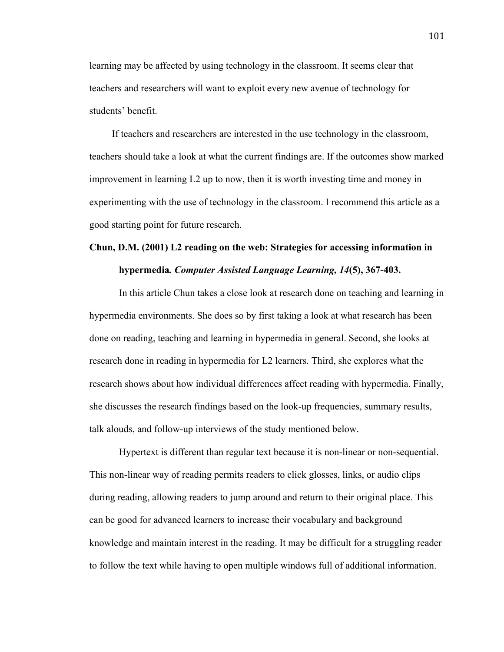learning may be affected by using technology in the classroom. It seems clear that teachers and researchers will want to exploit every new avenue of technology for students' benefit.

If teachers and researchers are interested in the use technology in the classroom, teachers should take a look at what the current findings are. If the outcomes show marked improvement in learning L2 up to now, then it is worth investing time and money in experimenting with the use of technology in the classroom. I recommend this article as a good starting point for future research.

# **Chun, D.M. (2001) L2 reading on the web: Strategies for accessing information in hypermedia***. Computer Assisted Language Learning, 14***(5), 367-403.**

In this article Chun takes a close look at research done on teaching and learning in hypermedia environments. She does so by first taking a look at what research has been done on reading, teaching and learning in hypermedia in general. Second, she looks at research done in reading in hypermedia for L2 learners. Third, she explores what the research shows about how individual differences affect reading with hypermedia. Finally, she discusses the research findings based on the look-up frequencies, summary results, talk alouds, and follow-up interviews of the study mentioned below.

Hypertext is different than regular text because it is non-linear or non-sequential. This non-linear way of reading permits readers to click glosses, links, or audio clips during reading, allowing readers to jump around and return to their original place. This can be good for advanced learners to increase their vocabulary and background knowledge and maintain interest in the reading. It may be difficult for a struggling reader to follow the text while having to open multiple windows full of additional information.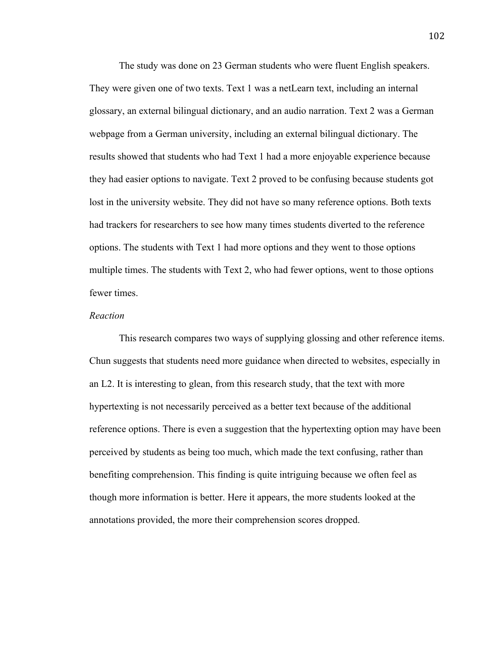The study was done on 23 German students who were fluent English speakers. They were given one of two texts. Text 1 was a netLearn text, including an internal glossary, an external bilingual dictionary, and an audio narration. Text 2 was a German webpage from a German university, including an external bilingual dictionary. The results showed that students who had Text 1 had a more enjoyable experience because they had easier options to navigate. Text 2 proved to be confusing because students got lost in the university website. They did not have so many reference options. Both texts had trackers for researchers to see how many times students diverted to the reference options. The students with Text 1 had more options and they went to those options multiple times. The students with Text 2, who had fewer options, went to those options fewer times.

#### *Reaction*

This research compares two ways of supplying glossing and other reference items. Chun suggests that students need more guidance when directed to websites, especially in an L2. It is interesting to glean, from this research study, that the text with more hypertexting is not necessarily perceived as a better text because of the additional reference options. There is even a suggestion that the hypertexting option may have been perceived by students as being too much, which made the text confusing, rather than benefiting comprehension. This finding is quite intriguing because we often feel as though more information is better. Here it appears, the more students looked at the annotations provided, the more their comprehension scores dropped.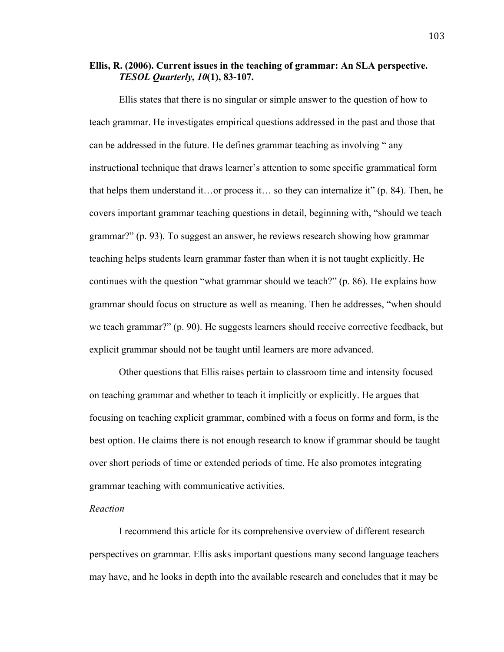### **Ellis, R. (2006). Current issues in the teaching of grammar: An SLA perspective.**  *TESOL Quarterly, 10***(1), 83-107.**

Ellis states that there is no singular or simple answer to the question of how to teach grammar. He investigates empirical questions addressed in the past and those that can be addressed in the future. He defines grammar teaching as involving " any instructional technique that draws learner's attention to some specific grammatical form that helps them understand it…or process it… so they can internalize it" (p. 84). Then, he covers important grammar teaching questions in detail, beginning with, "should we teach grammar?" (p. 93). To suggest an answer, he reviews research showing how grammar teaching helps students learn grammar faster than when it is not taught explicitly. He continues with the question "what grammar should we teach?" (p. 86). He explains how grammar should focus on structure as well as meaning. Then he addresses, "when should we teach grammar?" (p. 90). He suggests learners should receive corrective feedback, but explicit grammar should not be taught until learners are more advanced.

Other questions that Ellis raises pertain to classroom time and intensity focused on teaching grammar and whether to teach it implicitly or explicitly. He argues that focusing on teaching explicit grammar, combined with a focus on form*s* and form, is the best option. He claims there is not enough research to know if grammar should be taught over short periods of time or extended periods of time. He also promotes integrating grammar teaching with communicative activities.

### *Reaction*

I recommend this article for its comprehensive overview of different research perspectives on grammar. Ellis asks important questions many second language teachers may have, and he looks in depth into the available research and concludes that it may be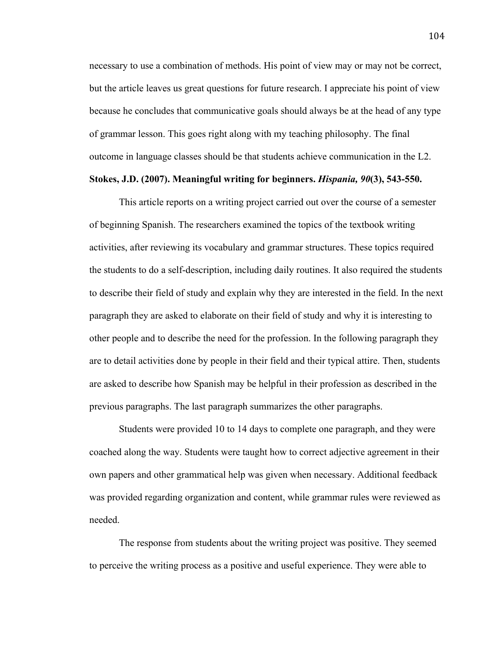necessary to use a combination of methods. His point of view may or may not be correct, but the article leaves us great questions for future research. I appreciate his point of view because he concludes that communicative goals should always be at the head of any type of grammar lesson. This goes right along with my teaching philosophy. The final outcome in language classes should be that students achieve communication in the L2.

### **Stokes, J.D. (2007). Meaningful writing for beginners.** *Hispania, 90***(3), 543-550.**

This article reports on a writing project carried out over the course of a semester of beginning Spanish. The researchers examined the topics of the textbook writing activities, after reviewing its vocabulary and grammar structures. These topics required the students to do a self-description, including daily routines. It also required the students to describe their field of study and explain why they are interested in the field. In the next paragraph they are asked to elaborate on their field of study and why it is interesting to other people and to describe the need for the profession. In the following paragraph they are to detail activities done by people in their field and their typical attire. Then, students are asked to describe how Spanish may be helpful in their profession as described in the previous paragraphs. The last paragraph summarizes the other paragraphs.

Students were provided 10 to 14 days to complete one paragraph, and they were coached along the way. Students were taught how to correct adjective agreement in their own papers and other grammatical help was given when necessary. Additional feedback was provided regarding organization and content, while grammar rules were reviewed as needed.

The response from students about the writing project was positive. They seemed to perceive the writing process as a positive and useful experience. They were able to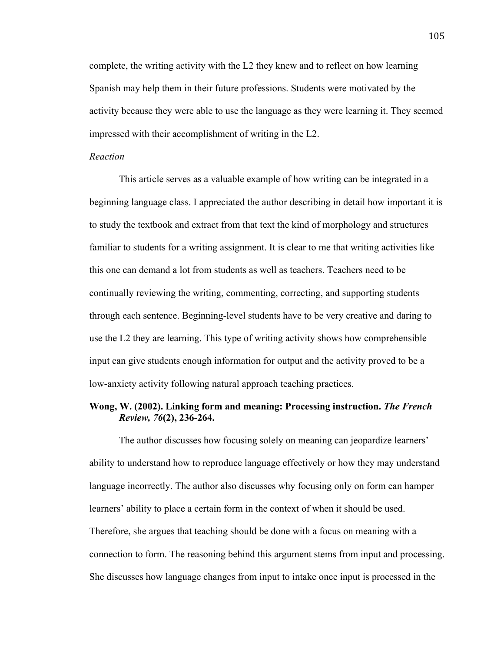complete, the writing activity with the L2 they knew and to reflect on how learning Spanish may help them in their future professions. Students were motivated by the activity because they were able to use the language as they were learning it. They seemed impressed with their accomplishment of writing in the L2.

#### *Reaction*

This article serves as a valuable example of how writing can be integrated in a beginning language class. I appreciated the author describing in detail how important it is to study the textbook and extract from that text the kind of morphology and structures familiar to students for a writing assignment. It is clear to me that writing activities like this one can demand a lot from students as well as teachers. Teachers need to be continually reviewing the writing, commenting, correcting, and supporting students through each sentence. Beginning-level students have to be very creative and daring to use the L2 they are learning. This type of writing activity shows how comprehensible input can give students enough information for output and the activity proved to be a low-anxiety activity following natural approach teaching practices.

### **Wong, W. (2002). Linking form and meaning: Processing instruction.** *The French Review, 76***(2), 236-264.**

The author discusses how focusing solely on meaning can jeopardize learners' ability to understand how to reproduce language effectively or how they may understand language incorrectly. The author also discusses why focusing only on form can hamper learners' ability to place a certain form in the context of when it should be used. Therefore, she argues that teaching should be done with a focus on meaning with a connection to form. The reasoning behind this argument stems from input and processing. She discusses how language changes from input to intake once input is processed in the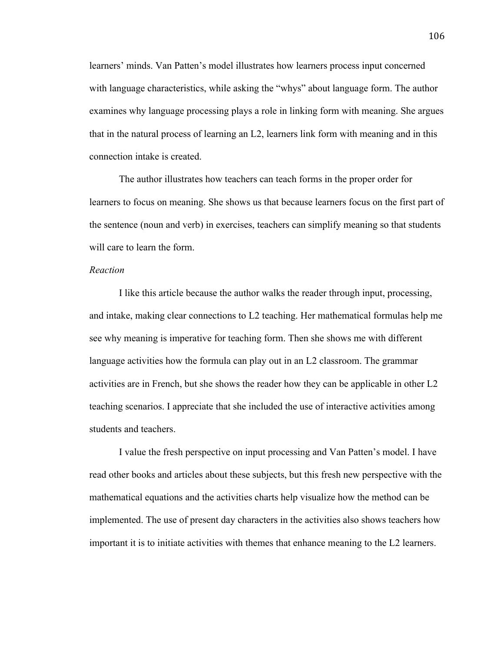learners' minds. Van Patten's model illustrates how learners process input concerned with language characteristics, while asking the "whys" about language form. The author examines why language processing plays a role in linking form with meaning. She argues that in the natural process of learning an L2, learners link form with meaning and in this connection intake is created.

The author illustrates how teachers can teach forms in the proper order for learners to focus on meaning. She shows us that because learners focus on the first part of the sentence (noun and verb) in exercises, teachers can simplify meaning so that students will care to learn the form.

### *Reaction*

I like this article because the author walks the reader through input, processing, and intake, making clear connections to L2 teaching. Her mathematical formulas help me see why meaning is imperative for teaching form. Then she shows me with different language activities how the formula can play out in an L2 classroom. The grammar activities are in French, but she shows the reader how they can be applicable in other L2 teaching scenarios. I appreciate that she included the use of interactive activities among students and teachers.

I value the fresh perspective on input processing and Van Patten's model. I have read other books and articles about these subjects, but this fresh new perspective with the mathematical equations and the activities charts help visualize how the method can be implemented. The use of present day characters in the activities also shows teachers how important it is to initiate activities with themes that enhance meaning to the L2 learners.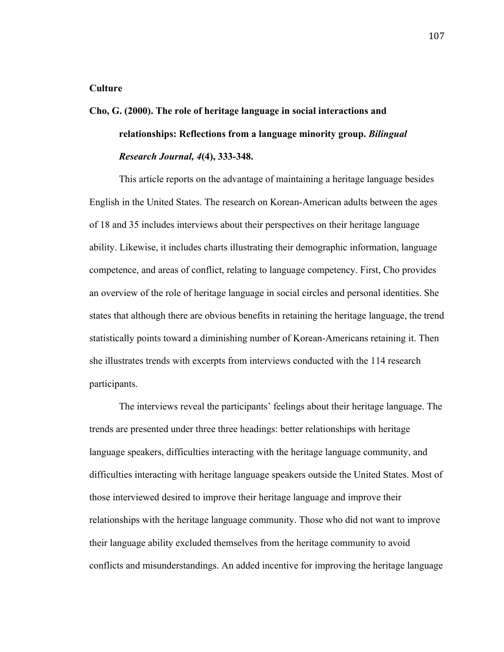### **Culture**

# **Cho, G. (2000). The role of heritage language in social interactions and relationships: Reflections from a language minority group.** *Bilingual Research Journal, 4***(4), 333-348.**

This article reports on the advantage of maintaining a heritage language besides English in the United States. The research on Korean-American adults between the ages of 18 and 35 includes interviews about their perspectives on their heritage language ability. Likewise, it includes charts illustrating their demographic information, language competence, and areas of conflict, relating to language competency. First, Cho provides an overview of the role of heritage language in social circles and personal identities. She states that although there are obvious benefits in retaining the heritage language, the trend statistically points toward a diminishing number of Korean-Americans retaining it. Then she illustrates trends with excerpts from interviews conducted with the 114 research participants.

The interviews reveal the participants' feelings about their heritage language. The trends are presented under three three headings: better relationships with heritage language speakers, difficulties interacting with the heritage language community, and difficulties interacting with heritage language speakers outside the United States. Most of those interviewed desired to improve their heritage language and improve their relationships with the heritage language community. Those who did not want to improve their language ability excluded themselves from the heritage community to avoid conflicts and misunderstandings. An added incentive for improving the heritage language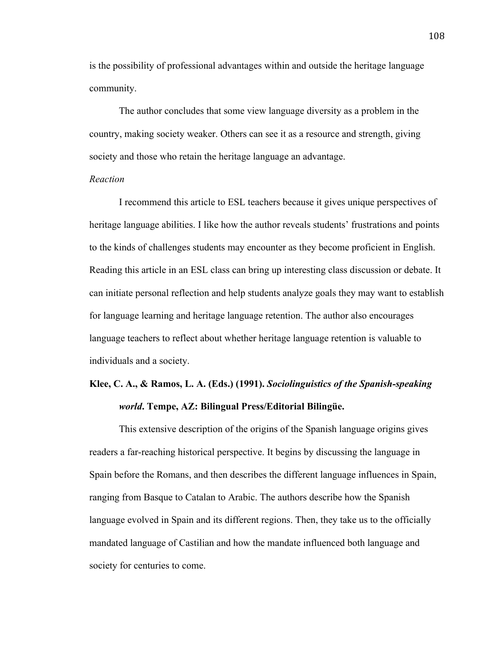is the possibility of professional advantages within and outside the heritage language community.

The author concludes that some view language diversity as a problem in the country, making society weaker. Others can see it as a resource and strength, giving society and those who retain the heritage language an advantage.

### *Reaction*

I recommend this article to ESL teachers because it gives unique perspectives of heritage language abilities. I like how the author reveals students' frustrations and points to the kinds of challenges students may encounter as they become proficient in English. Reading this article in an ESL class can bring up interesting class discussion or debate. It can initiate personal reflection and help students analyze goals they may want to establish for language learning and heritage language retention. The author also encourages language teachers to reflect about whether heritage language retention is valuable to individuals and a society.

# **Klee, C. A., & Ramos, L. A. (Eds.) (1991).** *Sociolinguistics of the Spanish-speaking world***. Tempe, AZ: Bilingual Press/Editorial Bilingüe.**

This extensive description of the origins of the Spanish language origins gives readers a far-reaching historical perspective. It begins by discussing the language in Spain before the Romans, and then describes the different language influences in Spain, ranging from Basque to Catalan to Arabic. The authors describe how the Spanish language evolved in Spain and its different regions. Then, they take us to the officially mandated language of Castilian and how the mandate influenced both language and society for centuries to come.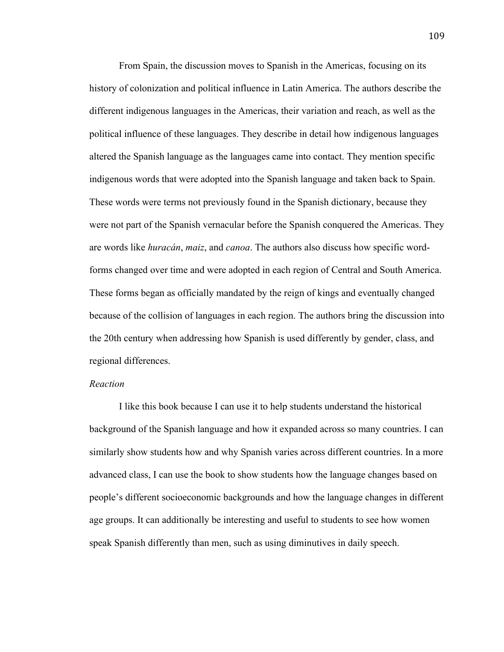From Spain, the discussion moves to Spanish in the Americas, focusing on its history of colonization and political influence in Latin America. The authors describe the different indigenous languages in the Americas, their variation and reach, as well as the political influence of these languages. They describe in detail how indigenous languages altered the Spanish language as the languages came into contact. They mention specific indigenous words that were adopted into the Spanish language and taken back to Spain. These words were terms not previously found in the Spanish dictionary, because they were not part of the Spanish vernacular before the Spanish conquered the Americas. They are words like *huracán*, *maiz*, and *canoa*. The authors also discuss how specific wordforms changed over time and were adopted in each region of Central and South America. These forms began as officially mandated by the reign of kings and eventually changed because of the collision of languages in each region. The authors bring the discussion into the 20th century when addressing how Spanish is used differently by gender, class, and regional differences.

### *Reaction*

I like this book because I can use it to help students understand the historical background of the Spanish language and how it expanded across so many countries. I can similarly show students how and why Spanish varies across different countries. In a more advanced class, I can use the book to show students how the language changes based on people's different socioeconomic backgrounds and how the language changes in different age groups. It can additionally be interesting and useful to students to see how women speak Spanish differently than men, such as using diminutives in daily speech.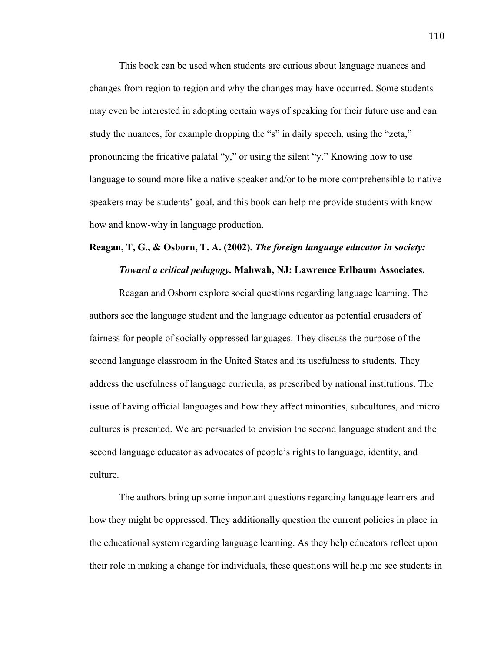This book can be used when students are curious about language nuances and changes from region to region and why the changes may have occurred. Some students may even be interested in adopting certain ways of speaking for their future use and can study the nuances, for example dropping the "s" in daily speech, using the "zeta," pronouncing the fricative palatal "y," or using the silent "y." Knowing how to use language to sound more like a native speaker and/or to be more comprehensible to native speakers may be students' goal, and this book can help me provide students with knowhow and know-why in language production.

# **Reagan, T, G., & Osborn, T. A. (2002).** *The foreign language educator in society: Toward a critical pedagogy.* **Mahwah, NJ: Lawrence Erlbaum Associates.**

Reagan and Osborn explore social questions regarding language learning. The authors see the language student and the language educator as potential crusaders of fairness for people of socially oppressed languages. They discuss the purpose of the second language classroom in the United States and its usefulness to students. They address the usefulness of language curricula, as prescribed by national institutions. The issue of having official languages and how they affect minorities, subcultures, and micro cultures is presented. We are persuaded to envision the second language student and the second language educator as advocates of people's rights to language, identity, and culture.

The authors bring up some important questions regarding language learners and how they might be oppressed. They additionally question the current policies in place in the educational system regarding language learning. As they help educators reflect upon their role in making a change for individuals, these questions will help me see students in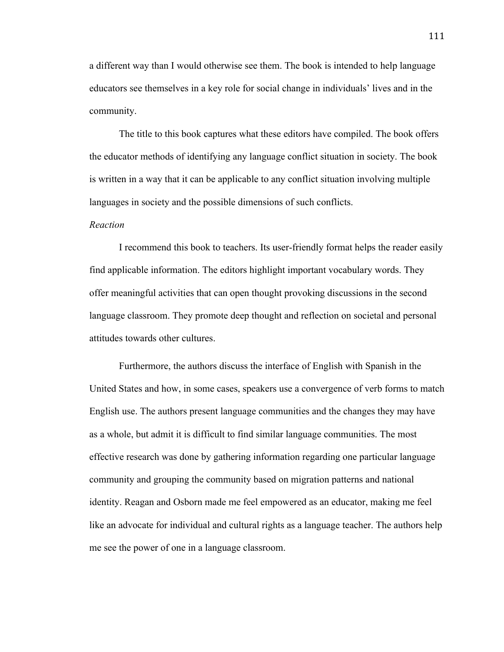a different way than I would otherwise see them. The book is intended to help language educators see themselves in a key role for social change in individuals' lives and in the community.

The title to this book captures what these editors have compiled. The book offers the educator methods of identifying any language conflict situation in society. The book is written in a way that it can be applicable to any conflict situation involving multiple languages in society and the possible dimensions of such conflicts.

### *Reaction*

I recommend this book to teachers. Its user-friendly format helps the reader easily find applicable information. The editors highlight important vocabulary words. They offer meaningful activities that can open thought provoking discussions in the second language classroom. They promote deep thought and reflection on societal and personal attitudes towards other cultures.

Furthermore, the authors discuss the interface of English with Spanish in the United States and how, in some cases, speakers use a convergence of verb forms to match English use. The authors present language communities and the changes they may have as a whole, but admit it is difficult to find similar language communities. The most effective research was done by gathering information regarding one particular language community and grouping the community based on migration patterns and national identity. Reagan and Osborn made me feel empowered as an educator, making me feel like an advocate for individual and cultural rights as a language teacher. The authors help me see the power of one in a language classroom.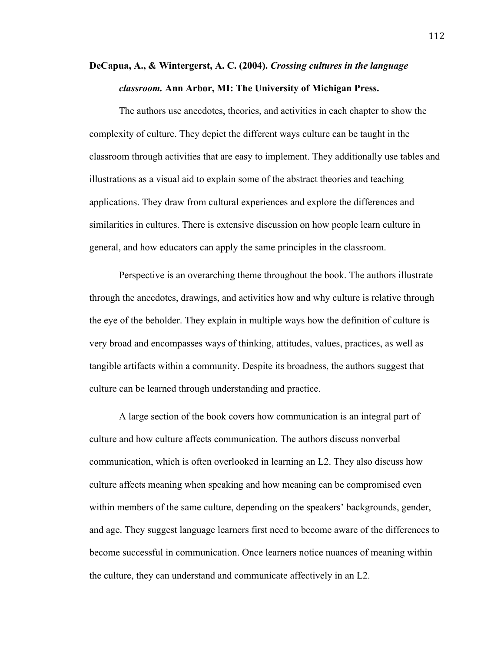# **DeCapua, A., & Wintergerst, A. C. (2004).** *Crossing cultures in the language classroom.* **Ann Arbor, MI: The University of Michigan Press.**

The authors use anecdotes, theories, and activities in each chapter to show the complexity of culture. They depict the different ways culture can be taught in the classroom through activities that are easy to implement. They additionally use tables and illustrations as a visual aid to explain some of the abstract theories and teaching applications. They draw from cultural experiences and explore the differences and similarities in cultures. There is extensive discussion on how people learn culture in general, and how educators can apply the same principles in the classroom.

Perspective is an overarching theme throughout the book. The authors illustrate through the anecdotes, drawings, and activities how and why culture is relative through the eye of the beholder. They explain in multiple ways how the definition of culture is very broad and encompasses ways of thinking, attitudes, values, practices, as well as tangible artifacts within a community. Despite its broadness, the authors suggest that culture can be learned through understanding and practice.

A large section of the book covers how communication is an integral part of culture and how culture affects communication. The authors discuss nonverbal communication, which is often overlooked in learning an L2. They also discuss how culture affects meaning when speaking and how meaning can be compromised even within members of the same culture, depending on the speakers' backgrounds, gender, and age. They suggest language learners first need to become aware of the differences to become successful in communication. Once learners notice nuances of meaning within the culture, they can understand and communicate affectively in an L2.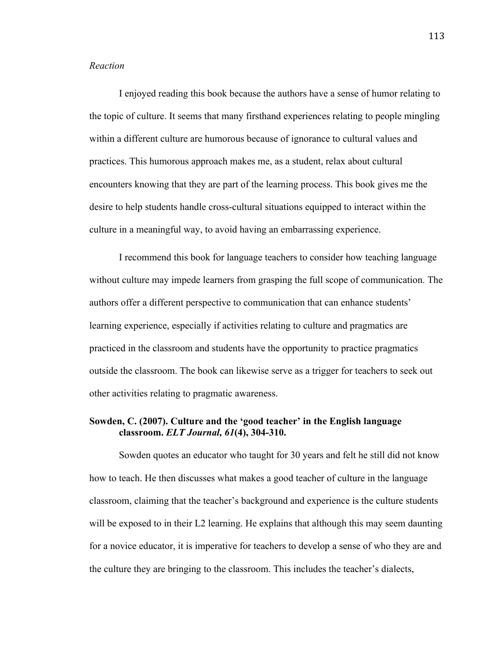### *Reaction*

I enjoyed reading this book because the authors have a sense of humor relating to the topic of culture. It seems that many firsthand experiences relating to people mingling within a different culture are humorous because of ignorance to cultural values and practices. This humorous approach makes me, as a student, relax about cultural encounters knowing that they are part of the learning process. This book gives me the desire to help students handle cross-cultural situations equipped to interact within the culture in a meaningful way, to avoid having an embarrassing experience.

I recommend this book for language teachers to consider how teaching language without culture may impede learners from grasping the full scope of communication. The authors offer a different perspective to communication that can enhance students' learning experience, especially if activities relating to culture and pragmatics are practiced in the classroom and students have the opportunity to practice pragmatics outside the classroom. The book can likewise serve as a trigger for teachers to seek out other activities relating to pragmatic awareness.

### **Sowden, C. (2007). Culture and the 'good teacher' in the English language classroom.** *ELT Journal, 61***(4), 304-310.**

Sowden quotes an educator who taught for 30 years and felt he still did not know how to teach. He then discusses what makes a good teacher of culture in the language classroom, claiming that the teacher's background and experience is the culture students will be exposed to in their L2 learning. He explains that although this may seem daunting for a novice educator, it is imperative for teachers to develop a sense of who they are and the culture they are bringing to the classroom. This includes the teacher's dialects,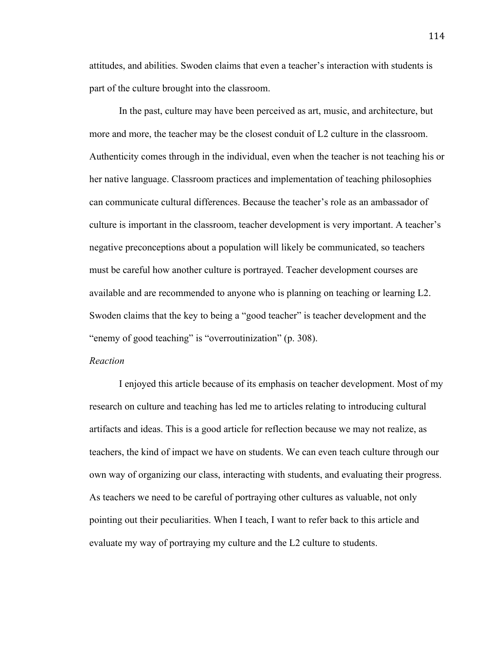attitudes, and abilities. Swoden claims that even a teacher's interaction with students is part of the culture brought into the classroom.

In the past, culture may have been perceived as art, music, and architecture, but more and more, the teacher may be the closest conduit of L2 culture in the classroom. Authenticity comes through in the individual, even when the teacher is not teaching his or her native language. Classroom practices and implementation of teaching philosophies can communicate cultural differences. Because the teacher's role as an ambassador of culture is important in the classroom, teacher development is very important. A teacher's negative preconceptions about a population will likely be communicated, so teachers must be careful how another culture is portrayed. Teacher development courses are available and are recommended to anyone who is planning on teaching or learning L2. Swoden claims that the key to being a "good teacher" is teacher development and the "enemy of good teaching" is "overroutinization" (p. 308).

### *Reaction*

I enjoyed this article because of its emphasis on teacher development. Most of my research on culture and teaching has led me to articles relating to introducing cultural artifacts and ideas. This is a good article for reflection because we may not realize, as teachers, the kind of impact we have on students. We can even teach culture through our own way of organizing our class, interacting with students, and evaluating their progress. As teachers we need to be careful of portraying other cultures as valuable, not only pointing out their peculiarities. When I teach, I want to refer back to this article and evaluate my way of portraying my culture and the L2 culture to students.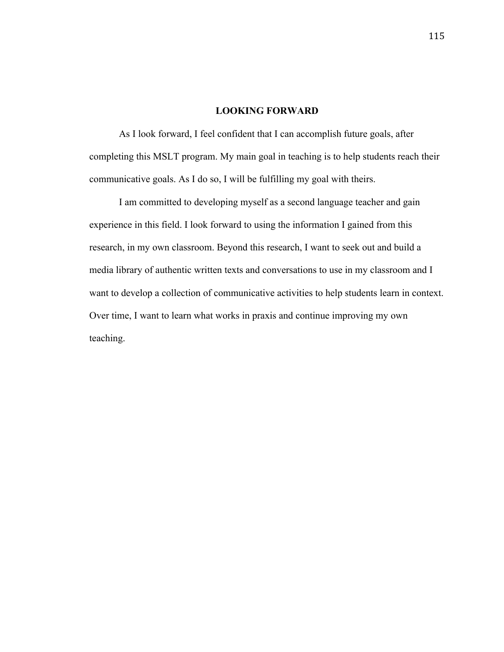### **LOOKING FORWARD**

As I look forward, I feel confident that I can accomplish future goals, after completing this MSLT program. My main goal in teaching is to help students reach their communicative goals. As I do so, I will be fulfilling my goal with theirs.

I am committed to developing myself as a second language teacher and gain experience in this field. I look forward to using the information I gained from this research, in my own classroom. Beyond this research, I want to seek out and build a media library of authentic written texts and conversations to use in my classroom and I want to develop a collection of communicative activities to help students learn in context. Over time, I want to learn what works in praxis and continue improving my own teaching.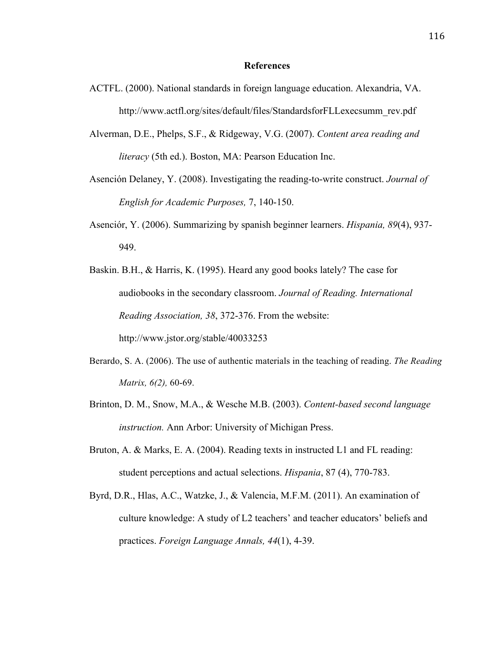#### **References**

- ACTFL. (2000). National standards in foreign language education. Alexandria, VA. http://www.actfl.org/sites/default/files/StandardsforFLLexecsumm\_rev.pdf
- Alverman, D.E., Phelps, S.F., & Ridgeway, V.G. (2007). *Content area reading and literacy* (5th ed.). Boston, MA: Pearson Education Inc.
- Asención Delaney, Y. (2008). Investigating the reading-to-write construct. *Journal of English for Academic Purposes,* 7, 140-150.
- Asenciór, Y. (2006). Summarizing by spanish beginner learners. *Hispania, 89*(4), 937- 949.
- Baskin. B.H., & Harris, K. (1995). Heard any good books lately? The case for audiobooks in the secondary classroom. *Journal of Reading. International Reading Association, 38*, 372-376. From the website: http://www.jstor.org/stable/40033253
- Berardo, S. A. (2006). The use of authentic materials in the teaching of reading. *The Reading Matrix, 6(2),* 60-69.
- Brinton, D. M., Snow, M.A., & Wesche M.B. (2003). *Content-based second language instruction.* Ann Arbor: University of Michigan Press.
- Bruton, A. & Marks, E. A. (2004). Reading texts in instructed L1 and FL reading: student perceptions and actual selections. *Hispania*, 87 (4), 770-783.
- Byrd, D.R., Hlas, A.C., Watzke, J., & Valencia, M.F.M. (2011). An examination of culture knowledge: A study of L2 teachers' and teacher educators' beliefs and practices. *Foreign Language Annals, 44*(1), 4-39.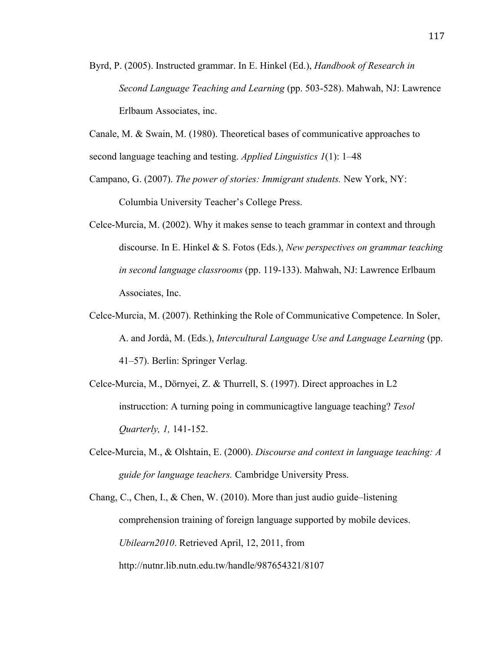- Byrd, P. (2005). Instructed grammar. In E. Hinkel (Ed.), *Handbook of Research in Second Language Teaching and Learning* (pp. 503-528). Mahwah, NJ: Lawrence Erlbaum Associates, inc.
- Canale, M. & Swain, M. (1980). Theoretical bases of communicative approaches to second language teaching and testing. *Applied Linguistics 1*(1): 1–48
- Campano, G. (2007). *The power of stories: Immigrant students.* New York, NY: Columbia University Teacher's College Press.
- Celce-Murcia, M. (2002). Why it makes sense to teach grammar in context and through discourse. In E. Hinkel & S. Fotos (Eds.), *New perspectives on grammar teaching in second language classrooms* (pp. 119-133). Mahwah, NJ: Lawrence Erlbaum Associates, Inc.
- Celce-Murcia, M. (2007). Rethinking the Role of Communicative Competence. In Soler, A. and Jordà, M. (Eds.), *Intercultural Language Use and Language Learning* (pp. 41–57). Berlin: Springer Verlag.
- Celce-Murcia, M., Dörnyei, Z. & Thurrell, S. (1997). Direct approaches in L2 instrucction: A turning poing in communicagtive language teaching? *Tesol Quarterly, 1,* 141-152.
- Celce-Murcia, M., & Olshtain, E. (2000). *Discourse and context in language teaching: A guide for language teachers.* Cambridge University Press.

Chang, C., Chen, I., & Chen, W. (2010). More than just audio guide–listening comprehension training of foreign language supported by mobile devices. *Ubilearn2010*. Retrieved April, 12, 2011, from http://nutnr.lib.nutn.edu.tw/handle/987654321/8107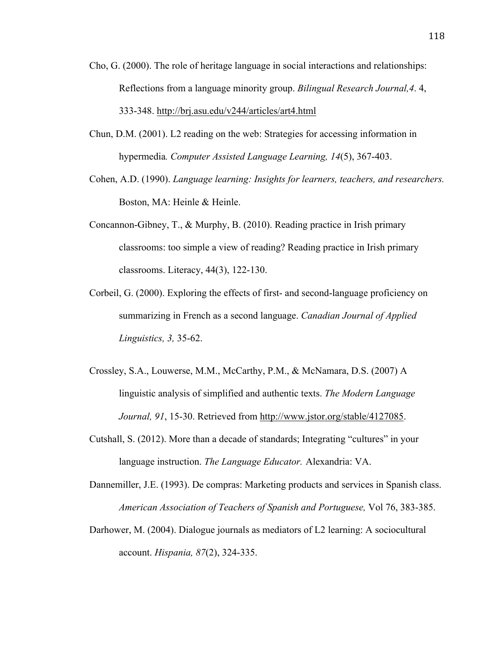- Cho, G. (2000). The role of heritage language in social interactions and relationships: Reflections from a language minority group. *Bilingual Research Journal,4*. 4, 333-348. http://brj.asu.edu/v244/articles/art4.html
- Chun, D.M. (2001). L2 reading on the web: Strategies for accessing information in hypermedia*. Computer Assisted Language Learning, 14*(5), 367-403.
- Cohen, A.D. (1990). *Language learning: Insights for learners, teachers, and researchers.* Boston, MA: Heinle & Heinle.
- Concannon-Gibney, T., & Murphy, B. (2010). Reading practice in Irish primary classrooms: too simple a view of reading? Reading practice in Irish primary classrooms. Literacy, 44(3), 122-130.
- Corbeil, G. (2000). Exploring the effects of first- and second-language proficiency on summarizing in French as a second language. *Canadian Journal of Applied Linguistics, 3,* 35-62.
- Crossley, S.A., Louwerse, M.M., McCarthy, P.M., & McNamara, D.S. (2007) A linguistic analysis of simplified and authentic texts. *The Modern Language Journal, 91*, 15-30. Retrieved from http://www.jstor.org/stable/4127085.
- Cutshall, S. (2012). More than a decade of standards; Integrating "cultures" in your language instruction. *The Language Educator.* Alexandria: VA.
- Dannemiller, J.E. (1993). De compras: Marketing products and services in Spanish class. *American Association of Teachers of Spanish and Portuguese,* Vol 76, 383-385.
- Darhower, M. (2004). Dialogue journals as mediators of L2 learning: A sociocultural account. *Hispania, 87*(2), 324-335.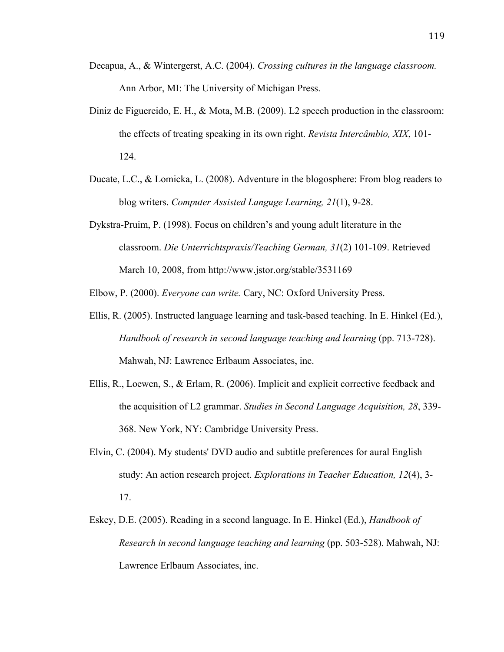- Decapua, A., & Wintergerst, A.C. (2004). *Crossing cultures in the language classroom.* Ann Arbor, MI: The University of Michigan Press.
- Diniz de Figuereido, E. H., & Mota, M.B. (2009). L2 speech production in the classroom: the effects of treating speaking in its own right. *Revista Intercâmbio, XIX*, 101- 124.
- Ducate, L.C., & Lomicka, L. (2008). Adventure in the blogosphere: From blog readers to blog writers. *Computer Assisted Languge Learning, 21*(1), 9-28.
- Dykstra-Pruim, P. (1998). Focus on children's and young adult literature in the classroom. *Die Unterrichtspraxis/Teaching German, 31*(2) 101-109. Retrieved March 10, 2008, from http://www.jstor.org/stable/3531169

Elbow, P. (2000). *Everyone can write.* Cary, NC: Oxford University Press.

- Ellis, R. (2005). Instructed language learning and task-based teaching. In E. Hinkel (Ed.), *Handbook of research in second language teaching and learning* (pp. 713-728). Mahwah, NJ: Lawrence Erlbaum Associates, inc.
- Ellis, R., Loewen, S., & Erlam, R. (2006). Implicit and explicit corrective feedback and the acquisition of L2 grammar. *Studies in Second Language Acquisition, 28*, 339- 368. New York, NY: Cambridge University Press.
- Elvin, C. (2004). My students' DVD audio and subtitle preferences for aural English study: An action research project. *Explorations in Teacher Education, 12*(4), 3- 17.
- Eskey, D.E. (2005). Reading in a second language. In E. Hinkel (Ed.), *Handbook of Research in second language teaching and learning* (pp. 503-528). Mahwah, NJ: Lawrence Erlbaum Associates, inc.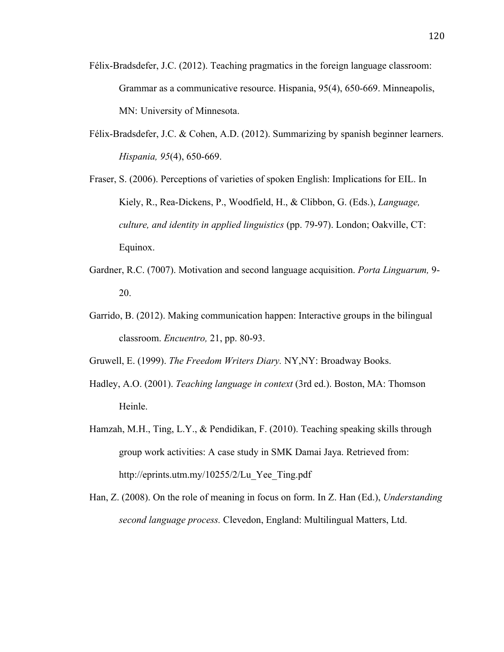- Félix-Bradsdefer, J.C. (2012). Teaching pragmatics in the foreign language classroom: Grammar as a communicative resource. Hispania, 95(4), 650-669. Minneapolis, MN: University of Minnesota.
- Félix-Bradsdefer, J.C. & Cohen, A.D. (2012). Summarizing by spanish beginner learners. *Hispania, 95*(4), 650-669.
- Fraser, S. (2006). Perceptions of varieties of spoken English: Implications for EIL. In Kiely, R., Rea-Dickens, P., Woodfield, H., & Clibbon, G. (Eds.), *Language, culture, and identity in applied linguistics* (pp. 79-97). London; Oakville, CT: Equinox.
- Gardner, R.C. (7007). Motivation and second language acquisition. *Porta Linguarum,* 9- 20.
- Garrido, B. (2012). Making communication happen: Interactive groups in the bilingual classroom. *Encuentro,* 21, pp. 80-93.
- Gruwell, E. (1999). *The Freedom Writers Diary.* NY,NY: Broadway Books.
- Hadley, A.O. (2001). *Teaching language in context* (3rd ed.). Boston, MA: Thomson Heinle.
- Hamzah, M.H., Ting, L.Y., & Pendidikan, F. (2010). Teaching speaking skills through group work activities: A case study in SMK Damai Jaya. Retrieved from: http://eprints.utm.my/10255/2/Lu\_Yee\_Ting.pdf
- Han, Z. (2008). On the role of meaning in focus on form. In Z. Han (Ed.), *Understanding second language process.* Clevedon, England: Multilingual Matters, Ltd.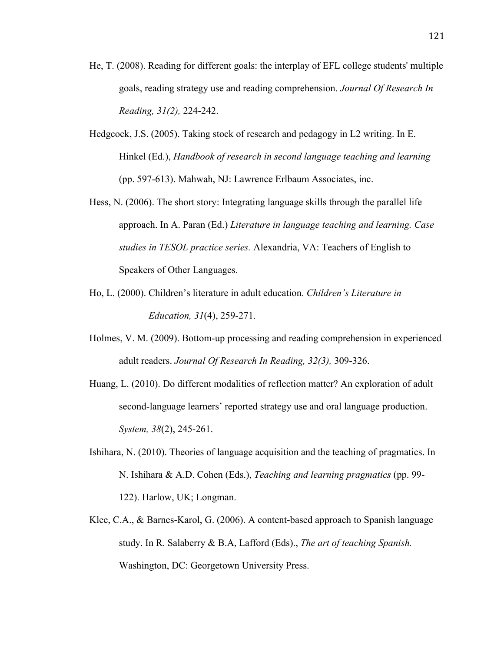- He, T. (2008). Reading for different goals: the interplay of EFL college students' multiple goals, reading strategy use and reading comprehension. *Journal Of Research In Reading, 31(2),* 224-242.
- Hedgcock, J.S. (2005). Taking stock of research and pedagogy in L2 writing. In E. Hinkel (Ed.), *Handbook of research in second language teaching and learning* (pp. 597-613). Mahwah, NJ: Lawrence Erlbaum Associates, inc.
- Hess, N. (2006). The short story: Integrating language skills through the parallel life approach. In A. Paran (Ed.) *Literature in language teaching and learning. Case studies in TESOL practice series.* Alexandria, VA: Teachers of English to Speakers of Other Languages.
- Ho, L. (2000). Children's literature in adult education. *Children's Literature in Education, 31*(4), 259-271.
- Holmes, V. M. (2009). Bottom-up processing and reading comprehension in experienced adult readers. *Journal Of Research In Reading, 32(3),* 309-326.
- Huang, L. (2010). Do different modalities of reflection matter? An exploration of adult second-language learners' reported strategy use and oral language production. *System, 38*(2), 245-261.
- Ishihara, N. (2010). Theories of language acquisition and the teaching of pragmatics. In N. Ishihara & A.D. Cohen (Eds.), *Teaching and learning pragmatics* (pp. 99- 122). Harlow, UK; Longman.
- Klee, C.A., & Barnes-Karol, G. (2006). A content-based approach to Spanish language study. In R. Salaberry & B.A, Lafford (Eds)., *The art of teaching Spanish.* Washington, DC: Georgetown University Press.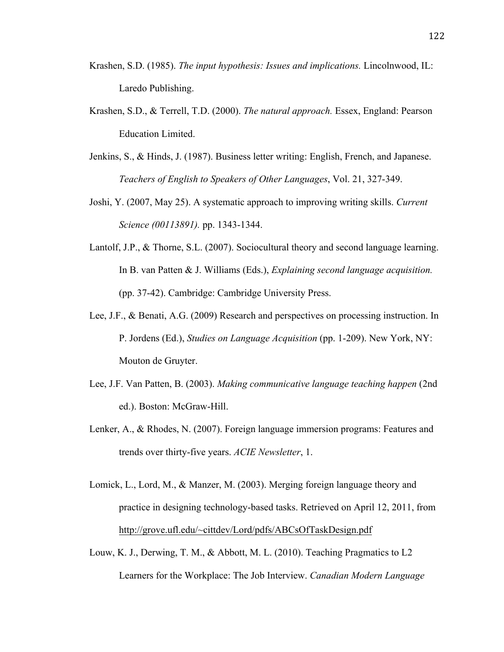- Krashen, S.D. (1985). *The input hypothesis: Issues and implications.* Lincolnwood, IL: Laredo Publishing.
- Krashen, S.D., & Terrell, T.D. (2000). *The natural approach.* Essex, England: Pearson Education Limited.
- Jenkins, S., & Hinds, J. (1987). Business letter writing: English, French, and Japanese. *Teachers of English to Speakers of Other Languages*, Vol. 21, 327-349.
- Joshi, Y. (2007, May 25). A systematic approach to improving writing skills. *Current Science (00113891).* pp. 1343-1344.
- Lantolf, J.P., & Thorne, S.L. (2007). Sociocultural theory and second language learning. In B. van Patten & J. Williams (Eds.), *Explaining second language acquisition.*  (pp. 37-42). Cambridge: Cambridge University Press.
- Lee, J.F., & Benati, A.G. (2009) Research and perspectives on processing instruction. In P. Jordens (Ed.), *Studies on Language Acquisition* (pp. 1-209). New York, NY: Mouton de Gruyter.
- Lee, J.F. Van Patten, B. (2003). *Making communicative language teaching happen* (2nd ed.). Boston: McGraw-Hill.
- Lenker, A., & Rhodes, N. (2007). Foreign language immersion programs: Features and trends over thirty-five years. *ACIE Newsletter*, 1.
- Lomick, L., Lord, M., & Manzer, M. (2003). Merging foreign language theory and practice in designing technology-based tasks. Retrieved on April 12, 2011, from http://grove.ufl.edu/~cittdev/Lord/pdfs/ABCsOfTaskDesign.pdf
- Louw, K. J., Derwing, T. M., & Abbott, M. L. (2010). Teaching Pragmatics to L2 Learners for the Workplace: The Job Interview. *Canadian Modern Language*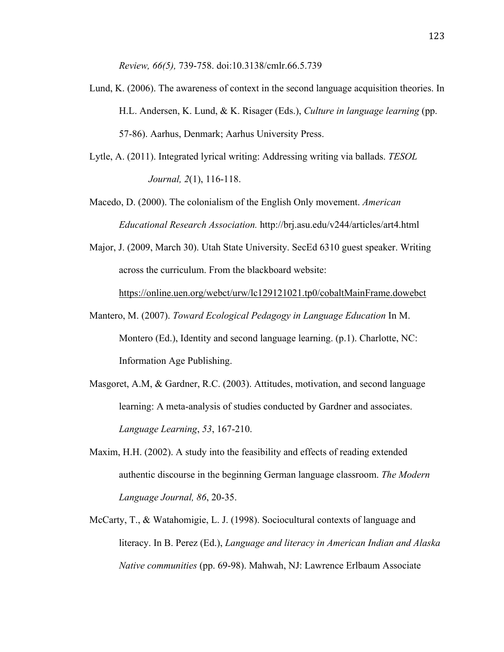*Review, 66(5),* 739-758. doi:10.3138/cmlr.66.5.739

- Lund, K. (2006). The awareness of context in the second language acquisition theories. In H.L. Andersen, K. Lund, & K. Risager (Eds.), *Culture in language learning* (pp. 57-86). Aarhus, Denmark; Aarhus University Press.
- Lytle, A. (2011). Integrated lyrical writing: Addressing writing via ballads. *TESOL Journal, 2*(1), 116-118.
- Macedo, D. (2000). The colonialism of the English Only movement. *American Educational Research Association.* http://brj.asu.edu/v244/articles/art4.html
- Major, J. (2009, March 30). Utah State University. SecEd 6310 guest speaker. Writing across the curriculum. From the blackboard website:

https://online.uen.org/webct/urw/lc129121021.tp0/cobaltMainFrame.dowebct

- Mantero, M. (2007). *Toward Ecological Pedagogy in Language Education* In M. Montero (Ed.), Identity and second language learning. (p.1). Charlotte, NC: Information Age Publishing.
- Masgoret, A.M, & Gardner, R.C. (2003). Attitudes, motivation, and second language learning: A meta-analysis of studies conducted by Gardner and associates. *Language Learning*, *53*, 167-210.
- Maxim, H.H. (2002). A study into the feasibility and effects of reading extended authentic discourse in the beginning German language classroom. *The Modern Language Journal, 86*, 20-35.
- McCarty, T., & Watahomigie, L. J. (1998). Sociocultural contexts of language and literacy. In B. Perez (Ed.), *Language and literacy in American Indian and Alaska Native communities* (pp. 69-98). Mahwah, NJ: Lawrence Erlbaum Associate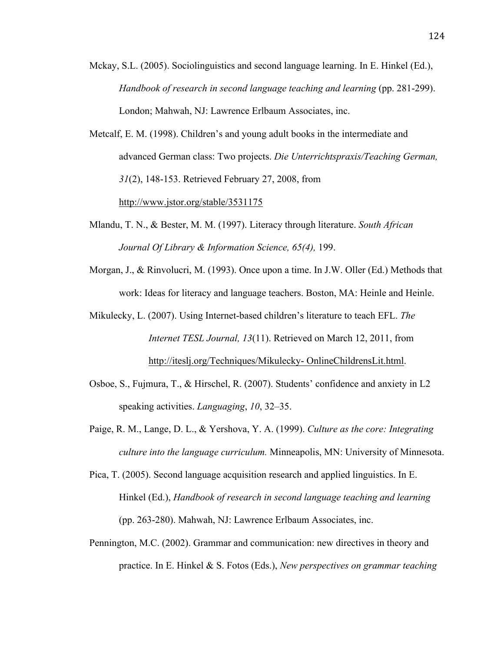- Mckay, S.L. (2005). Sociolinguistics and second language learning. In E. Hinkel (Ed.), *Handbook of research in second language teaching and learning* (pp. 281-299). London; Mahwah, NJ: Lawrence Erlbaum Associates, inc.
- Metcalf, E. M. (1998). Children's and young adult books in the intermediate and advanced German class: Two projects. *Die Unterrichtspraxis/Teaching German, 31*(2), 148-153. Retrieved February 27, 2008, from http://www.jstor.org/stable/3531175
- Mlandu, T. N., & Bester, M. M. (1997). Literacy through literature. *South African Journal Of Library & Information Science, 65(4),* 199.
- Morgan, J., & Rinvolucri, M. (1993). Once upon a time. In J.W. Oller (Ed.) Methods that work: Ideas for literacy and language teachers. Boston, MA: Heinle and Heinle.
- Mikulecky, L. (2007). Using Internet-based children's literature to teach EFL. *The Internet TESL Journal, 13*(11). Retrieved on March 12, 2011, from http://iteslj.org/Techniques/Mikulecky- OnlineChildrensLit.html.
- Osboe, S., Fujmura, T., & Hirschel, R. (2007). Students' confidence and anxiety in L2 speaking activities. *Languaging*, *10*, 32–35.
- Paige, R. M., Lange, D. L., & Yershova, Y. A. (1999). *Culture as the core: Integrating culture into the language curriculum.* Minneapolis, MN: University of Minnesota.
- Pica, T. (2005). Second language acquisition research and applied linguistics. In E. Hinkel (Ed.), *Handbook of research in second language teaching and learning* (pp. 263-280). Mahwah, NJ: Lawrence Erlbaum Associates, inc.
- Pennington, M.C. (2002). Grammar and communication: new directives in theory and practice. In E. Hinkel & S. Fotos (Eds.), *New perspectives on grammar teaching*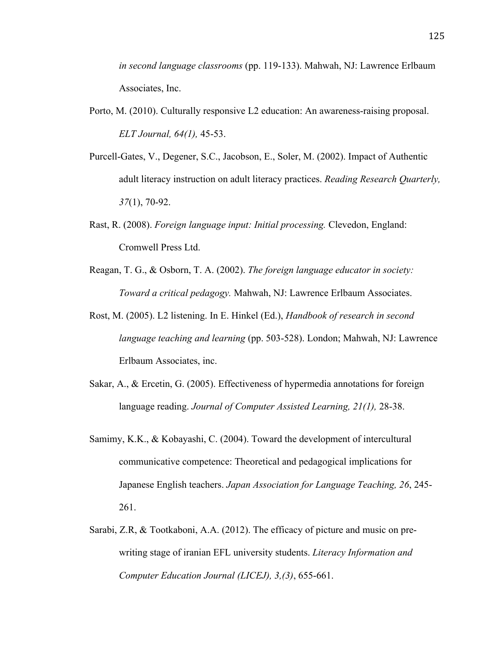*in second language classrooms* (pp. 119-133). Mahwah, NJ: Lawrence Erlbaum Associates, Inc.

- Porto, M. (2010). Culturally responsive L2 education: An awareness-raising proposal. *ELT Journal, 64(1),* 45-53.
- Purcell-Gates, V., Degener, S.C., Jacobson, E., Soler, M. (2002). Impact of Authentic adult literacy instruction on adult literacy practices. *Reading Research Quarterly, 37*(1), 70-92.
- Rast, R. (2008). *Foreign language input: Initial processing.* Clevedon, England: Cromwell Press Ltd.
- Reagan, T. G., & Osborn, T. A. (2002). *The foreign language educator in society: Toward a critical pedagogy.* Mahwah, NJ: Lawrence Erlbaum Associates.
- Rost, M. (2005). L2 listening. In E. Hinkel (Ed.), *Handbook of research in second language teaching and learning* (pp. 503-528). London; Mahwah, NJ: Lawrence Erlbaum Associates, inc.
- Sakar, A., & Ercetin, G. (2005). Effectiveness of hypermedia annotations for foreign language reading. *Journal of Computer Assisted Learning, 21(1),* 28-38.
- Samimy, K.K., & Kobayashi, C. (2004). Toward the development of intercultural communicative competence: Theoretical and pedagogical implications for Japanese English teachers. *Japan Association for Language Teaching, 26*, 245- 261.
- Sarabi, Z.R, & Tootkaboni, A.A. (2012). The efficacy of picture and music on prewriting stage of iranian EFL university students. *Literacy Information and Computer Education Journal (LICEJ), 3,(3)*, 655-661.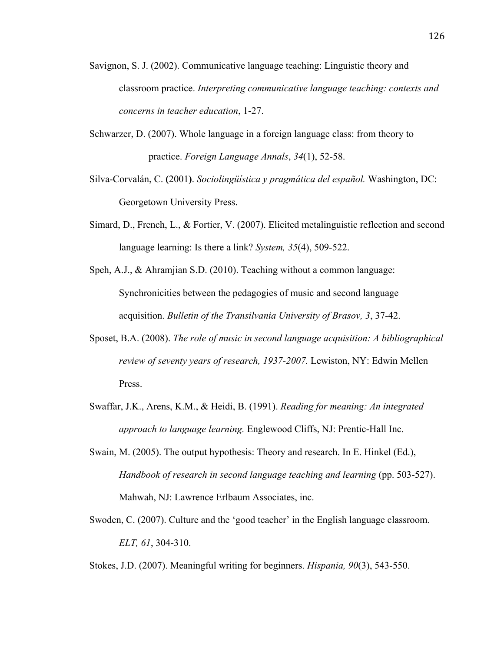- Savignon, S. J. (2002). Communicative language teaching: Linguistic theory and classroom practice. *Interpreting communicative language teaching: contexts and concerns in teacher education*, 1-27.
- Schwarzer, D. (2007). Whole language in a foreign language class: from theory to practice. *Foreign Language Annals*, *34*(1), 52-58.
- Silva-Corvalán, C. **(**2001**)**. *Sociolingüística y pragmática del español.* Washington, DC: Georgetown University Press.
- Simard, D., French, L., & Fortier, V. (2007). Elicited metalinguistic reflection and second language learning: Is there a link? *System, 35*(4), 509-522.
- Speh, A.J., & Ahramjian S.D. (2010). Teaching without a common language: Synchronicities between the pedagogies of music and second language acquisition. *Bulletin of the Transilvania University of Brasov, 3*, 37-42.
- Sposet, B.A. (2008). *The role of music in second language acquisition: A bibliographical review of seventy years of research, 1937-2007.* Lewiston, NY: Edwin Mellen Press.
- Swaffar, J.K., Arens, K.M., & Heidi, B. (1991). *Reading for meaning: An integrated approach to language learning.* Englewood Cliffs, NJ: Prentic-Hall Inc.
- Swain, M. (2005). The output hypothesis: Theory and research. In E. Hinkel (Ed.), *Handbook of research in second language teaching and learning* (pp. 503-527). Mahwah, NJ: Lawrence Erlbaum Associates, inc.
- Swoden, C. (2007). Culture and the 'good teacher' in the English language classroom. *ELT, 61*, 304-310.
- Stokes, J.D. (2007). Meaningful writing for beginners. *Hispania, 90*(3), 543-550.